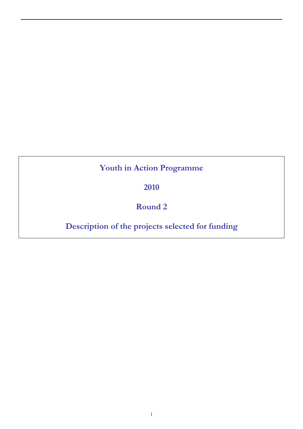# **Youth in Action Programme**

**2010** 

# **Round 2**

# **Description of the projects selected for funding**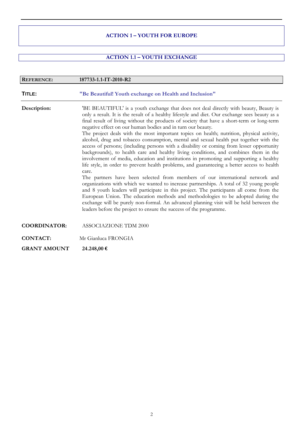#### **ACTION 1 – YOUTH FOR EUROPE**

### **ACTION 1.1 – YOUTH EXCHANGE**

| <b>REFERENCE:</b>   | 187733-1.1-IT-2010-R2                                                                                                                                                                                                                                                                                                                                                                                                                                                                                                                                                                                                                                                                                                                                                                                                                                                                                                                                                                                                                                                                                                                                                                                                                                                                                                                                                                                                                                          |
|---------------------|----------------------------------------------------------------------------------------------------------------------------------------------------------------------------------------------------------------------------------------------------------------------------------------------------------------------------------------------------------------------------------------------------------------------------------------------------------------------------------------------------------------------------------------------------------------------------------------------------------------------------------------------------------------------------------------------------------------------------------------------------------------------------------------------------------------------------------------------------------------------------------------------------------------------------------------------------------------------------------------------------------------------------------------------------------------------------------------------------------------------------------------------------------------------------------------------------------------------------------------------------------------------------------------------------------------------------------------------------------------------------------------------------------------------------------------------------------------|
| TITLE:              | "Be Beautiful! Youth exchange on Health and Inclusion"                                                                                                                                                                                                                                                                                                                                                                                                                                                                                                                                                                                                                                                                                                                                                                                                                                                                                                                                                                                                                                                                                                                                                                                                                                                                                                                                                                                                         |
| Description:        | 'BE BEAUTIFUL' is a youth exchange that does not deal directly with beauty, Beauty is<br>only a result. It is the result of a healthy lifestyle and diet. Our exchange sees beauty as a<br>final result of living without the products of society that have a short-term or long-term<br>negative effect on our human bodies and in turn our beauty.<br>The project deals with the most important topics on health; nutrition, physical activity,<br>alcohol, drug and tobacco consumption, mental and sexual health put together with the<br>access of persons; (including persons with a disability or coming from lesser opportunity<br>backgrounds), to health care and healthy living conditions, and combines them in the<br>involvement of media, education and institutions in promoting and supporting a healthy<br>life style, in order to prevent health problems, and guaranteeing a better access to health<br>care.<br>The partners have been selected from members of our international network and<br>organizations with which we wanted to increase partnerships. A total of 32 young people<br>and 8 youth leaders will participate in this project. The participants all come from the<br>European Union. The education methods and methodologies to be adopted during the<br>exchange will be purely non-formal. An advanced planning visit will be held between the<br>leaders before the project to ensure the success of the programme. |
| <b>COORDINATOR:</b> | <b>ASSOCIAZIONE TDM 2000</b>                                                                                                                                                                                                                                                                                                                                                                                                                                                                                                                                                                                                                                                                                                                                                                                                                                                                                                                                                                                                                                                                                                                                                                                                                                                                                                                                                                                                                                   |
| <b>CONTACT:</b>     | Mr Gianluca FRONGIA                                                                                                                                                                                                                                                                                                                                                                                                                                                                                                                                                                                                                                                                                                                                                                                                                                                                                                                                                                                                                                                                                                                                                                                                                                                                                                                                                                                                                                            |
| <b>GRANT AMOUNT</b> | 24.248,00 €                                                                                                                                                                                                                                                                                                                                                                                                                                                                                                                                                                                                                                                                                                                                                                                                                                                                                                                                                                                                                                                                                                                                                                                                                                                                                                                                                                                                                                                    |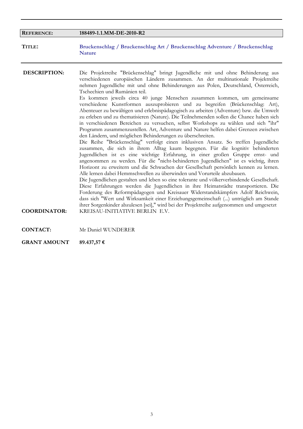| <b>REFERENCE:</b>                          | 188489-1.1.MM-DE-2010-R2                                                                                                                                                                                                                                                                                                                                                                                                                                                                                                                                                                                                                                                                                                                                                                                                                                                                                                                                                                                                                                                                                                                                                                                                                                                                                                                                                                                                                                                                                                                                                                                                                                                                                                                                                                                                                                                                                      |
|--------------------------------------------|---------------------------------------------------------------------------------------------------------------------------------------------------------------------------------------------------------------------------------------------------------------------------------------------------------------------------------------------------------------------------------------------------------------------------------------------------------------------------------------------------------------------------------------------------------------------------------------------------------------------------------------------------------------------------------------------------------------------------------------------------------------------------------------------------------------------------------------------------------------------------------------------------------------------------------------------------------------------------------------------------------------------------------------------------------------------------------------------------------------------------------------------------------------------------------------------------------------------------------------------------------------------------------------------------------------------------------------------------------------------------------------------------------------------------------------------------------------------------------------------------------------------------------------------------------------------------------------------------------------------------------------------------------------------------------------------------------------------------------------------------------------------------------------------------------------------------------------------------------------------------------------------------------------|
| TITLE:                                     | Bruckenschlag / Bruckenschlag Art / Bruckenschlag Adventure / Bruckenschlag<br><b>Nature</b>                                                                                                                                                                                                                                                                                                                                                                                                                                                                                                                                                                                                                                                                                                                                                                                                                                                                                                                                                                                                                                                                                                                                                                                                                                                                                                                                                                                                                                                                                                                                                                                                                                                                                                                                                                                                                  |
| <b>DESCRIPTION:</b><br><b>COORDINATOR:</b> | Die Projektreihe "Brückenschlag" bringt Jugendliche mit und ohne Behinderung aus<br>verschiedenen europäischen Ländern zusammen. An der multinationale Projektreihe<br>nehmen Jugendliche mit und ohne Behinderungen aus Polen, Deutschland, Österreich,<br>Tschechien und Rumänien teil.<br>Es kommen jeweils circa 40 junge Menschen zusammen kommen, um gemeinsame<br>verschiedene Kunstformen auszuprobieren und zu begreifen (Brückenschlag: Art),<br>Abenteuer zu bewältigen und erlebnispädagogisch zu arbeiten (Adventure) bzw. die Umwelt<br>zu erleben und zu thematisieren (Nature). Die Teilnehmenden sollen die Chance haben sich<br>in verschiedenen Bereichen zu versuchen, selbst Workshops zu wählen und sich "ihr"<br>Programm zusammenzustellen. Art, Adventure und Nature helfen dabei Grenzen zwischen<br>den Ländern, und möglichen Behinderungen zu überschreiten.<br>Die Reihe "Brückenschlag" verfolgt einen inklusiven Ansatz. So treffen Jugendliche<br>zusammen, die sich in ihrem Alltag kaum begegnen. Für die kognitiv behinderten<br>Jugendlichen ist es eine wichtige Erfahrung, in einer großen Gruppe ernst- und<br>angenommen zu werden. Für die "nicht-behinderten Jugendlichen" ist es wichtig, ihren<br>Horizont zu erweitern und die Schwachen der Gesellschaft persönlich kennen zu lernen.<br>Alle lernen dabei Hemmschwellen zu überwinden und Vorurteile abzubauen.<br>Die Jugendlichen gestalten und leben so eine tolerante und völkerverbindende Gesellschaft.<br>Diese Erfahrungen werden die Jugendlichen in ihre Heimatstädte transportieren. Die<br>Forderung des Reformpädagogen und Kreisauer Widerstandskämpfers Adolf Reichwein,<br>dass sich "Wert und Wirksamkeit einer Erziehungsgemeinschaft () untrüglich am Stande<br>ihrer Sorgenkinder abzulesen [sei]," wird bei der Projektreihe aufgenommen und umgesetzt<br>KREISAU-INITIATIVE BERLIN E.V. |
| <b>CONTACT:</b>                            | Mr Daniel WUNDERER                                                                                                                                                                                                                                                                                                                                                                                                                                                                                                                                                                                                                                                                                                                                                                                                                                                                                                                                                                                                                                                                                                                                                                                                                                                                                                                                                                                                                                                                                                                                                                                                                                                                                                                                                                                                                                                                                            |

**GRANT AMOUNT 89.437,57 €**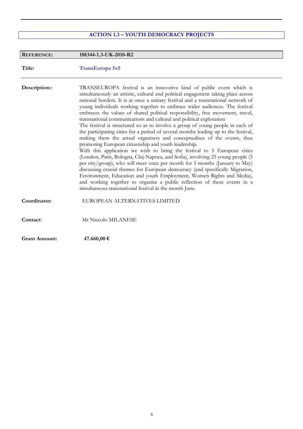## **ACTION 1.3 – YOUTH DEMOCRACY PROJECTS**

| <b>REFERENCE:</b>    | 188344-1.3-UK-2010-R2                                                                                                                                                                                                                                                                                                                                                                                                                                                                                                                                                                                                                                                                                                                                                                                                                                                                                                                                                                                                                                                                                                                                                                                                                                                                                                                            |
|----------------------|--------------------------------------------------------------------------------------------------------------------------------------------------------------------------------------------------------------------------------------------------------------------------------------------------------------------------------------------------------------------------------------------------------------------------------------------------------------------------------------------------------------------------------------------------------------------------------------------------------------------------------------------------------------------------------------------------------------------------------------------------------------------------------------------------------------------------------------------------------------------------------------------------------------------------------------------------------------------------------------------------------------------------------------------------------------------------------------------------------------------------------------------------------------------------------------------------------------------------------------------------------------------------------------------------------------------------------------------------|
| Title:               | TransEuropa 5x5                                                                                                                                                                                                                                                                                                                                                                                                                                                                                                                                                                                                                                                                                                                                                                                                                                                                                                                                                                                                                                                                                                                                                                                                                                                                                                                                  |
| Description::        | TRANSEUROPA festival is an innovative kind of public event which is<br>simultaneously an artistic, cultural and political engagement taking place across<br>national borders. It is at once a unitary festival and a transnational network of<br>young individuals working together to embrace wider audiences. The festival<br>embraces the values of shared political responsibility, free movement, travel,<br>transnational communications and cultural and political exploration<br>The festival is structured so as to involve a group of young people in each of<br>the participating cities for a period of several months leading up to the festival,<br>making them the actual organisers and conceptualises of the events, thus<br>promoting European citizenship and youth leadership.<br>With this application we wish to bring the festival to 5 European cities<br>(London, Paris, Bologna, Cluj-Napoca, and Sofia), involving 25 young people (5<br>per city/group), who will meet once per month for 5 months (January to May)<br>discussing crucial themes for European democracy (and specifically Migration,<br>Environment, Education and youth Employment, Women Rights and Media),<br>and working together to organise a public reflection of these events in a<br>simultaneous transnational festival in the month June. |
| Coordinator:         | EUROPEAN ALTERNATIVES LIMITED                                                                                                                                                                                                                                                                                                                                                                                                                                                                                                                                                                                                                                                                                                                                                                                                                                                                                                                                                                                                                                                                                                                                                                                                                                                                                                                    |
| Contact:             | Mr Niccolo MILANESE                                                                                                                                                                                                                                                                                                                                                                                                                                                                                                                                                                                                                                                                                                                                                                                                                                                                                                                                                                                                                                                                                                                                                                                                                                                                                                                              |
| <b>Grant Amount:</b> | 47.660,00€                                                                                                                                                                                                                                                                                                                                                                                                                                                                                                                                                                                                                                                                                                                                                                                                                                                                                                                                                                                                                                                                                                                                                                                                                                                                                                                                       |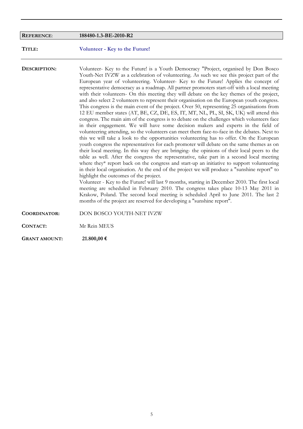| <b>REFERENCE:</b>    | 188480-1.3-BE-2010-R2                                                                                                                                                                                                                                                                                                                                                                                                                                                                                                                                                                                                                                                                                                                                                                                                                                                                                                                                                                                                                                                                                                                                                                                                                                                                                                                                                                                                                                                                                                                                                                                                                                                                                                                                                                                                                                                                                                                                                                                                                   |
|----------------------|-----------------------------------------------------------------------------------------------------------------------------------------------------------------------------------------------------------------------------------------------------------------------------------------------------------------------------------------------------------------------------------------------------------------------------------------------------------------------------------------------------------------------------------------------------------------------------------------------------------------------------------------------------------------------------------------------------------------------------------------------------------------------------------------------------------------------------------------------------------------------------------------------------------------------------------------------------------------------------------------------------------------------------------------------------------------------------------------------------------------------------------------------------------------------------------------------------------------------------------------------------------------------------------------------------------------------------------------------------------------------------------------------------------------------------------------------------------------------------------------------------------------------------------------------------------------------------------------------------------------------------------------------------------------------------------------------------------------------------------------------------------------------------------------------------------------------------------------------------------------------------------------------------------------------------------------------------------------------------------------------------------------------------------------|
| TITLE:               | Volunteer - Key to the Future!                                                                                                                                                                                                                                                                                                                                                                                                                                                                                                                                                                                                                                                                                                                                                                                                                                                                                                                                                                                                                                                                                                                                                                                                                                                                                                                                                                                                                                                                                                                                                                                                                                                                                                                                                                                                                                                                                                                                                                                                          |
| DESCRIPTION:         | Volunteer- Key to the Future! is a Youth Democracy "Project, organised by Don Bosco<br>Youth-Net IVZW as a celebration of volunteering. As such we see this project part of the<br>European year of volunteering. Volunteer- Key to the Future! Applies the concept of<br>representative democracy as a roadmap. All partner promoters start-off with a local meeting<br>with their volunteers- On this meeting they will debate on the key themes of the project,<br>and also select 2 volunteers to represent their organisation on the European youth congress.<br>This congress is the main event of the project. Over 50, representing 25 organisations from<br>12 EU member states (AT, BE, CZ, DE, ES, IT, MT, NL, PL, SI, SK, UK) will attend this<br>congress. The main aim of the congress is to debate on the challenges which volunteers face<br>in their engagement. We will have some decision makers and experts in the field of<br>volunteering attending, so the volunteers can meet them face-to-face in the debates. Next to<br>this we will take a look to the opportunities volunteering has to offer. On the European<br>youth congress the representatives for each promoter will debate on the same themes as on<br>their local meeting. In this way they are bringing- the opinions of their local peers to the<br>table as well. After the congress the representative, take part in a second local meeting<br>where they* report back on the congress and start-up an initiative to support volunteering<br>in their local organisation. At the end of the project we will produce a "sunshine report" to<br>highlight the outcomes of the project.<br>Volunteer - Key to the Future! will last 9 months, starting in December 2010. The first local<br>meeting are scheduled in February 2010. The congress takes place 10-13 May 2011 in<br>Krakow, Poland. The second local meeting is scheduled April to June 2011. The last 2<br>months of the project are reserved for developing a "sunshine report". |
| <b>COORDINATOR:</b>  | DON BOSCO YOUTH-NET IVZW                                                                                                                                                                                                                                                                                                                                                                                                                                                                                                                                                                                                                                                                                                                                                                                                                                                                                                                                                                                                                                                                                                                                                                                                                                                                                                                                                                                                                                                                                                                                                                                                                                                                                                                                                                                                                                                                                                                                                                                                                |
| CONTACT:             | Mr Rein MEUS                                                                                                                                                                                                                                                                                                                                                                                                                                                                                                                                                                                                                                                                                                                                                                                                                                                                                                                                                                                                                                                                                                                                                                                                                                                                                                                                                                                                                                                                                                                                                                                                                                                                                                                                                                                                                                                                                                                                                                                                                            |
| <b>GRANT AMOUNT:</b> | 21.800,00 €                                                                                                                                                                                                                                                                                                                                                                                                                                                                                                                                                                                                                                                                                                                                                                                                                                                                                                                                                                                                                                                                                                                                                                                                                                                                                                                                                                                                                                                                                                                                                                                                                                                                                                                                                                                                                                                                                                                                                                                                                             |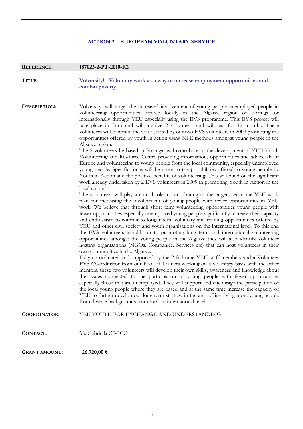### **ACTION 2 – EUROPEAN VOLUNTARY SERVICE**

I

| <b>REFERENCE:</b>    | 187025-2-PT-2010-R2                                                                                                                                                                                                                                                                                                                                                                                                                                                                                                                                                                                                                                                                                                                                                                                                                                                                                                                                                                                                                                                                                                                                                                                                                                                                                                                                                                                                                                                                                                                                                                                                                                                                                                                                                                                                                                                                                                                                                                                                                                                                                                                                                                                                                                                                                                                                                                                                                                                                                                                                                                                                                                                                                                                                                                |
|----------------------|------------------------------------------------------------------------------------------------------------------------------------------------------------------------------------------------------------------------------------------------------------------------------------------------------------------------------------------------------------------------------------------------------------------------------------------------------------------------------------------------------------------------------------------------------------------------------------------------------------------------------------------------------------------------------------------------------------------------------------------------------------------------------------------------------------------------------------------------------------------------------------------------------------------------------------------------------------------------------------------------------------------------------------------------------------------------------------------------------------------------------------------------------------------------------------------------------------------------------------------------------------------------------------------------------------------------------------------------------------------------------------------------------------------------------------------------------------------------------------------------------------------------------------------------------------------------------------------------------------------------------------------------------------------------------------------------------------------------------------------------------------------------------------------------------------------------------------------------------------------------------------------------------------------------------------------------------------------------------------------------------------------------------------------------------------------------------------------------------------------------------------------------------------------------------------------------------------------------------------------------------------------------------------------------------------------------------------------------------------------------------------------------------------------------------------------------------------------------------------------------------------------------------------------------------------------------------------------------------------------------------------------------------------------------------------------------------------------------------------------------------------------------------------|
| TITLE:               | Volversity! - Voluntary work as a way to increase employment opportunities and<br>combat poverty.                                                                                                                                                                                                                                                                                                                                                                                                                                                                                                                                                                                                                                                                                                                                                                                                                                                                                                                                                                                                                                                                                                                                                                                                                                                                                                                                                                                                                                                                                                                                                                                                                                                                                                                                                                                                                                                                                                                                                                                                                                                                                                                                                                                                                                                                                                                                                                                                                                                                                                                                                                                                                                                                                  |
| DESCRIPTION:         | Volversity! will target the increased involvement of young people unemployed people in<br>volunteering opportunities offered locally in the Algarve region of Portugal or<br>internationally through YEU especially using the EVS programme. This EVS project will<br>take place in Faro and will involve 2 volunteers and will last for 12 months. These<br>volunteers will continue the work started by our two EVS volunteers in 2009 promoting the<br>opportunities offered by youth in action using NFE methods amongst young people in the<br>Algarve region.<br>The 2 volunteers be based in Portugal will contribute to the development of YEU Youth<br>Volunteering and Resource Centre providing information, opportunities and advice about<br>Europe and volunteering to young people from the local community, especially unemployed<br>young people. Specific focus will be given to the possibilities offered to young people by<br>Youth in Action and the positive benefits of volunteering. This will build on the significant<br>work already undertaken by 2 EVS volunteers in 2009 in promoting Youth in Action in the<br>local region.<br>The volunteers will play a crucial role in contributing to the targets set in the YEU work<br>plan for increasing the involvement of young people with fewer opportunities in YEU<br>work. We believe that through short term volunteering opportunities young people with<br>fewer opportunities especially unemployed young people significantly increase their capacity<br>and enthusiasm to commit to longer term voluntary and training opportunities offered by<br>YEU and other civil society and youth organisations on the international level. To this end<br>the EVS volunteers in addition to promoting long term and international volunteering<br>opportunities amongst the young people in the Algarve they will also identify volunteer<br>hosting organisations (NGOs, Companies, Services etc) that can host volunteers in their<br>own communities in the Algarve.<br>Fully co-ordinated and supported by the 2 full time YEU staff members and a Volunteer<br>EVS Co-ordinator from our Pool of Trainers working on a voluntary basis with the other<br>mentors, these two volunteers will develop their own skills, awareness and knowledge about<br>the issues connected to the participation of young people with fewer opportunities<br>especially those that are unemployed. They will support and encourage the participation of<br>the local young people where they are based and at the same time increase the capacity of<br>YEU to further develop our long term strategy in the area of involving more young people<br>from diverse backgrounds from local to international level. |
| <b>COORDINATOR:</b>  | YEU YOUTH FOR EXCHANGE AND UNDERSTANDING                                                                                                                                                                                                                                                                                                                                                                                                                                                                                                                                                                                                                                                                                                                                                                                                                                                                                                                                                                                                                                                                                                                                                                                                                                                                                                                                                                                                                                                                                                                                                                                                                                                                                                                                                                                                                                                                                                                                                                                                                                                                                                                                                                                                                                                                                                                                                                                                                                                                                                                                                                                                                                                                                                                                           |
| <b>CONTACT:</b>      | Ms Gabriella CIVICO                                                                                                                                                                                                                                                                                                                                                                                                                                                                                                                                                                                                                                                                                                                                                                                                                                                                                                                                                                                                                                                                                                                                                                                                                                                                                                                                                                                                                                                                                                                                                                                                                                                                                                                                                                                                                                                                                                                                                                                                                                                                                                                                                                                                                                                                                                                                                                                                                                                                                                                                                                                                                                                                                                                                                                |
| <b>GRANT AMOUNT:</b> | 26.720,00 €                                                                                                                                                                                                                                                                                                                                                                                                                                                                                                                                                                                                                                                                                                                                                                                                                                                                                                                                                                                                                                                                                                                                                                                                                                                                                                                                                                                                                                                                                                                                                                                                                                                                                                                                                                                                                                                                                                                                                                                                                                                                                                                                                                                                                                                                                                                                                                                                                                                                                                                                                                                                                                                                                                                                                                        |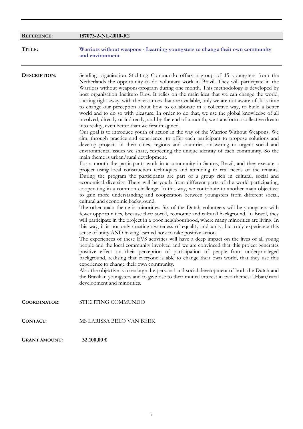| <b>REFERENCE:</b>   | 187073-2-NL-2010-R2                                                                                                                                                                                                                                                                                                                                                                                                                                                                                                                                                                                                                                                                                                                                                                                                                                                                                                                                                                                                                                                                                                                                                                                                                                                                                                                                                                                                                                                                                                                                                                                                                                                                                                                                                                                                                                                                                                                                                                                                                                                                                                                                                                                                                                                                                                                                                                                                                                                                                                                                                                                                                                                                                                                                                                                                                                                                                                                                                 |
|---------------------|---------------------------------------------------------------------------------------------------------------------------------------------------------------------------------------------------------------------------------------------------------------------------------------------------------------------------------------------------------------------------------------------------------------------------------------------------------------------------------------------------------------------------------------------------------------------------------------------------------------------------------------------------------------------------------------------------------------------------------------------------------------------------------------------------------------------------------------------------------------------------------------------------------------------------------------------------------------------------------------------------------------------------------------------------------------------------------------------------------------------------------------------------------------------------------------------------------------------------------------------------------------------------------------------------------------------------------------------------------------------------------------------------------------------------------------------------------------------------------------------------------------------------------------------------------------------------------------------------------------------------------------------------------------------------------------------------------------------------------------------------------------------------------------------------------------------------------------------------------------------------------------------------------------------------------------------------------------------------------------------------------------------------------------------------------------------------------------------------------------------------------------------------------------------------------------------------------------------------------------------------------------------------------------------------------------------------------------------------------------------------------------------------------------------------------------------------------------------------------------------------------------------------------------------------------------------------------------------------------------------------------------------------------------------------------------------------------------------------------------------------------------------------------------------------------------------------------------------------------------------------------------------------------------------------------------------------------------------|
| TITLE:              | Warriors without weapons - Learning youngsters to change their own community<br>and environment                                                                                                                                                                                                                                                                                                                                                                                                                                                                                                                                                                                                                                                                                                                                                                                                                                                                                                                                                                                                                                                                                                                                                                                                                                                                                                                                                                                                                                                                                                                                                                                                                                                                                                                                                                                                                                                                                                                                                                                                                                                                                                                                                                                                                                                                                                                                                                                                                                                                                                                                                                                                                                                                                                                                                                                                                                                                     |
| <b>DESCRIPTION:</b> | Sending organisation Stichting Commundo offers a group of 15 youngsters from the<br>Netherlands the opportunity to do voluntary work in Brazil. They will participate in the<br>Warriors without weapons-program during one month. This methodology is developed by<br>host organisation Instituto Elos. It relies on the main idea that we can change the world,<br>starting right away, with the resources that are available, only we are not aware of. It is time<br>to change our perception about how to collaborate in a collective way, to build a better<br>world and to do so with pleasure. In order to do that, we use the global knowledge of all<br>involved, directly or indirectly, and by the end of a month, we transform a collective dream<br>into reality, even better than we first imagined.<br>Our goal is to introduce youth of action in the way of the Warrior Without Weapons. We<br>aim, through practice and experience, to offer each participant to propose solutions and<br>develop projects in their cities, regions and countries, answering to urgent social and<br>environmental issues we share, respecting the unique identity of each community. So the<br>main theme is urban/rural development.<br>For a month the participants work in a community in Santos, Brazil, and they execute a<br>project using local construction techniques and attending to real needs of the tenants.<br>During the program the participants are part of a group rich in cultural, social and<br>economical diversity. There will be youth from different parts of the world participating,<br>cooperating in a common challenge. In this way, we contribute to another main objective:<br>to gain more understanding and cooperation between youngsters from different social,<br>cultural and economic background.<br>The other main theme is minorities. Six of the Dutch volunteers will be youngsters with<br>fewer opportunities, because their social, economic and cultural background. In Brazil, they<br>will participate in the project in a poor neighbourhood, where many minorities are living. In<br>this way, it is not only creating awareness of equality and unity, but truly experience this<br>sense of unity AND having learned how to take positive action.<br>The experiences of these EVS activities will have a deep impact on the lives of all young<br>people and the local community involved and we are convinced that this project generates<br>positive effect on their perception of participation of people from underprivileged<br>background, realising that everyone is able to change their own world, that they use this<br>experience to change their own community.<br>Also the objective is to enlarge the personal and social development of both the Dutch and<br>the Brazilian youngsters and to give rise to their mutual interest in two themes: Urban/rural<br>development and minorities. |
| <b>COORDINATOR:</b> | STICHTING COMMUNDO                                                                                                                                                                                                                                                                                                                                                                                                                                                                                                                                                                                                                                                                                                                                                                                                                                                                                                                                                                                                                                                                                                                                                                                                                                                                                                                                                                                                                                                                                                                                                                                                                                                                                                                                                                                                                                                                                                                                                                                                                                                                                                                                                                                                                                                                                                                                                                                                                                                                                                                                                                                                                                                                                                                                                                                                                                                                                                                                                  |
| <b>CONTACT:</b>     | MS LARISSA BELO VAN BEEK                                                                                                                                                                                                                                                                                                                                                                                                                                                                                                                                                                                                                                                                                                                                                                                                                                                                                                                                                                                                                                                                                                                                                                                                                                                                                                                                                                                                                                                                                                                                                                                                                                                                                                                                                                                                                                                                                                                                                                                                                                                                                                                                                                                                                                                                                                                                                                                                                                                                                                                                                                                                                                                                                                                                                                                                                                                                                                                                            |

**GRANT AMOUNT: 32.100,00 €**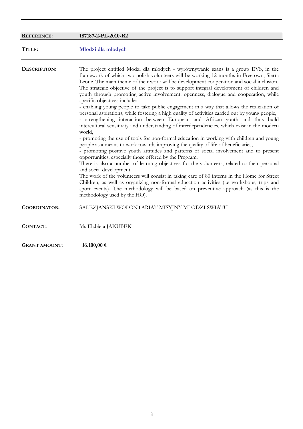| <b>REFERENCE:</b>    | 187187-2-PL-2010-R2                                                                                                                                                                                                                                                                                                                                                                                                                                                                                                                                                                                                                                                                                                                                                                                                                                                                                                                                                                                                                                                                                                                                                                                                                                                                                                                                                                                                                                                                                                                                                                                                                                                          |
|----------------------|------------------------------------------------------------------------------------------------------------------------------------------------------------------------------------------------------------------------------------------------------------------------------------------------------------------------------------------------------------------------------------------------------------------------------------------------------------------------------------------------------------------------------------------------------------------------------------------------------------------------------------------------------------------------------------------------------------------------------------------------------------------------------------------------------------------------------------------------------------------------------------------------------------------------------------------------------------------------------------------------------------------------------------------------------------------------------------------------------------------------------------------------------------------------------------------------------------------------------------------------------------------------------------------------------------------------------------------------------------------------------------------------------------------------------------------------------------------------------------------------------------------------------------------------------------------------------------------------------------------------------------------------------------------------------|
| TITLE:               | Mlodzi dla mlodych                                                                                                                                                                                                                                                                                                                                                                                                                                                                                                                                                                                                                                                                                                                                                                                                                                                                                                                                                                                                                                                                                                                                                                                                                                                                                                                                                                                                                                                                                                                                                                                                                                                           |
| <b>DESCRIPTION:</b>  | The project entitled Modzi dla mlodych - wyrównywanie szans is a group EVS, in the<br>framework of which two polish volunteers will be working 12 months in Freetown, Sierra<br>Leone. The main theme of their work will be development cooperation and social inclusion.<br>The strategic objective of the project is to support integral development of children and<br>youth through promoting active involvement, openness, dialogue and cooperation, while<br>specific objectives include:<br>- enabling young people to take public engagement in a way that allows the realization of<br>personal aspirations, while fostering a high quality of activities carried out by young people,<br>- strengthening interaction between European and African youth and thus build<br>intercultural sensitivity and understanding of interdependencies, which exist in the modern<br>world,<br>- promoting the use of tools for non-formal education in working with children and young<br>people as a means to work towards improving the quality of life of beneficiaries,<br>- promoting positive youth attitudes and patterns of social involvement and to present<br>opportunities, especially those offered by the Program.<br>There is also a number of learning objectives for the volunteers, related to their personal<br>and social development.<br>The work of the volunteers will consist in taking care of 80 interns in the Home for Street<br>Children, as well as organizing non-formal education activities (i.e workshops, trips and<br>sport events). The methodology will be based on preventive approach (as this is the<br>methodology used by the HO). |
| <b>COORDINATOR:</b>  | SALEZJANSKI WOLONTARIAT MISYJNY MLODZI SWIATU                                                                                                                                                                                                                                                                                                                                                                                                                                                                                                                                                                                                                                                                                                                                                                                                                                                                                                                                                                                                                                                                                                                                                                                                                                                                                                                                                                                                                                                                                                                                                                                                                                |
| <b>CONTACT:</b>      | Ms Elzbieta JAKUBEK                                                                                                                                                                                                                                                                                                                                                                                                                                                                                                                                                                                                                                                                                                                                                                                                                                                                                                                                                                                                                                                                                                                                                                                                                                                                                                                                                                                                                                                                                                                                                                                                                                                          |
| <b>GRANT AMOUNT:</b> | 16.100,00 €                                                                                                                                                                                                                                                                                                                                                                                                                                                                                                                                                                                                                                                                                                                                                                                                                                                                                                                                                                                                                                                                                                                                                                                                                                                                                                                                                                                                                                                                                                                                                                                                                                                                  |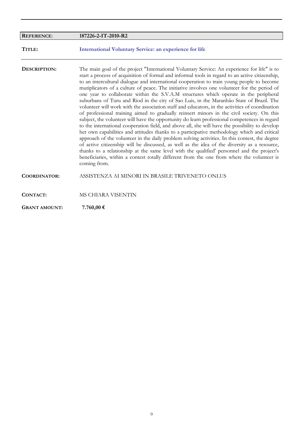| <b>REFERENCE:</b>    | 187226-2-IT-2010-R2                                                                                                                                                                                                                                                                                                                                                                                                                                                                                                                                                                                                                                                                                                                                                                                                                                                                                                                                                                                                                                                                                                                                                                                                                                                                                                                                                                                                                                                                                |
|----------------------|----------------------------------------------------------------------------------------------------------------------------------------------------------------------------------------------------------------------------------------------------------------------------------------------------------------------------------------------------------------------------------------------------------------------------------------------------------------------------------------------------------------------------------------------------------------------------------------------------------------------------------------------------------------------------------------------------------------------------------------------------------------------------------------------------------------------------------------------------------------------------------------------------------------------------------------------------------------------------------------------------------------------------------------------------------------------------------------------------------------------------------------------------------------------------------------------------------------------------------------------------------------------------------------------------------------------------------------------------------------------------------------------------------------------------------------------------------------------------------------------------|
| TITLE:               | <b>International Voluntary Service: an experience for life</b>                                                                                                                                                                                                                                                                                                                                                                                                                                                                                                                                                                                                                                                                                                                                                                                                                                                                                                                                                                                                                                                                                                                                                                                                                                                                                                                                                                                                                                     |
| DESCRIPTION:         | The main goal of the project "International Voluntary Service: An experience for life" is to<br>start a process of acquisition of formal and informal tools in regard to an active citizenship,<br>to an intercultural dialogue and international cooperation to train young people to become<br>mutiplicators of a culture of peace. The initiative involves one volunteer for the period of<br>one year to collaborate within the S.V.A.M structures which operate in the peripheral<br>suburbans of Turu and Riod in the city of Sao Luis, in the Maranhão State of Brazil. The<br>volunteer will work with the association staff and educators, in the activities of coordination<br>of professional training aimed to gradually reinsert minors in the civil society. On this<br>subject, the volunteer will have the opportunity do learn professional competences in regard<br>to the international cooperation field, and above all, she will have the possibility to develop<br>her own capabilities and attitudes thanks to a participative methodology which and critical<br>approach of the volunteer in the daily problem solving activities. In this contest, the degree<br>of active citizenship will be discussed, as well as the idea of the diversity as a resource,<br>thanks to a relationship at the same level with the qualified' personnel and the project's<br>beneficiaries, within a contest totally different from the one from where the volunteer is<br>coming from. |
| <b>COORDINATOR:</b>  | ASSISTENZA AI MINORI IN BRASILE TRIVENETO ONLUS                                                                                                                                                                                                                                                                                                                                                                                                                                                                                                                                                                                                                                                                                                                                                                                                                                                                                                                                                                                                                                                                                                                                                                                                                                                                                                                                                                                                                                                    |
| CONTACT:             | MS CHIARA VISENTIN                                                                                                                                                                                                                                                                                                                                                                                                                                                                                                                                                                                                                                                                                                                                                                                                                                                                                                                                                                                                                                                                                                                                                                                                                                                                                                                                                                                                                                                                                 |
| <b>GRANT AMOUNT:</b> | 7.760,00€                                                                                                                                                                                                                                                                                                                                                                                                                                                                                                                                                                                                                                                                                                                                                                                                                                                                                                                                                                                                                                                                                                                                                                                                                                                                                                                                                                                                                                                                                          |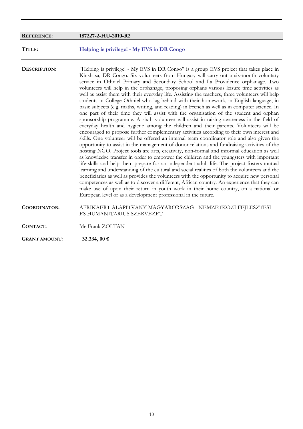| <b>REFERENCE:</b>    | 187227-2-HU-2010-R2                                                                                                                                                                                                                                                                                                                                                                                                                                                                                                                                                                                                                                                                                                                                                                                                                                                                                                                                                                                                                                                                                                                                                                                                                                                                                                                                                                                                                                                                                                                                                                                                                                                                                                                                                                                                                                                                                                                                                                                  |
|----------------------|------------------------------------------------------------------------------------------------------------------------------------------------------------------------------------------------------------------------------------------------------------------------------------------------------------------------------------------------------------------------------------------------------------------------------------------------------------------------------------------------------------------------------------------------------------------------------------------------------------------------------------------------------------------------------------------------------------------------------------------------------------------------------------------------------------------------------------------------------------------------------------------------------------------------------------------------------------------------------------------------------------------------------------------------------------------------------------------------------------------------------------------------------------------------------------------------------------------------------------------------------------------------------------------------------------------------------------------------------------------------------------------------------------------------------------------------------------------------------------------------------------------------------------------------------------------------------------------------------------------------------------------------------------------------------------------------------------------------------------------------------------------------------------------------------------------------------------------------------------------------------------------------------------------------------------------------------------------------------------------------------|
| TITLE:               | Helping is privilege! - My EVS in DR Congo                                                                                                                                                                                                                                                                                                                                                                                                                                                                                                                                                                                                                                                                                                                                                                                                                                                                                                                                                                                                                                                                                                                                                                                                                                                                                                                                                                                                                                                                                                                                                                                                                                                                                                                                                                                                                                                                                                                                                           |
| DESCRIPTION:         | "Helping is privilege! - My EVS in DR Congo" is a group EVS project that takes place in<br>Kinshasa, DR Congo. Six volunteers from Hungary will carry out a six-month voluntary<br>service in Othniel Primary and Secondary School and La Providence orphanage. Two<br>volunteers will help in the orphanage, proposing orphans various leisure time activities as<br>well as assist them with their everyday life. Assisting the teachers, three volunteers will help<br>students in College Othniel who lag behind with their homework, in English language, in<br>basic subjects (e.g. maths, writing, and reading) in French as well as in computer science. In<br>one part of their time they will assist with the organisation of the student and orphan<br>sponsorship programme. A sixth volunteer will assist in raising awareness in the field of<br>everyday health and hygiene among the children and their parents. Volunteers will be<br>encouraged to propose further complementary activities according to their own interest and<br>skills. One volunteer will be offered an internal team coordinator role and also given the<br>opportunity to assist in the management of donor relations and fundraising activities of the<br>hosting NGO. Project tools are arts, creativity, non-formal and informal education as well<br>as knowledge transfer in order to empower the children and the youngsters with important<br>life-skills and help them prepare for an independent adult life. The project fosters mutual<br>learning and understanding of the cultural and social realities of both the volunteers and the<br>beneficiaries as well as provides the volunteers with the opportunity to acquire new personal<br>competences as well as to discover a different, African country. An experience that they can<br>make use of upon their return in youth work in their home country, on a national or<br>European level or as a development professional in the future. |
| <b>COORDINATOR:</b>  | AFRIKAERT ALAPITVANY MAGYARORSZAG - NEMZETKOZI FEJLESZTESI<br>ES HUMANITARIUS SZERVEZET                                                                                                                                                                                                                                                                                                                                                                                                                                                                                                                                                                                                                                                                                                                                                                                                                                                                                                                                                                                                                                                                                                                                                                                                                                                                                                                                                                                                                                                                                                                                                                                                                                                                                                                                                                                                                                                                                                              |
| <b>CONTACT:</b>      | Me Frank ZOLTAN                                                                                                                                                                                                                                                                                                                                                                                                                                                                                                                                                                                                                                                                                                                                                                                                                                                                                                                                                                                                                                                                                                                                                                                                                                                                                                                                                                                                                                                                                                                                                                                                                                                                                                                                                                                                                                                                                                                                                                                      |
| <b>GRANT AMOUNT:</b> | 32.334, 00 €                                                                                                                                                                                                                                                                                                                                                                                                                                                                                                                                                                                                                                                                                                                                                                                                                                                                                                                                                                                                                                                                                                                                                                                                                                                                                                                                                                                                                                                                                                                                                                                                                                                                                                                                                                                                                                                                                                                                                                                         |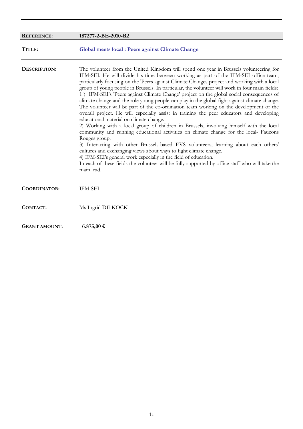| <b>REFERENCE:</b>    | 187277-2-BE-2010-R2                                                                                                                                                                                                                                                                                                                                                                                                                                                                                                                                                                                                                                                                                                                                                                                                                                                                                                                                                                                                                                                                                                                                                                                                                                                                                                                                                  |
|----------------------|----------------------------------------------------------------------------------------------------------------------------------------------------------------------------------------------------------------------------------------------------------------------------------------------------------------------------------------------------------------------------------------------------------------------------------------------------------------------------------------------------------------------------------------------------------------------------------------------------------------------------------------------------------------------------------------------------------------------------------------------------------------------------------------------------------------------------------------------------------------------------------------------------------------------------------------------------------------------------------------------------------------------------------------------------------------------------------------------------------------------------------------------------------------------------------------------------------------------------------------------------------------------------------------------------------------------------------------------------------------------|
| TITLE:               | <b>Global meets local : Peers against Climate Change</b>                                                                                                                                                                                                                                                                                                                                                                                                                                                                                                                                                                                                                                                                                                                                                                                                                                                                                                                                                                                                                                                                                                                                                                                                                                                                                                             |
| DESCRIPTION:         | The volunteer from the United Kingdom will spend one year in Brussels volunteering for<br>IFM-SEI. He will divide his time between working as part of the IFM-SEI office team,<br>particularly focusing on the 'Peers against Climate Changes project and working with a local<br>group of young people in Brussels. In particular, the volunteer will work in four main fields:<br>1) IFM-SEI's 'Peers against Climate Change' project on the global social consequences of<br>climate change and the role young people can play in the global fight against climate change.<br>The volunteer will be part of the co-ordination team working on the development of the<br>overall project. He will especially assist in training the peer educators and developing<br>educational material on climate change.<br>2) Working with a local group of children in Brussels, involving himself with the local<br>community and running educational activities on climate change for the local- Faucons<br>Rouges group.<br>3) Interacting with other Brussels-based EVS volunteers, learning about each others'<br>cultures and exchanging views about ways to fight climate change.<br>4) IFM-SEI's general work especially in the field of education.<br>In each of these fields the volunteer will be fully supported by office staff who will take the<br>main lead. |
| <b>COORDINATOR:</b>  | IFM-SEI                                                                                                                                                                                                                                                                                                                                                                                                                                                                                                                                                                                                                                                                                                                                                                                                                                                                                                                                                                                                                                                                                                                                                                                                                                                                                                                                                              |
| <b>CONTACT:</b>      | Ms Ingrid DE KOCK                                                                                                                                                                                                                                                                                                                                                                                                                                                                                                                                                                                                                                                                                                                                                                                                                                                                                                                                                                                                                                                                                                                                                                                                                                                                                                                                                    |
| <b>GRANT AMOUNT:</b> | 6.875,00 €                                                                                                                                                                                                                                                                                                                                                                                                                                                                                                                                                                                                                                                                                                                                                                                                                                                                                                                                                                                                                                                                                                                                                                                                                                                                                                                                                           |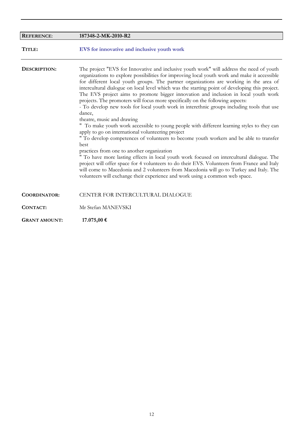| <b>REFERENCE:</b>    | 187348-2-MK-2010-R2                                                                                                                                                                                                                                                                                                                                                                                                                                                                                                                                                                                                                                                                                                                                                                                                                                                                                                                                                                                                                                                                                                                                                                                                                                                                                                                                                           |
|----------------------|-------------------------------------------------------------------------------------------------------------------------------------------------------------------------------------------------------------------------------------------------------------------------------------------------------------------------------------------------------------------------------------------------------------------------------------------------------------------------------------------------------------------------------------------------------------------------------------------------------------------------------------------------------------------------------------------------------------------------------------------------------------------------------------------------------------------------------------------------------------------------------------------------------------------------------------------------------------------------------------------------------------------------------------------------------------------------------------------------------------------------------------------------------------------------------------------------------------------------------------------------------------------------------------------------------------------------------------------------------------------------------|
| TITLE:               | EVS for innovative and inclusive youth work                                                                                                                                                                                                                                                                                                                                                                                                                                                                                                                                                                                                                                                                                                                                                                                                                                                                                                                                                                                                                                                                                                                                                                                                                                                                                                                                   |
| DESCRIPTION:         | The project "EVS for Innovative and inclusive youth work" will address the need of youth<br>organizations to explore possibilities for improving local youth work and make it accessible<br>for different local youth groups. The partner organizations are working in the area of<br>intercultural dialogue on local level which was the starting point of developing this project.<br>The EVS project aims to promote bigger innovation and inclusion in local youth work<br>projects. The promoters will focus more specifically on the following aspects:<br>- To develop new tools for local youth work in interethnic groups including tools that use<br>dance,<br>theatre, music and drawing<br>" To make youth work accessible to young people with different learning styles to they can<br>apply to go on international volunteering project<br>" To develop competences of volunteers to become youth workers and be able to transfer<br>best<br>practices from one to another organization<br>" To have more lasting effects in local youth work focused on intercultural dialogue. The<br>project will offer space for 4 volunteers to do their EVS. Volunteers from France and Italy<br>will come to Macedonia and 2 volunteers from Macedonia will go to Turkey and Italy. The<br>volunteers will exchange their experience and work using a common web space. |
| <b>COORDINATOR:</b>  | CENTER FOR INTERCULTURAL DIALOGUE                                                                                                                                                                                                                                                                                                                                                                                                                                                                                                                                                                                                                                                                                                                                                                                                                                                                                                                                                                                                                                                                                                                                                                                                                                                                                                                                             |
| <b>CONTACT:</b>      | Mr Stefan MANEVSKI                                                                                                                                                                                                                                                                                                                                                                                                                                                                                                                                                                                                                                                                                                                                                                                                                                                                                                                                                                                                                                                                                                                                                                                                                                                                                                                                                            |
| <b>GRANT AMOUNT:</b> | 17.075,00 €                                                                                                                                                                                                                                                                                                                                                                                                                                                                                                                                                                                                                                                                                                                                                                                                                                                                                                                                                                                                                                                                                                                                                                                                                                                                                                                                                                   |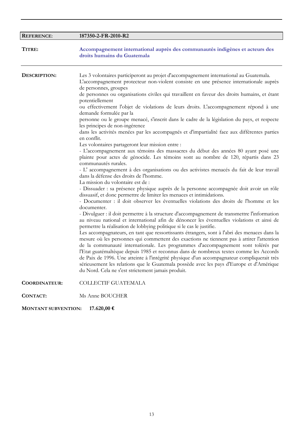| <b>REFERENCE:</b>    | 187350-2-FR-2010-R2                                                                                                                                                                                                                                                                                                                                                                                                                                                                                                                                                                                                                                                                                                                                                                                                                                                                                                                                                                                                                                                                                                                                                                                                                                                                                                                                                                                                                                                                                                                                                                                                                                                                                                                                                                                                                                                                                                                                                                                                                                                                                                                                                                                                                                                                                                       |
|----------------------|---------------------------------------------------------------------------------------------------------------------------------------------------------------------------------------------------------------------------------------------------------------------------------------------------------------------------------------------------------------------------------------------------------------------------------------------------------------------------------------------------------------------------------------------------------------------------------------------------------------------------------------------------------------------------------------------------------------------------------------------------------------------------------------------------------------------------------------------------------------------------------------------------------------------------------------------------------------------------------------------------------------------------------------------------------------------------------------------------------------------------------------------------------------------------------------------------------------------------------------------------------------------------------------------------------------------------------------------------------------------------------------------------------------------------------------------------------------------------------------------------------------------------------------------------------------------------------------------------------------------------------------------------------------------------------------------------------------------------------------------------------------------------------------------------------------------------------------------------------------------------------------------------------------------------------------------------------------------------------------------------------------------------------------------------------------------------------------------------------------------------------------------------------------------------------------------------------------------------------------------------------------------------------------------------------------------------|
| TITRE:               | Accompagnement international auprès des communautés indigènes et acteurs des<br>droits humains du Guatemala                                                                                                                                                                                                                                                                                                                                                                                                                                                                                                                                                                                                                                                                                                                                                                                                                                                                                                                                                                                                                                                                                                                                                                                                                                                                                                                                                                                                                                                                                                                                                                                                                                                                                                                                                                                                                                                                                                                                                                                                                                                                                                                                                                                                               |
| DESCRIPTION:         | Les 3 volontaires participeront au projet d'accompagnement international au Guatemala.<br>L'accompagnement protecteur non-violent consiste en une présence internationale auprès<br>de personnes, groupes<br>de personnes ou organisations civiles qui travaillent en faveur des droits humains, et étant<br>potentiellement<br>ou effectivement l'objet de violations de leurs droits. L'accompagnement répond à une<br>demande formulée par la<br>personne ou le groupe menacé, s'inscrit dans le cadre de la législation du pays, et respecte<br>les principes de non-ingérence<br>dans les activités menées par les accompagnés et d'impartialité face aux différentes parties<br>en conflit.<br>Les volontaires partageront leur mission entre :<br>- L'accompagnement aux témoins des massacres du début des années 80 ayant posé une<br>plainte pour actes de génocide. Les témoins sont au nombre de 120, répartis dans 23<br>communautés rurales.<br>- L'accompagnement à des organisations ou des activistes menacés du fait de leur travail<br>dans la défense des droits de l'homme.<br>La mission du volontaire est de :<br>- Dissuader : sa présence physique auprès de la personne accompagnée doit avoir un rôle<br>dissuasif, et donc permettre de limiter les menaces et intimidations.<br>- Documenter : il doit observer les éventuelles violations des droits de l'homme et les<br>documenter.<br>- Divulguer : il doit permettre à la structure d'accompagnement de transmettre l'information<br>au niveau national et international afin de dénoncer les éventuelles violations et ainsi de<br>permettre la réalisation de lobbying politique si le cas le justifie.<br>Les accompagnateurs, en tant que ressortissants étrangers, sont à l'abri des menaces dans la<br>mesure où les personnes qui commettent des exactions ne tiennent pas à attirer l'attention<br>de la communauté internationale. Les programmes d'accompagnement sont tolérés par<br>l'Etat guatémaltèque depuis 1985 et reconnus dans de nombreux textes comme les Accords<br>de Paix de 1996. Une atteinte à l'intégrité physique d'un accompagnateur compliquerait très<br>sérieusement les relations que le Guatemala possède avec les pays d'Europe et d'Amérique<br>du Nord. Cela ne s'est strictement jamais produit. |
| <b>COORDINATEUR:</b> | COLLECTIF GUATEMALA                                                                                                                                                                                                                                                                                                                                                                                                                                                                                                                                                                                                                                                                                                                                                                                                                                                                                                                                                                                                                                                                                                                                                                                                                                                                                                                                                                                                                                                                                                                                                                                                                                                                                                                                                                                                                                                                                                                                                                                                                                                                                                                                                                                                                                                                                                       |
| <b>CONTACT:</b>      | Ms Anne BOUCHER                                                                                                                                                                                                                                                                                                                                                                                                                                                                                                                                                                                                                                                                                                                                                                                                                                                                                                                                                                                                                                                                                                                                                                                                                                                                                                                                                                                                                                                                                                                                                                                                                                                                                                                                                                                                                                                                                                                                                                                                                                                                                                                                                                                                                                                                                                           |

**MONTANT SUBVENTION: 17.620,00 €**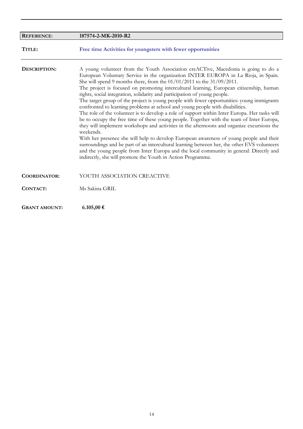| <b>REFERENCE:</b>    | 187574-2-MK-2010-R2                                                                                                                                                                                                                                                                                                                                                                                                                                                                                                                                                                                                                                                                                                                                                                                                                                                                                                                                                                                                                                                                                                                                                                                                                                                        |
|----------------------|----------------------------------------------------------------------------------------------------------------------------------------------------------------------------------------------------------------------------------------------------------------------------------------------------------------------------------------------------------------------------------------------------------------------------------------------------------------------------------------------------------------------------------------------------------------------------------------------------------------------------------------------------------------------------------------------------------------------------------------------------------------------------------------------------------------------------------------------------------------------------------------------------------------------------------------------------------------------------------------------------------------------------------------------------------------------------------------------------------------------------------------------------------------------------------------------------------------------------------------------------------------------------|
| TITLE:               | Free time Activities for youngsters with fewer opportunities                                                                                                                                                                                                                                                                                                                                                                                                                                                                                                                                                                                                                                                                                                                                                                                                                                                                                                                                                                                                                                                                                                                                                                                                               |
| DESCRIPTION:         | A young volunteer from the Youth Association creACTive, Macedonia is going to do a<br>European Voluntary Service in the organization INTER EUROPA in La Rioja, in Spain.<br>She will spend 9 months there, from the $01/01/2011$ to the $31/09/2011$ .<br>The project is focused on promoting intercultural learning, European citizenship, human<br>rights, social integration, solidarity and participation of young people.<br>The target group of the project is young people with fewer opportunities: young immigrants<br>confronted to learning problems at school and young people with disabilities.<br>The role of the volunteer is to develop a role of support within Inter Europa. Her tasks will<br>be to occupy the free time of these young people. Together with the team of Inter Europa,<br>they will implement workshops and activities in the afternoons and organize excursions the<br>weekends.<br>With her presence she will help to develop European awareness of young people and their<br>surroundings and be part of an intercultural learning between her, the other EVS volunteers<br>and the young people from Inter Europa and the local community in general. Directly and<br>indirectly, she will promote the Youth in Action Programme. |
| <b>COORDINATOR:</b>  | YOUTH ASSOCIATION CREACTIVE                                                                                                                                                                                                                                                                                                                                                                                                                                                                                                                                                                                                                                                                                                                                                                                                                                                                                                                                                                                                                                                                                                                                                                                                                                                |
| <b>CONTACT:</b>      | Ms Sakina GRIL                                                                                                                                                                                                                                                                                                                                                                                                                                                                                                                                                                                                                                                                                                                                                                                                                                                                                                                                                                                                                                                                                                                                                                                                                                                             |
| <b>GRANT AMOUNT:</b> | 6.105,00 €                                                                                                                                                                                                                                                                                                                                                                                                                                                                                                                                                                                                                                                                                                                                                                                                                                                                                                                                                                                                                                                                                                                                                                                                                                                                 |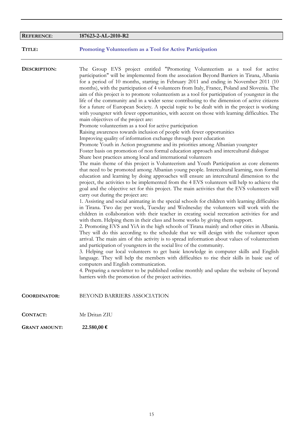| <b>REFERENCE:</b>   | 187623-2-AL-2010-R2                                                                                                                                                                                                                                                                                                                                                                                                                                                                                                                                                                                                                                                                                                                                                                                                                                                                                                                                                                                                                                                                                                                                                                                                                                                                                                                                                                                                                                                                                                                                                                                                                                                                                                                                                                                                                                                                                                                                                                                                                                                                                                                                                                                                                                                                                                                                                                                                                                                                                                                                                                                                                                                                                                                                                                                                                                                                                                           |
|---------------------|-------------------------------------------------------------------------------------------------------------------------------------------------------------------------------------------------------------------------------------------------------------------------------------------------------------------------------------------------------------------------------------------------------------------------------------------------------------------------------------------------------------------------------------------------------------------------------------------------------------------------------------------------------------------------------------------------------------------------------------------------------------------------------------------------------------------------------------------------------------------------------------------------------------------------------------------------------------------------------------------------------------------------------------------------------------------------------------------------------------------------------------------------------------------------------------------------------------------------------------------------------------------------------------------------------------------------------------------------------------------------------------------------------------------------------------------------------------------------------------------------------------------------------------------------------------------------------------------------------------------------------------------------------------------------------------------------------------------------------------------------------------------------------------------------------------------------------------------------------------------------------------------------------------------------------------------------------------------------------------------------------------------------------------------------------------------------------------------------------------------------------------------------------------------------------------------------------------------------------------------------------------------------------------------------------------------------------------------------------------------------------------------------------------------------------------------------------------------------------------------------------------------------------------------------------------------------------------------------------------------------------------------------------------------------------------------------------------------------------------------------------------------------------------------------------------------------------------------------------------------------------------------------------------------------------|
| TITLE:              | Promoting Volunteerism as a Tool for Active Participation                                                                                                                                                                                                                                                                                                                                                                                                                                                                                                                                                                                                                                                                                                                                                                                                                                                                                                                                                                                                                                                                                                                                                                                                                                                                                                                                                                                                                                                                                                                                                                                                                                                                                                                                                                                                                                                                                                                                                                                                                                                                                                                                                                                                                                                                                                                                                                                                                                                                                                                                                                                                                                                                                                                                                                                                                                                                     |
| DESCRIPTION:        | The Group EVS project entitled "Promoting Volunteerism as a tool for active<br>participation" will be implemented from the association Beyond Barriers in Tirana, Albania<br>for a period of 10 months, starting in February 2011 and ending in November 2011 (10<br>months), with the participation of 4 volunteers from Italy, France, Poland and Slovenia. The<br>aim of this project is to promote volunteerism as a tool for participation of youngster in the<br>life of the community and in a wider sense contributing to the dimension of active citizens<br>for a future of European Society. A special topic to be dealt with in the project is working<br>with youngster with fewer opportunities, with accent on those with learning difficulties. The<br>main objectives of the project are:<br>Promote volunteerism as a tool for active participation<br>Raising awareness towards inclusion of people with fewer opportunities<br>Improving quality of information exchange through peer education<br>Promote Youth in Action programme and its priorities among Albanian youngster<br>Foster basis on promotion of non formal education approach and intercultural dialogue<br>Share best practices among local and international volunteers<br>The main theme of this project is Volunteerism and Youth Participation as core elements<br>that need to be promoted among Albanian young people. Intercultural learning, non formal<br>education and learning by doing approaches will ensure an intercultural dimension to the<br>project, the activities to be implemented from the 4 EVS volunteers will help to achieve the<br>goal and the objective set for this project. The main activities that the EVS volunteers will<br>carry out during the project are:<br>1. Assisting and social animating in the special schools for children with learning difficulties<br>in Tirana. Two day per week, Tuesday and Wednesday the volunteers will work with the<br>children in collaboration with their teacher in creating social recreation activities for and<br>with them. Helping them in their class and home works by giving them support.<br>2. Promoting EVS and YiA in the high schools of Tirana mainly and other cities in Albania.<br>They will do this according to the schedule that we will design with the volunteer upon<br>arrival. The main aim of this activity is to spread information about values of volunteerism<br>and participation of youngsters in the social live of the community.<br>3. Helping our local volunteers to get basic knowledge in computer skills and English<br>language. They will help the members with difficulties to rise their skills in basic use of<br>computers and English communication.<br>4. Preparing a newsletter to be published online monthly and update the website of beyond<br>barriers with the promotion of the project activities. |
| <b>COORDINATOR:</b> | BEYOND BARRIERS ASSOCIATION                                                                                                                                                                                                                                                                                                                                                                                                                                                                                                                                                                                                                                                                                                                                                                                                                                                                                                                                                                                                                                                                                                                                                                                                                                                                                                                                                                                                                                                                                                                                                                                                                                                                                                                                                                                                                                                                                                                                                                                                                                                                                                                                                                                                                                                                                                                                                                                                                                                                                                                                                                                                                                                                                                                                                                                                                                                                                                   |
| <b>CONTACT:</b>     | Mr Dritan ZIU                                                                                                                                                                                                                                                                                                                                                                                                                                                                                                                                                                                                                                                                                                                                                                                                                                                                                                                                                                                                                                                                                                                                                                                                                                                                                                                                                                                                                                                                                                                                                                                                                                                                                                                                                                                                                                                                                                                                                                                                                                                                                                                                                                                                                                                                                                                                                                                                                                                                                                                                                                                                                                                                                                                                                                                                                                                                                                                 |

**GRANT AMOUNT: 22.580,00 €**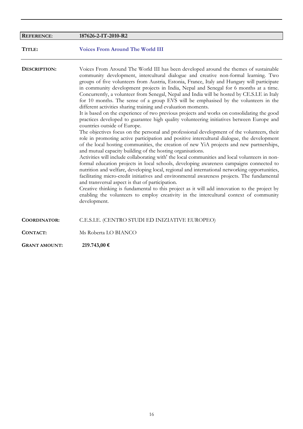| <b>REFERENCE:</b>    | 187626-2-IT-2010-R2                                                                                                                                                                                                                                                                                                                                                                                                                                                                                                                                                                                                                                                                                                                                                                                                                                                                                                                                                                                                                                                                                                                                                                                                                                                                                                                                                                                                                                                                                                                                                                                                                                                                                                                                                                                                                                                     |
|----------------------|-------------------------------------------------------------------------------------------------------------------------------------------------------------------------------------------------------------------------------------------------------------------------------------------------------------------------------------------------------------------------------------------------------------------------------------------------------------------------------------------------------------------------------------------------------------------------------------------------------------------------------------------------------------------------------------------------------------------------------------------------------------------------------------------------------------------------------------------------------------------------------------------------------------------------------------------------------------------------------------------------------------------------------------------------------------------------------------------------------------------------------------------------------------------------------------------------------------------------------------------------------------------------------------------------------------------------------------------------------------------------------------------------------------------------------------------------------------------------------------------------------------------------------------------------------------------------------------------------------------------------------------------------------------------------------------------------------------------------------------------------------------------------------------------------------------------------------------------------------------------------|
| TITLE:               | <b>Voices From Around The World III</b>                                                                                                                                                                                                                                                                                                                                                                                                                                                                                                                                                                                                                                                                                                                                                                                                                                                                                                                                                                                                                                                                                                                                                                                                                                                                                                                                                                                                                                                                                                                                                                                                                                                                                                                                                                                                                                 |
| DESCRIPTION:         | Voices From Around The World III has been developed around the themes of sustainable<br>community development, intercultural dialogue and creative non-formal learning. Two<br>groups of five volunteers from Austria, Estonia, France, Italy and Hungary will participate<br>in community development projects in India, Nepal and Senegal for 6 months at a time.<br>Concurrently, a volunteer from Senegal, Nepal and India will be hosted by CE.S.I.E in Italy<br>for 10 months. The sense of a group EVS will be emphasised by the volunteers in the<br>different activities sharing training and evaluation moments.<br>It is based on the experience of two previous projects and works on consolidating the good<br>practices developed to guarantee high quality volunteering initiatives between Europe and<br>countries outside of Europe.<br>The objectives focus on the personal and professional development of the volunteers, their<br>role in promoting active participation and positive intercultural dialogue, the development<br>of the local hosting communities, the creation of new YiA projects and new partnerships,<br>and mutual capacity building of the hosting organisations.<br>Activities will include collaborating with' the local communities and local volunteers in non-<br>formal education projects in local schools, developing awareness campaigns connected to<br>nutrition and welfare, developing local, regional and international networking opportunities,<br>facilitating micro-credit initiatives and environmental awareness projects. The fundamental<br>and transversal aspect is that of participation.<br>Creative thinking is fundamental to this project as it will add innovation to the project by<br>enabling the volunteers to employ creativity in the intercultural context of community<br>development. |
| <b>COORDINATOR:</b>  | C.E.S.I.E. (CENTRO STUDI ED INIZIATIVE EUROPEO)                                                                                                                                                                                                                                                                                                                                                                                                                                                                                                                                                                                                                                                                                                                                                                                                                                                                                                                                                                                                                                                                                                                                                                                                                                                                                                                                                                                                                                                                                                                                                                                                                                                                                                                                                                                                                         |
| <b>CONTACT:</b>      | Ms Roberta LO BIANCO                                                                                                                                                                                                                                                                                                                                                                                                                                                                                                                                                                                                                                                                                                                                                                                                                                                                                                                                                                                                                                                                                                                                                                                                                                                                                                                                                                                                                                                                                                                                                                                                                                                                                                                                                                                                                                                    |
| <b>GRANT AMOUNT:</b> | 219.743,00 €                                                                                                                                                                                                                                                                                                                                                                                                                                                                                                                                                                                                                                                                                                                                                                                                                                                                                                                                                                                                                                                                                                                                                                                                                                                                                                                                                                                                                                                                                                                                                                                                                                                                                                                                                                                                                                                            |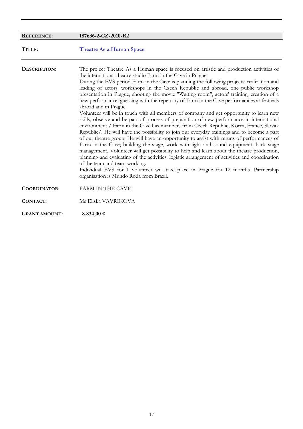| <b>REFERENCE:</b>    | 187636-2-CZ-2010-R2                                                                                                                                                                                                                                                                                                                                                                                                                                                                                                                                                                                                                                                                                                                                                                                                                                                                                                                                                                                                                                                                                                                                                                                                                                                                                                                                                                                                                                                                                         |
|----------------------|-------------------------------------------------------------------------------------------------------------------------------------------------------------------------------------------------------------------------------------------------------------------------------------------------------------------------------------------------------------------------------------------------------------------------------------------------------------------------------------------------------------------------------------------------------------------------------------------------------------------------------------------------------------------------------------------------------------------------------------------------------------------------------------------------------------------------------------------------------------------------------------------------------------------------------------------------------------------------------------------------------------------------------------------------------------------------------------------------------------------------------------------------------------------------------------------------------------------------------------------------------------------------------------------------------------------------------------------------------------------------------------------------------------------------------------------------------------------------------------------------------------|
| TITLE:               | <b>Theatre As a Human Space</b>                                                                                                                                                                                                                                                                                                                                                                                                                                                                                                                                                                                                                                                                                                                                                                                                                                                                                                                                                                                                                                                                                                                                                                                                                                                                                                                                                                                                                                                                             |
| DESCRIPTION:         | The project Theatre As a Human space is focused on artistic and production activities of<br>the international theatre studio Farm in the Cave in Prague.<br>During the EVS period Farm in the Cave is planning the following projects: realization and<br>leading of actors' workshops in the Czech Republic and abroad, one public workshop<br>presentation in Prague, shooting the movie "Waiting room", actors' training, creation of a<br>new performance, guessing with the repertory of Farm in the Cave performances at festivals<br>abroad and in Prague.<br>Volunteer will be in touch with all members of company and get opportunity to learn new<br>skills, observe and be part of process of preparation of new performance in international<br>environment / Farm in the Cave has members from Czech Republic, Korea, France, Slovak<br>Republic/. He will have the possibility to join our everyday trainings and to become a part<br>of our theatre group. He will have an opportunity to assist with reruns of performances of<br>Farm in the Cave; building the stage, work with light and sound equipment, back stage<br>management. Volunteer will get possibility to help and learn about the theatre production,<br>planning and evaluating of the activities, logistic arrangement of activities and coordination<br>of the team and team-working.<br>Individual EVS for 1 volunteer will take place in Prague for 12 months. Partnership<br>organisation is Mundo Roda from Brazil. |
| <b>COORDINATOR:</b>  | <b>FARM IN THE CAVE</b>                                                                                                                                                                                                                                                                                                                                                                                                                                                                                                                                                                                                                                                                                                                                                                                                                                                                                                                                                                                                                                                                                                                                                                                                                                                                                                                                                                                                                                                                                     |
| <b>CONTACT:</b>      | Ms Eliska VAVRIKOVA                                                                                                                                                                                                                                                                                                                                                                                                                                                                                                                                                                                                                                                                                                                                                                                                                                                                                                                                                                                                                                                                                                                                                                                                                                                                                                                                                                                                                                                                                         |
| <b>GRANT AMOUNT:</b> | 8.834,00 €                                                                                                                                                                                                                                                                                                                                                                                                                                                                                                                                                                                                                                                                                                                                                                                                                                                                                                                                                                                                                                                                                                                                                                                                                                                                                                                                                                                                                                                                                                  |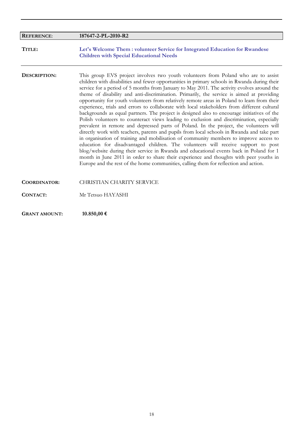| <b>REFERENCE:</b>    | 187647-2-PL-2010-R2                                                                                                                                                                                                                                                                                                                                                                                                                                                                                                                                                                                                                                                                                                                                                                                                                                                                                                                                                                                                                                                                                                                                                                                                                                                                                                                                                                                                         |
|----------------------|-----------------------------------------------------------------------------------------------------------------------------------------------------------------------------------------------------------------------------------------------------------------------------------------------------------------------------------------------------------------------------------------------------------------------------------------------------------------------------------------------------------------------------------------------------------------------------------------------------------------------------------------------------------------------------------------------------------------------------------------------------------------------------------------------------------------------------------------------------------------------------------------------------------------------------------------------------------------------------------------------------------------------------------------------------------------------------------------------------------------------------------------------------------------------------------------------------------------------------------------------------------------------------------------------------------------------------------------------------------------------------------------------------------------------------|
| TITLE:               | Let's Welcome Them : volunteer Service for Integrated Education for Rwandese<br><b>Children with Special Educational Needs</b>                                                                                                                                                                                                                                                                                                                                                                                                                                                                                                                                                                                                                                                                                                                                                                                                                                                                                                                                                                                                                                                                                                                                                                                                                                                                                              |
| DESCRIPTION:         | This group EVS project involves two youth volunteers from Poland who are to assist<br>children with disabilities and fewer opportunities in primary schools in Rwanda during their<br>service for a period of 5 months from January to May 2011. The activity evolves around the<br>theme of disability and anti-discrimination. Primarily, the service is aimed at providing<br>opportunity for youth volunteers from relatively remote areas in Poland to leam from their<br>experience, trials and errors to collaborate with local stakeholders from different cultural<br>backgrounds as equal partners. The project is designed also to encourage initiatives of the<br>Polish volunteers to counteract views leading to exclusion and discrimination, especially<br>prevalent in remote and depressed parts of Poland. In the project, the volunteers will<br>directly work with teachers, parents and pupils from local schools in Rwanda and take part<br>in organisation of training and mobilisation of community members to improve access to<br>education for disadvantaged children. The volunteers will receive support to post<br>blog/website during their service in Rwanda and educational events back in Poland for 1<br>month in June 2011 in order to share their experience and thoughts with peer youths in<br>Europe and the rest of the home communities, calling them for reflection and action. |
| <b>COORDINATOR:</b>  | <b>CHRISTIAN CHARITY SERVICE</b>                                                                                                                                                                                                                                                                                                                                                                                                                                                                                                                                                                                                                                                                                                                                                                                                                                                                                                                                                                                                                                                                                                                                                                                                                                                                                                                                                                                            |
| CONTACT:             | Mr Tetsuo HAYASHI                                                                                                                                                                                                                                                                                                                                                                                                                                                                                                                                                                                                                                                                                                                                                                                                                                                                                                                                                                                                                                                                                                                                                                                                                                                                                                                                                                                                           |
| <b>GRANT AMOUNT:</b> | 10.850,00 €                                                                                                                                                                                                                                                                                                                                                                                                                                                                                                                                                                                                                                                                                                                                                                                                                                                                                                                                                                                                                                                                                                                                                                                                                                                                                                                                                                                                                 |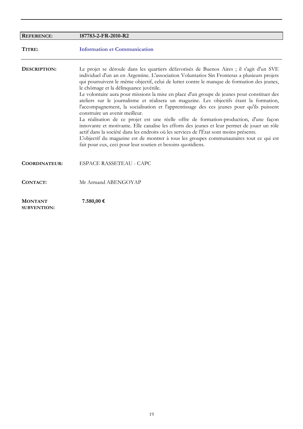| <b>REFERENCE:</b>                    | 187783-2-FR-2010-R2                                                                                                                                                                                                                                                                                                                                                                                                                                                                                                                                                                                                                                                                                                                                                                                                                                                                                                                                                                                                                                                                                      |
|--------------------------------------|----------------------------------------------------------------------------------------------------------------------------------------------------------------------------------------------------------------------------------------------------------------------------------------------------------------------------------------------------------------------------------------------------------------------------------------------------------------------------------------------------------------------------------------------------------------------------------------------------------------------------------------------------------------------------------------------------------------------------------------------------------------------------------------------------------------------------------------------------------------------------------------------------------------------------------------------------------------------------------------------------------------------------------------------------------------------------------------------------------|
| TITRE:                               | <b>Information et Communication</b>                                                                                                                                                                                                                                                                                                                                                                                                                                                                                                                                                                                                                                                                                                                                                                                                                                                                                                                                                                                                                                                                      |
| DESCRIPTION:                         | Le projet se déroule dans les quartiers défavorisés de Buenos Aires ; il s'agit d'un SVE<br>individuel d'un an en Argentine. L'association Voluntarios Sin Fronteras a plusieurs projets<br>qui poursuivent le même objectif, celui de lutter contre le manque de formation des jeunes,<br>le chômage et la délinquance juvénile.<br>Le volontaire aura pour missions la mise en place d'un groupe de jeunes pour constituer des<br>ateliers sur le journalisme et réalisera un magazine. Les objectifs étant la formation,<br>l'accompagnement, la socialisation et l'apprentissage des ces jeunes pour qu'ils puissent<br>construire un avenir meilleur.<br>La réalisation de ce projet est une réelle offre de formation-production, d'une façon<br>innovante et motivante. Elle canalise les efforts des jeunes et leur permet de jouer un rôle<br>actif dans la société dans les endroits où les services de l'État sont moins présents.<br>L'objectif du magazine est de montrer à tous les groupes communautaires tout ce qui est<br>fait pour eux, ceci pour leur soutien et besoins quotidiens. |
| <b>COORDINATEUR:</b>                 | <b>ESPACE RASSETEAU - CAPC</b>                                                                                                                                                                                                                                                                                                                                                                                                                                                                                                                                                                                                                                                                                                                                                                                                                                                                                                                                                                                                                                                                           |
| CONTACT:                             | Mr Armand ABENGOYAP                                                                                                                                                                                                                                                                                                                                                                                                                                                                                                                                                                                                                                                                                                                                                                                                                                                                                                                                                                                                                                                                                      |
| <b>MONTANT</b><br><b>SUBVENTION:</b> | 7.580,00 €                                                                                                                                                                                                                                                                                                                                                                                                                                                                                                                                                                                                                                                                                                                                                                                                                                                                                                                                                                                                                                                                                               |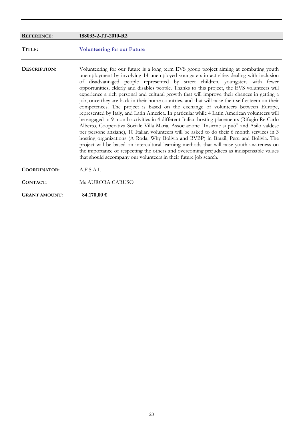| <b>REFERENCE:</b>    | 188035-2-IT-2010-R2                                                                                                                                                                                                                                                                                                                                                                                                                                                                                                                                                                                                                                                                                                                                                                                                                                                                                                                                                                                                                                                                                                                                                                                                                                                                                                                                                                                         |
|----------------------|-------------------------------------------------------------------------------------------------------------------------------------------------------------------------------------------------------------------------------------------------------------------------------------------------------------------------------------------------------------------------------------------------------------------------------------------------------------------------------------------------------------------------------------------------------------------------------------------------------------------------------------------------------------------------------------------------------------------------------------------------------------------------------------------------------------------------------------------------------------------------------------------------------------------------------------------------------------------------------------------------------------------------------------------------------------------------------------------------------------------------------------------------------------------------------------------------------------------------------------------------------------------------------------------------------------------------------------------------------------------------------------------------------------|
| TITLE:               | <b>Volunteering for our Future</b>                                                                                                                                                                                                                                                                                                                                                                                                                                                                                                                                                                                                                                                                                                                                                                                                                                                                                                                                                                                                                                                                                                                                                                                                                                                                                                                                                                          |
| DESCRIPTION:         | Volunteering for our future is a long term EVS group project aiming at combating youth<br>unemployment by involving 14 unemployed youngsters in activities dealing with inclusion<br>of disadvantaged people represented by street children, youngsters with fewer<br>opportunities, elderly and disables people. Thanks to this project, the EVS volunteers will<br>experience a rich personal and cultural growth that will improve their chances in getting a<br>job, once they are back in their home countries, and that will raise their self-esteem on their<br>competences. The project is based on the exchange of volunteers between Europe,<br>represented by Italy, and Latin America. In particular while 4 Latin American volunteers will<br>be engaged in 9 month activities in 4 different Italian hosting placements (Rifugio Re Carlo<br>Alberto, Cooperativa Sociale Villa Maria, Associazione "Insieme si può" and Asilo valdese<br>per persone anziane), 10 Italian volunteers will be asked to do their 6 month services in 3<br>hosting organizations (A Roda, Why Bolivia and BVBP) in Brazil, Peru and Bolivia. The<br>project will be based on intercultural learning methods that will raise youth awareness on<br>the importance of respecting the others and overcoming prejudices as indispensable values<br>that should accompany our volunteers in their future job search. |
| <b>COORDINATOR:</b>  | A.F.S.A.I.                                                                                                                                                                                                                                                                                                                                                                                                                                                                                                                                                                                                                                                                                                                                                                                                                                                                                                                                                                                                                                                                                                                                                                                                                                                                                                                                                                                                  |
| CONTACT:             | Ms AURORA CARUSO                                                                                                                                                                                                                                                                                                                                                                                                                                                                                                                                                                                                                                                                                                                                                                                                                                                                                                                                                                                                                                                                                                                                                                                                                                                                                                                                                                                            |
| <b>GRANT AMOUNT:</b> | 84.170,00 €                                                                                                                                                                                                                                                                                                                                                                                                                                                                                                                                                                                                                                                                                                                                                                                                                                                                                                                                                                                                                                                                                                                                                                                                                                                                                                                                                                                                 |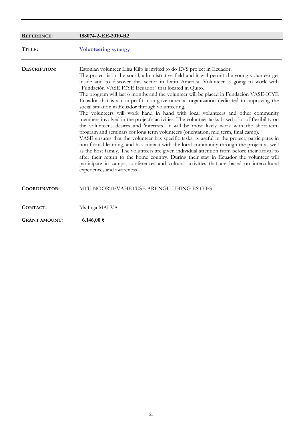| <b>REFERENCE:</b>    | 188074-2-EE-2010-R2                                                                                                                                                                                                                                                                                                                                                                                                                                                                                                                                                                                                                                                                                                                                                                                                                                                                                                                                                                                                                                                                                                                                                                                                                                                                                                                                                                                                                                          |
|----------------------|--------------------------------------------------------------------------------------------------------------------------------------------------------------------------------------------------------------------------------------------------------------------------------------------------------------------------------------------------------------------------------------------------------------------------------------------------------------------------------------------------------------------------------------------------------------------------------------------------------------------------------------------------------------------------------------------------------------------------------------------------------------------------------------------------------------------------------------------------------------------------------------------------------------------------------------------------------------------------------------------------------------------------------------------------------------------------------------------------------------------------------------------------------------------------------------------------------------------------------------------------------------------------------------------------------------------------------------------------------------------------------------------------------------------------------------------------------------|
| TITLE:               | <b>Volunteering synergy</b>                                                                                                                                                                                                                                                                                                                                                                                                                                                                                                                                                                                                                                                                                                                                                                                                                                                                                                                                                                                                                                                                                                                                                                                                                                                                                                                                                                                                                                  |
| DESCRIPTION:         | Estonian volunteer Liisa Kilp is invited to do EVS project in Ecuador.<br>The project is in the social, administrative field and it will permit the young volunteer get<br>inside and to discover this sector in Latin America. Volunteer is going to work with<br>"Fundación VASE ICYE Ecuador" that located in Quito.<br>The program will last 6 months and the volunteer will be placed in Fundación VASE-ICYE<br>Ecuador that is a non-profit, non-governmental organization dedicated to improving the<br>social situation in Ecuador through volunteering.<br>The volunteers will work hand in hand with local volunteers and other community<br>members involved in the project's activities. The volunteer tasks based a lot of flexibility on<br>the volunteer's desires and 'interests. It will be most likely work with the short-term<br>program and seminars for long term volunteers (orientation, mid term, final camp).<br>VASE ensures that the volunteer has specific tasks, is useful in the project, participates in<br>non-formal learning, and has contact with the local community through the project as well<br>as the host family. The volunteers are given individual attention from before their arrival to<br>after their return to the home country. During their stay in Ecuador the volunteer will<br>participate in camps, conferences and cultural activities that are based on intercultural<br>experiences and awareness |
| <b>COORDINATOR:</b>  | MTU NOORTEVAHETUSE ARENGU UHING ESTYES                                                                                                                                                                                                                                                                                                                                                                                                                                                                                                                                                                                                                                                                                                                                                                                                                                                                                                                                                                                                                                                                                                                                                                                                                                                                                                                                                                                                                       |
| <b>CONTACT:</b>      | Ms Inga MALVA                                                                                                                                                                                                                                                                                                                                                                                                                                                                                                                                                                                                                                                                                                                                                                                                                                                                                                                                                                                                                                                                                                                                                                                                                                                                                                                                                                                                                                                |
| <b>GRANT AMOUNT:</b> | 6.146,00 €                                                                                                                                                                                                                                                                                                                                                                                                                                                                                                                                                                                                                                                                                                                                                                                                                                                                                                                                                                                                                                                                                                                                                                                                                                                                                                                                                                                                                                                   |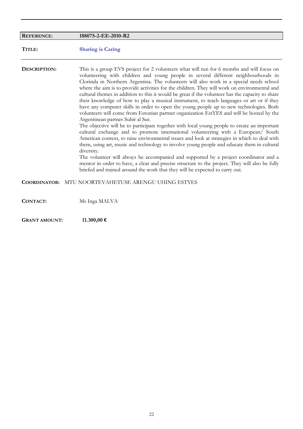| <b>REFERENCE:</b>    | 188075-2-EE-2010-R2                                                                                                                                                                                                                                                                                                                                                                                                                                                                                                                                                                                                                                                                                                                                                                                                                                                                                                                                                                                                                                                                                                                                                                                                                                                                                                                                                                                                                                                                  |
|----------------------|--------------------------------------------------------------------------------------------------------------------------------------------------------------------------------------------------------------------------------------------------------------------------------------------------------------------------------------------------------------------------------------------------------------------------------------------------------------------------------------------------------------------------------------------------------------------------------------------------------------------------------------------------------------------------------------------------------------------------------------------------------------------------------------------------------------------------------------------------------------------------------------------------------------------------------------------------------------------------------------------------------------------------------------------------------------------------------------------------------------------------------------------------------------------------------------------------------------------------------------------------------------------------------------------------------------------------------------------------------------------------------------------------------------------------------------------------------------------------------------|
| TITLE:               | <b>Sharing is Caring</b>                                                                                                                                                                                                                                                                                                                                                                                                                                                                                                                                                                                                                                                                                                                                                                                                                                                                                                                                                                                                                                                                                                                                                                                                                                                                                                                                                                                                                                                             |
| DESCRIPTION:         | This is a group EVS project for 2 volunteers what will run for 6 months and will focus on<br>volunteering with children and young people in several different neighbourhoods in<br>Clorinda in Northern Argentina. The volunteers will also work in a special needs school<br>where the aim is to provide activities for the children. They will work on environmental and<br>cultural themes in addition to this it would be great if the volunteer has the capacity to share<br>their knowledge of how to play a musical instrument, to teach languages or art or if they<br>have any computer skills in order to open the young people up to new technologies. Both<br>volunteers will come from Estonian partner organization EstYES and will be hosted by the<br>Argentinean partner Subir al Sur.<br>The objective will be to participate together with local young people to create an important<br>cultural exchange and to promote international volunteering with a European/ South<br>American context, to raise environmental issues and look at strategies in which to deal with<br>them, using art, music and technology to involve young people and educate them in cultural<br>diversity.<br>The volunteer will always be accompanied and supported by a project coordinator and a<br>mentor in order to have, a clear and precise structure to the project. They will also be fully<br>briefed and trained around the work that they will be expected to carry out. |
| <b>COORDINATOR:</b>  | MTU NOORTEVAHETUSE ARENGU UHING ESTYES                                                                                                                                                                                                                                                                                                                                                                                                                                                                                                                                                                                                                                                                                                                                                                                                                                                                                                                                                                                                                                                                                                                                                                                                                                                                                                                                                                                                                                               |
| <b>CONTACT:</b>      | Ms Inga MALVA                                                                                                                                                                                                                                                                                                                                                                                                                                                                                                                                                                                                                                                                                                                                                                                                                                                                                                                                                                                                                                                                                                                                                                                                                                                                                                                                                                                                                                                                        |
| <b>GRANT AMOUNT:</b> | 11.300,00€                                                                                                                                                                                                                                                                                                                                                                                                                                                                                                                                                                                                                                                                                                                                                                                                                                                                                                                                                                                                                                                                                                                                                                                                                                                                                                                                                                                                                                                                           |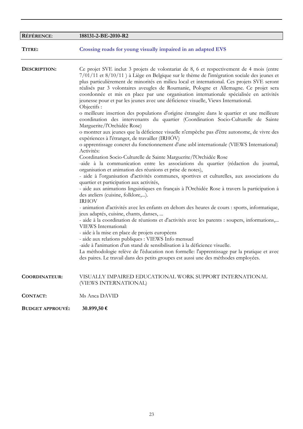| <b>RÉFÉRENCE:</b>       | 188131-2-BE-2010-R2                                                                                                                                                                                                                                                                                                                                                                                                                                                                                                                                                                                                                                                                                                                                                                                                                                                                                                                                                                                                                                                                                                                                                                                                                                                                                                                                                                                                                                                                                                                                                                                                                                                                                                                                                                                                                                                                                                                                                                                                                                                                                                                                                                                                                               |
|-------------------------|---------------------------------------------------------------------------------------------------------------------------------------------------------------------------------------------------------------------------------------------------------------------------------------------------------------------------------------------------------------------------------------------------------------------------------------------------------------------------------------------------------------------------------------------------------------------------------------------------------------------------------------------------------------------------------------------------------------------------------------------------------------------------------------------------------------------------------------------------------------------------------------------------------------------------------------------------------------------------------------------------------------------------------------------------------------------------------------------------------------------------------------------------------------------------------------------------------------------------------------------------------------------------------------------------------------------------------------------------------------------------------------------------------------------------------------------------------------------------------------------------------------------------------------------------------------------------------------------------------------------------------------------------------------------------------------------------------------------------------------------------------------------------------------------------------------------------------------------------------------------------------------------------------------------------------------------------------------------------------------------------------------------------------------------------------------------------------------------------------------------------------------------------------------------------------------------------------------------------------------------------|
| TITRE:                  | Crossing roads for young visually impaired in an adapted EVS                                                                                                                                                                                                                                                                                                                                                                                                                                                                                                                                                                                                                                                                                                                                                                                                                                                                                                                                                                                                                                                                                                                                                                                                                                                                                                                                                                                                                                                                                                                                                                                                                                                                                                                                                                                                                                                                                                                                                                                                                                                                                                                                                                                      |
| DESCRIPTION:            | Ce projet SVE inclut 3 projets de volontariat de 8, 6 et respectivement de 4 mois (entre<br>7/01/11 et 8/10/11) à Liège en Belgique sur le thème de l'intégration sociale des jeunes et<br>plus particulièrement de minorités en milieu local et international. Ces projets SVE seront<br>réalisés par 3 volontaires aveugles de Roumanie, Pologne et Allemagne. Ce projet sera<br>coordonnée et mis en place par une organisation internationale spécialisée en activités<br>jeunesse pour et par les jeunes avec une déficience visuelle, Views International.<br>Objectifs :<br>o meilleure insertion des populations d'origine étrangère dans le quartier et une meilleure<br>coordination des intervenants du quartier (Coordination Socio-Culturelle de Sainte<br>Marguerite/l'Orchidée Rose)<br>o montrer aux jeunes que la déficience visuelle n'empêche pas d'être autonome, de vivre des<br>expériences à l'étranger, de travailler (IRHÓV)<br>o apprentissage concret du fonctionnement d'une asbl internationale (VIEWS International)<br>Activités:<br>Coordination Socio-Culturelle de Sainte Marguerite/l'Orchidée Rose<br>-aide à la communication entre les associations du quartier (rédaction du journal,<br>organisation et animation des réunions et prise de notes),<br>- aide à l'organisation d'activités communes, sportives et culturelles, aux associations du<br>quartier et participation aux activités,<br>- aide aux animations linguistiques en français à l'Orchidée Rose à travers la participation à<br>des ateliers (cuisine, folklore,).<br><b>IRHOV</b><br>- animation d'activités avec les enfants en dehors des heures de cours : sports, informatique,<br>jeux adaptés, cuisine, chants, danses,<br>- aide à la coordination de réunions et d'activités avec les parents : soupers, informations,<br>VIEWS International:<br>- aide à la mise en place de projets européens<br>- aide aux relations publiques : VIEWS Info mensuel<br>-aide à l'animation d'un stand de sensibilisation à la déficience visuelle.<br>La méthodologie relève de l'éducation non formelle: l'apprentissage par la pratique et avec<br>des paires. Le travail dans des petits groupes est aussi une des méthodes employées. |
| <b>COORDINATEUR:</b>    | VISUALLY IMPAIRED EDUCATIONAL WORK SUPPORT INTERNATIONAL<br>(VIEWS INTERNATIONAL)                                                                                                                                                                                                                                                                                                                                                                                                                                                                                                                                                                                                                                                                                                                                                                                                                                                                                                                                                                                                                                                                                                                                                                                                                                                                                                                                                                                                                                                                                                                                                                                                                                                                                                                                                                                                                                                                                                                                                                                                                                                                                                                                                                 |
| <b>CONTACT:</b>         | Ms Anca DAVID                                                                                                                                                                                                                                                                                                                                                                                                                                                                                                                                                                                                                                                                                                                                                                                                                                                                                                                                                                                                                                                                                                                                                                                                                                                                                                                                                                                                                                                                                                                                                                                                                                                                                                                                                                                                                                                                                                                                                                                                                                                                                                                                                                                                                                     |
| <b>BUDGET APPROUVÉ:</b> | 30.899,50 €                                                                                                                                                                                                                                                                                                                                                                                                                                                                                                                                                                                                                                                                                                                                                                                                                                                                                                                                                                                                                                                                                                                                                                                                                                                                                                                                                                                                                                                                                                                                                                                                                                                                                                                                                                                                                                                                                                                                                                                                                                                                                                                                                                                                                                       |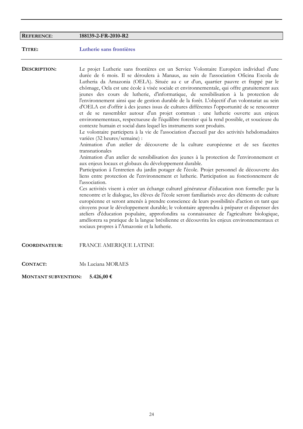| <b>REFERENCE:</b>    | 188139-2-FR-2010-R2                                                                                                                                                                                                                                                                                                                                                                                                                                                                                                                                                                                                                                                                                                                                                                                                                                                                                                                                                                                                                                                                                                                                                                                                                                                                                                                                                                                                                                                                                                                                                                                                                                                                                                                                                                                                                                                                                                                                                                                                                                                                                                                                                                      |
|----------------------|------------------------------------------------------------------------------------------------------------------------------------------------------------------------------------------------------------------------------------------------------------------------------------------------------------------------------------------------------------------------------------------------------------------------------------------------------------------------------------------------------------------------------------------------------------------------------------------------------------------------------------------------------------------------------------------------------------------------------------------------------------------------------------------------------------------------------------------------------------------------------------------------------------------------------------------------------------------------------------------------------------------------------------------------------------------------------------------------------------------------------------------------------------------------------------------------------------------------------------------------------------------------------------------------------------------------------------------------------------------------------------------------------------------------------------------------------------------------------------------------------------------------------------------------------------------------------------------------------------------------------------------------------------------------------------------------------------------------------------------------------------------------------------------------------------------------------------------------------------------------------------------------------------------------------------------------------------------------------------------------------------------------------------------------------------------------------------------------------------------------------------------------------------------------------------------|
| TITRE:               | Lutherie sans frontières                                                                                                                                                                                                                                                                                                                                                                                                                                                                                                                                                                                                                                                                                                                                                                                                                                                                                                                                                                                                                                                                                                                                                                                                                                                                                                                                                                                                                                                                                                                                                                                                                                                                                                                                                                                                                                                                                                                                                                                                                                                                                                                                                                 |
| DESCRIPTION:         | Le projet Lutherie sans frontières est un Service Volontaire Européen individuel d'une<br>durée de 6 mois. Il se déroulera à Manaus, au sein de l'association Oficina Escola de<br>Lutheria da Amazonia (OELA). Située au c ur d'un, quartier pauvre et frappé par le<br>chômage, Oela est une école à visée sociale et environnementale, qui offre gratuitement aux<br>jeunes des cours de lutherie, d'informatique, de sensibilisation à la protection de<br>l'environnement ainsi que de gestion durable de la forêt. L'objectif d'un volontariat au sein<br>d'OELA est d'offrir à des jeunes issus de cultures différentes l'opportunité de se rencontrer<br>et de se rassembler autour d'un projet commun : une lutherie ouverte aux enjeux<br>environnementaux, respectueuse de l'équilibre forestier qui la rend possible, et soucieuse du<br>contexte humain et social dans lequel les instruments sont produits.<br>Le volontaire participera à la vie de l'association d'accueil par des activités hebdomadaires<br>variées (32 heures/semaine) :<br>Animation d'un atelier de découverte de la culture européenne et de ses facettes<br>transnationales<br>Animation d'un atelier de sensibilisation des jeunes à la protection de l'environnement et<br>aux enjeux locaux et globaux du développement durable.<br>Participation à l'entretien du jardin potager de l'école. Projet personnel de découverte des<br>liens entre protection de l'environnement et lutherie. Participation au fonctionnement de<br>l'association.<br>Ces activités visent à créer un échange culturel générateur d'éducation non formelle: par la<br>rencontre et le dialogue, les élèves de l'école seront familiarisés avec des éléments de culture<br>européenne et seront amenés à prendre conscience de leurs possibilités d'action en tant que<br>citoyens pour le développement durable; le volontaire apprendra à préparer et dispenser des<br>ateliers d'éducation populaire, approfondira sa connaissance de l'agriculture biologique,<br>améliorera sa pratique de la langue brésilienne et découvrira les enjeux environnementaux et<br>sociaux propres à l'Amazonie et la lutherie. |
| <b>COORDINATEUR:</b> | FRANCE AMERIQUE LATINE                                                                                                                                                                                                                                                                                                                                                                                                                                                                                                                                                                                                                                                                                                                                                                                                                                                                                                                                                                                                                                                                                                                                                                                                                                                                                                                                                                                                                                                                                                                                                                                                                                                                                                                                                                                                                                                                                                                                                                                                                                                                                                                                                                   |
| <b>CONTACT:</b>      | Ms Luciana MORAES                                                                                                                                                                                                                                                                                                                                                                                                                                                                                                                                                                                                                                                                                                                                                                                                                                                                                                                                                                                                                                                                                                                                                                                                                                                                                                                                                                                                                                                                                                                                                                                                                                                                                                                                                                                                                                                                                                                                                                                                                                                                                                                                                                        |

**MONTANT SUBVENTION: 5.426,00 €**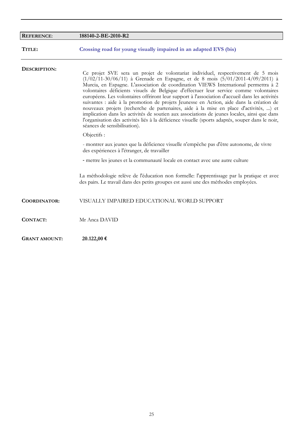| <b>REFERENCE:</b>    | 188140-2-BE-2010-R2                                                                                                                                                                                                                                                                                                                                                                                                                                                                                                                                                                                                                                                                                                                                                                                                                                                             |
|----------------------|---------------------------------------------------------------------------------------------------------------------------------------------------------------------------------------------------------------------------------------------------------------------------------------------------------------------------------------------------------------------------------------------------------------------------------------------------------------------------------------------------------------------------------------------------------------------------------------------------------------------------------------------------------------------------------------------------------------------------------------------------------------------------------------------------------------------------------------------------------------------------------|
| TITLE:               | Crossing road for young visually impaired in an adapted EVS (bis)                                                                                                                                                                                                                                                                                                                                                                                                                                                                                                                                                                                                                                                                                                                                                                                                               |
| DESCRIPTION:         | Ce projet SVE sera un projet de volontariat individuel, respectivement de 5 mois<br>$(1/02/11-30/06/11)$ à Grenade en Espagne, et de 8 mois $(5/01/2011-4/09/2011)$ à<br>Murcia, en Espagne. L'association de coordination VIEWS International permettra à 2<br>volontaires déficients visuels de Belgique d'effectuer leur service comme volontaires<br>européens. Les volontaires offriront leur support à l'association d'accueil dans les activités<br>suivantes : aide à la promotion de projets Jeunesse en Action, aide dans la création de<br>nouveaux projets (recherche de partenaires, aide à la mise en place d'activités, ) et<br>implication dans les activités de soutien aux associations de jeunes locales, ainsi que dans<br>l'organisation des activités liés à la déficience visuelle (sports adaptés, souper dans le noir,<br>séances de sensibilisation). |
|                      | Objectifs :                                                                                                                                                                                                                                                                                                                                                                                                                                                                                                                                                                                                                                                                                                                                                                                                                                                                     |
|                      | - montrer aux jeunes que la déficience visuelle n'empêche pas d'être autonome, de vivre<br>des expériences à l'étranger, de travailler                                                                                                                                                                                                                                                                                                                                                                                                                                                                                                                                                                                                                                                                                                                                          |
|                      | - mettre les jeunes et la communauté locale en contact avec une autre culture                                                                                                                                                                                                                                                                                                                                                                                                                                                                                                                                                                                                                                                                                                                                                                                                   |
|                      | La méthodologie relève de l'éducation non formelle: l'apprentissage par la pratique et avec<br>des pairs. Le travail dans des petits groupes est aussi une des méthodes employées.                                                                                                                                                                                                                                                                                                                                                                                                                                                                                                                                                                                                                                                                                              |
| <b>COORDINATOR:</b>  | VISUALLY IMPAIRED EDUCATIONAL WORLD SUPPORT                                                                                                                                                                                                                                                                                                                                                                                                                                                                                                                                                                                                                                                                                                                                                                                                                                     |
| <b>CONTACT:</b>      | Mr Anca DAVID                                                                                                                                                                                                                                                                                                                                                                                                                                                                                                                                                                                                                                                                                                                                                                                                                                                                   |
| <b>GRANT AMOUNT:</b> | 20.122,00 €                                                                                                                                                                                                                                                                                                                                                                                                                                                                                                                                                                                                                                                                                                                                                                                                                                                                     |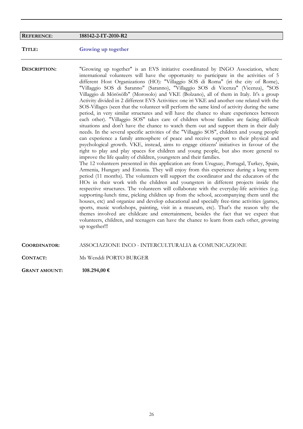#### **REFERENCE**: **188142-2-IT-2010-R2**

#### **TITLE: Growing up together**

**DESCRIPTION:** "Growing up together" is an EVS initiative coordinated by INGO Association, where international volunteers will have the opportunity to participate in the activities of 5 different Host Organizations (HO): "Villaggio SOS di Roma" (iri the city of Rome), "Villaggio SOS di Saranno" (Saranno), "Villaggio SOS di Vicenza" (Vicenza), "SOS Villaggio di Mörösölb" (Morosolo) and VKE (Bolzano), all of them in Italy. It's a group Activity divided in 2 different EVS Activities: one iri VKE and another one related with the SOS-Villages (seen that the volunteer will perform the same kind of activity during the same period, in very similar structures and will have the chance to share experiences between each other). "Villaggio SOS" takes care of children whose families are facing difficult situations and don't have the chance to watch them out and support them in their daily needs. In the several specific activities of the "Villaggio SOS", children and young people can experience a family atmosphere of peace and receive support to their physical and psychological growth. VKE, instead, aims to engage citizens' initiatives in favour of the right to play and play spaces for children and young people, but also more general to improve the life quality of children, youngsters and their families.

The 12 volunteers presented in this application are from Uruguay, Portugal, Turkey, Spain, Armenia, Hungary and Estonia. They will enjoy from this experience during a long term period (11 months). The volunteers will support the coordinator and the educators of the HOs in their work with the children and youngsters in different projects inside the respective structures. The volunteers will collaborate with the everyday-life activities (e.g. supporting-lunch time, picking children up from the school, accompanying them until the houses, etc) and organize and develop educational and specially free-time activities (games, sports, music workshops, painting, visit in a museum, etc). That's the reason why the themes involved are childcare and entertainment, besides the fact that we expect that volunteers, children, and teenagers can have the chance to learn from each other, growing up together!!!

#### **COORDINATOR:** ASSOCIAZIONE INCO - INTERCULTURALIA & COMUNICAZIONE

**CONTACT:** Ms Wenddi PORTO BURGER

**GRANT AMOUNT: 108.294,00 €**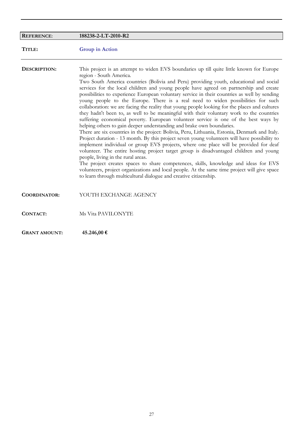| <b>REFERENCE:</b>    | 188238-2-LT-2010-R2                                                                                                                                                                                                                                                                                                                                                                                                                                                                                                                                                                                                                                                                                                                                                                                                                                                                                                                                                                                                                                                                                                                                                                                                                                                                                                                                                                                                                                                                                                                              |
|----------------------|--------------------------------------------------------------------------------------------------------------------------------------------------------------------------------------------------------------------------------------------------------------------------------------------------------------------------------------------------------------------------------------------------------------------------------------------------------------------------------------------------------------------------------------------------------------------------------------------------------------------------------------------------------------------------------------------------------------------------------------------------------------------------------------------------------------------------------------------------------------------------------------------------------------------------------------------------------------------------------------------------------------------------------------------------------------------------------------------------------------------------------------------------------------------------------------------------------------------------------------------------------------------------------------------------------------------------------------------------------------------------------------------------------------------------------------------------------------------------------------------------------------------------------------------------|
| TITLE:               | <b>Group in Action</b>                                                                                                                                                                                                                                                                                                                                                                                                                                                                                                                                                                                                                                                                                                                                                                                                                                                                                                                                                                                                                                                                                                                                                                                                                                                                                                                                                                                                                                                                                                                           |
| DESCRIPTION:         | This project is an attempt to widen EVS boundaries up till quite little known for Europe<br>region - South America.<br>Two South America countries (Bolivia and Peru) providing youth, educational and social<br>services for the local children and young people have agreed on partnership and create<br>possibilities to experience European voluntary service in their countries as well by sending<br>young people to the Europe. There is a real need to widen possibilities for such<br>collaboration: we are facing the reality that young people looking for the places and cultures<br>they hadn't been to, as well to be meaningful with their voluntary work to the countries<br>suffering economical poverty. European volunteer service is one of the best ways by<br>helping others to gain deeper understanding and brake own boundaries.<br>There are six countries in the project: Bolivia, Peru, Lithuania, Estonia, Denmark and Italy.<br>Project duration - 13 month. By this project seven young volunteers will have possibility to<br>implement individual or group EVS projects, where one place will be provided for deaf<br>volunteer. The entire hosting project target group is disadvantaged children and young<br>people, living in the rural areas.<br>The project creates spaces to share competences, skills, knowledge and ideas for EVS<br>volunteers, project organizations and local people. At the same time project will give space<br>to learn through multicultural dialogue and creative citizenship. |
| <b>COORDINATOR:</b>  | YOUTH EXCHANGE AGENCY                                                                                                                                                                                                                                                                                                                                                                                                                                                                                                                                                                                                                                                                                                                                                                                                                                                                                                                                                                                                                                                                                                                                                                                                                                                                                                                                                                                                                                                                                                                            |
| <b>CONTACT:</b>      | Ms Vita PAVILONYTE                                                                                                                                                                                                                                                                                                                                                                                                                                                                                                                                                                                                                                                                                                                                                                                                                                                                                                                                                                                                                                                                                                                                                                                                                                                                                                                                                                                                                                                                                                                               |
| <b>GRANT AMOUNT:</b> | 45.246,00 €                                                                                                                                                                                                                                                                                                                                                                                                                                                                                                                                                                                                                                                                                                                                                                                                                                                                                                                                                                                                                                                                                                                                                                                                                                                                                                                                                                                                                                                                                                                                      |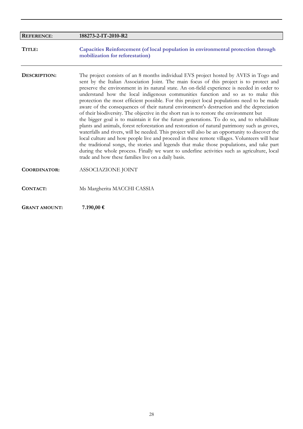| <b>REFERENCE:</b>   | 188273-2-IT-2010-R2                                                                                                                                                                                                                                                                                                                                                                                                                                                                                                                                                                                                                                                                                                                                                                                                                                                                                                                                                                                                                                                                                                                                                                                                                                                                                             |
|---------------------|-----------------------------------------------------------------------------------------------------------------------------------------------------------------------------------------------------------------------------------------------------------------------------------------------------------------------------------------------------------------------------------------------------------------------------------------------------------------------------------------------------------------------------------------------------------------------------------------------------------------------------------------------------------------------------------------------------------------------------------------------------------------------------------------------------------------------------------------------------------------------------------------------------------------------------------------------------------------------------------------------------------------------------------------------------------------------------------------------------------------------------------------------------------------------------------------------------------------------------------------------------------------------------------------------------------------|
| TITLE:              | Capacities Reinforcement (of local population in environmental protection through<br>mobilization for reforestation)                                                                                                                                                                                                                                                                                                                                                                                                                                                                                                                                                                                                                                                                                                                                                                                                                                                                                                                                                                                                                                                                                                                                                                                            |
| DESCRIPTION:        | The project consists of an 8 months individual EVS project hosted by AVES in Togo and<br>sent by the Italian Association Joint. The main focus of this project is to protect and<br>preserve the environment in its natural state. An on-field experience is needed in order to<br>understand how the local indigenous communities function and so as to make this<br>protection the most efficient possible. For this project local populations need to be made<br>aware of the consequences of their natural environment's destruction and the depreciation<br>of their biodiversity. The objective in the short run is to restore the environment but<br>the bigger goal is to maintain it for the future generations. To do so, and to rehabilitate<br>plants and animals, forest reforestation and restoration of natural patrimony such as groves,<br>waterfalls and rivers, will be needed. This project will also be an opportunity to discover the<br>local culture and how people live and proceed in these remote villages. Volunteers will hear<br>the traditional songs, the stories and legends that make those populations, and take part<br>during the whole process. Finally we want to underline activities such as agriculture, local<br>trade and how these families live on a daily basis. |
| <b>COORDINATOR:</b> | ASSOCIAZIONE JOINT                                                                                                                                                                                                                                                                                                                                                                                                                                                                                                                                                                                                                                                                                                                                                                                                                                                                                                                                                                                                                                                                                                                                                                                                                                                                                              |
| CONTACT:            | Ms Margherita MACCHI CASSIA                                                                                                                                                                                                                                                                                                                                                                                                                                                                                                                                                                                                                                                                                                                                                                                                                                                                                                                                                                                                                                                                                                                                                                                                                                                                                     |

**GRANT AMOUNT: 7.190,00 €**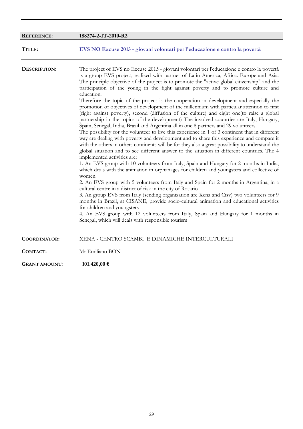| <b>REFERENCE:</b>   | 188274-2-IT-2010-R2                                                                                                                                                                                                                                                                                                                                                                                                                                                                                                                                                                                                                                                                                                                                                                                                                                                                                                                                                                                                                                                                                                                                                                                                                                                                                                                                                                                                                                                                                                                                                                                                                                                                                                                                                                                                                                                                                                                                                                                                                    |
|---------------------|----------------------------------------------------------------------------------------------------------------------------------------------------------------------------------------------------------------------------------------------------------------------------------------------------------------------------------------------------------------------------------------------------------------------------------------------------------------------------------------------------------------------------------------------------------------------------------------------------------------------------------------------------------------------------------------------------------------------------------------------------------------------------------------------------------------------------------------------------------------------------------------------------------------------------------------------------------------------------------------------------------------------------------------------------------------------------------------------------------------------------------------------------------------------------------------------------------------------------------------------------------------------------------------------------------------------------------------------------------------------------------------------------------------------------------------------------------------------------------------------------------------------------------------------------------------------------------------------------------------------------------------------------------------------------------------------------------------------------------------------------------------------------------------------------------------------------------------------------------------------------------------------------------------------------------------------------------------------------------------------------------------------------------------|
| TITLE:              | EVS NO Excuse 2015 - giovani volontari per l'educazione e contro la povertà                                                                                                                                                                                                                                                                                                                                                                                                                                                                                                                                                                                                                                                                                                                                                                                                                                                                                                                                                                                                                                                                                                                                                                                                                                                                                                                                                                                                                                                                                                                                                                                                                                                                                                                                                                                                                                                                                                                                                            |
| DESCRIPTION:        | The project of EVS no Excuse 2015 - giovani volontari per l'educazione e contro la povertà<br>is a group EVS project, realized with partner of Latin America, Africa. Europe and Asia.<br>The principle objective of the project is to promote the "active global citizenship" and the<br>participation of the young in the fight against poverty and to promote culture and<br>education.<br>Therefore the topic of the project is the cooperation in development and especially the<br>promotion of objectives of development of the millennium with particular attention to first<br>(fight against poverty), second (diffusion of the culture) and eight one (to raise a global<br>partnership in the topics of the development) The involved countries are Italy, Hungary,<br>Spain, Senegal, India, Brazil and Argentina all in one 8 partners and 29 volunteers.<br>The possibility for the volunteer to live this experience in 1 of 3 continent that in different<br>way are dealing with poverty and development and to share this experience and compare it<br>with the others in others continents will be for they also a great possibility to understand the<br>global situation and to see different answer to the situation in different countries. The 4<br>implemented activities are:<br>1. An EVS group with 10 volunteers from Italy, Spain and Hungary for 2 months in India,<br>which deals with the animation in orphanages for children and youngsters and collective of<br>women.<br>2. An EVS group with 5 volunteers from Italy and Spain for 2 months in Argentina, in a<br>cultural centre in a district of risk in the city of Rosario<br>3. An group EVS from Italy (sending organization are Xena and Cisv) two volunteers for 9<br>months in Brazil, at CISANE, provide socio-cultural animation and educational activities<br>for children and youngsters<br>4. An EVS group with 12 volunteers from Italy, Spain and Hungary for 1 months in<br>Senegal, which will deals with responsible tourism |
| <b>COORDINATOR:</b> | XENA - CENTRO SCAMBI E DINAMICHE INTERCULTURALI                                                                                                                                                                                                                                                                                                                                                                                                                                                                                                                                                                                                                                                                                                                                                                                                                                                                                                                                                                                                                                                                                                                                                                                                                                                                                                                                                                                                                                                                                                                                                                                                                                                                                                                                                                                                                                                                                                                                                                                        |
| <b>CONTACT:</b>     | Mr Emiliano BON                                                                                                                                                                                                                                                                                                                                                                                                                                                                                                                                                                                                                                                                                                                                                                                                                                                                                                                                                                                                                                                                                                                                                                                                                                                                                                                                                                                                                                                                                                                                                                                                                                                                                                                                                                                                                                                                                                                                                                                                                        |
|                     |                                                                                                                                                                                                                                                                                                                                                                                                                                                                                                                                                                                                                                                                                                                                                                                                                                                                                                                                                                                                                                                                                                                                                                                                                                                                                                                                                                                                                                                                                                                                                                                                                                                                                                                                                                                                                                                                                                                                                                                                                                        |

**GRANT AMOUNT: 101.420,00 €**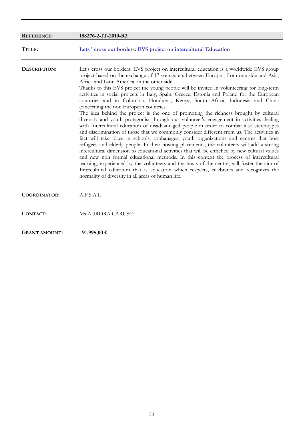| <b>REFERENCE:</b>    | 188276-2-IT-2010-R2                                                                                                                                                                                                                                                                                                                                                                                                                                                                                                                                                                                                                                                                                                                                                                                                                                                                                                                                                                                                                                                                                                                                                                                                                                                                                                                                                                                                                                                                                                                                                     |
|----------------------|-------------------------------------------------------------------------------------------------------------------------------------------------------------------------------------------------------------------------------------------------------------------------------------------------------------------------------------------------------------------------------------------------------------------------------------------------------------------------------------------------------------------------------------------------------------------------------------------------------------------------------------------------------------------------------------------------------------------------------------------------------------------------------------------------------------------------------------------------------------------------------------------------------------------------------------------------------------------------------------------------------------------------------------------------------------------------------------------------------------------------------------------------------------------------------------------------------------------------------------------------------------------------------------------------------------------------------------------------------------------------------------------------------------------------------------------------------------------------------------------------------------------------------------------------------------------------|
| TITLE:               | Lets ' cross our borders: EVS project on intercultural Education                                                                                                                                                                                                                                                                                                                                                                                                                                                                                                                                                                                                                                                                                                                                                                                                                                                                                                                                                                                                                                                                                                                                                                                                                                                                                                                                                                                                                                                                                                        |
| DESCRIPTION:         | Let's cross our borders: EVS project on intercultural education is a worldwide EVS group<br>project based on the exchange of 17 youngsters between Europe, from one side and Asia,<br>Africa and Latin America on the other side.<br>Thanks to this EVS project the young people will be invited in volunteering for long-term<br>activities in social projects in Italy, Spain, Greece, Estonia and Poland for the European<br>countries and in Colombia, Honduras, Kenya, South Africa, Indonesia and China<br>concerning the non European countries.<br>The idea behind the project is the one of promoting the richness brought by cultural<br>diversity and youth protagonist through our volunteer's engagement in activities dealing<br>with Intercultural education of disadvantaged people in order to combat also stereotypes<br>and discrimination of those that we commonly consider different from us. The activities in<br>fact will take place in schools, orphanages, youth organizations and centres that host<br>refugees and elderly people. In their hosting placements, the volunteers will add a strong<br>intercultural dimension to educational activities that will be enriched by new cultural values<br>and new non formal educational methods. In this context the process of intercultural<br>learning, experienced by the volunteers and the hosts of the centre, will foster the aim of<br>Intercultural education that is education which respects, celebrates and recognizes the<br>normality of diversity in all areas of human life. |
| <b>COORDINATOR:</b>  | A.F.S.A.I.                                                                                                                                                                                                                                                                                                                                                                                                                                                                                                                                                                                                                                                                                                                                                                                                                                                                                                                                                                                                                                                                                                                                                                                                                                                                                                                                                                                                                                                                                                                                                              |
| CONTACT:             | Ms AURORA CARUSO                                                                                                                                                                                                                                                                                                                                                                                                                                                                                                                                                                                                                                                                                                                                                                                                                                                                                                                                                                                                                                                                                                                                                                                                                                                                                                                                                                                                                                                                                                                                                        |
| <b>GRANT AMOUNT:</b> | 91.995,00€                                                                                                                                                                                                                                                                                                                                                                                                                                                                                                                                                                                                                                                                                                                                                                                                                                                                                                                                                                                                                                                                                                                                                                                                                                                                                                                                                                                                                                                                                                                                                              |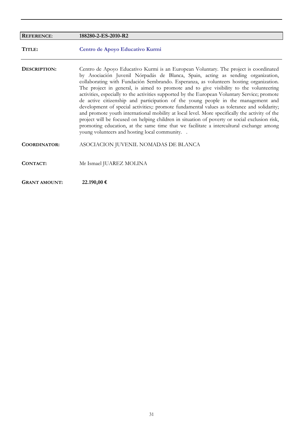| <b>REFERENCE:</b>    | 188280-2-ES-2010-R2                                                                                                                                                                                                                                                                                                                                                                                                                                                                                                                                                                                                                                                                                                                                                                                                                                                                                                                                                                            |
|----------------------|------------------------------------------------------------------------------------------------------------------------------------------------------------------------------------------------------------------------------------------------------------------------------------------------------------------------------------------------------------------------------------------------------------------------------------------------------------------------------------------------------------------------------------------------------------------------------------------------------------------------------------------------------------------------------------------------------------------------------------------------------------------------------------------------------------------------------------------------------------------------------------------------------------------------------------------------------------------------------------------------|
| TITLE:               | Centro de Apoyo Educativo Kurmi                                                                                                                                                                                                                                                                                                                                                                                                                                                                                                                                                                                                                                                                                                                                                                                                                                                                                                                                                                |
| DESCRIPTION:         | Centro de Apoyo Educativo Kurmi is an European Voluntary. The project is coordinated<br>by Asociación Juvenil Nórpadás de Blanca, Spain, acting as sending organization,<br>collaborating with Fundación Sembrando. Esperanza, as volunteers hosting organization.<br>The project in general, is aimed to promote and to give visibility to the volunteering<br>activities, especially to the activities supported by the European Voluntary Service; promote<br>de active citizenship and participation of the young people in the management and<br>development of special activities; promote fundamental values as tolerance and solidarity;<br>and promote youth international mobility at local level. More specifically the activity of the<br>project will be focused on helping children in situation of poverty or social exclusion risk,<br>promoting education, at the same time that we facilitate a intercultural exchange among<br>young volunteers and hosting local community |
| <b>COORDINATOR:</b>  | ASOCIACION JUVENIL NOMADAS DE BLANCA                                                                                                                                                                                                                                                                                                                                                                                                                                                                                                                                                                                                                                                                                                                                                                                                                                                                                                                                                           |
| CONTACT:             | Mr Ismael JUAREZ MOLINA                                                                                                                                                                                                                                                                                                                                                                                                                                                                                                                                                                                                                                                                                                                                                                                                                                                                                                                                                                        |
| <b>GRANT AMOUNT:</b> | 22.190,00 €                                                                                                                                                                                                                                                                                                                                                                                                                                                                                                                                                                                                                                                                                                                                                                                                                                                                                                                                                                                    |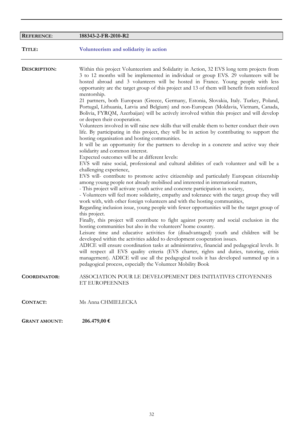| <b>REFERENCE:</b>    | 188343-2-FR-2010-R2                                                                                                                                                                                                                                                                                                                                                                                                                                                                                                                                                                                                                                                                                                                                                                                                                                                                                                                                                                                                                                                                                                                                                                                                                                                                                                                                                                                                                                                                                                                                                                                                                                                                                                                                                                                                                                                                                                                                                                                                                                                                                                                                                                                                                                                                                                                                                                                                                                                                                                           |
|----------------------|-------------------------------------------------------------------------------------------------------------------------------------------------------------------------------------------------------------------------------------------------------------------------------------------------------------------------------------------------------------------------------------------------------------------------------------------------------------------------------------------------------------------------------------------------------------------------------------------------------------------------------------------------------------------------------------------------------------------------------------------------------------------------------------------------------------------------------------------------------------------------------------------------------------------------------------------------------------------------------------------------------------------------------------------------------------------------------------------------------------------------------------------------------------------------------------------------------------------------------------------------------------------------------------------------------------------------------------------------------------------------------------------------------------------------------------------------------------------------------------------------------------------------------------------------------------------------------------------------------------------------------------------------------------------------------------------------------------------------------------------------------------------------------------------------------------------------------------------------------------------------------------------------------------------------------------------------------------------------------------------------------------------------------------------------------------------------------------------------------------------------------------------------------------------------------------------------------------------------------------------------------------------------------------------------------------------------------------------------------------------------------------------------------------------------------------------------------------------------------------------------------------------------------|
| TITLE:               | Volunteerism and solidarity in action                                                                                                                                                                                                                                                                                                                                                                                                                                                                                                                                                                                                                                                                                                                                                                                                                                                                                                                                                                                                                                                                                                                                                                                                                                                                                                                                                                                                                                                                                                                                                                                                                                                                                                                                                                                                                                                                                                                                                                                                                                                                                                                                                                                                                                                                                                                                                                                                                                                                                         |
| DESCRIPTION:         | Within this project Volunteerism and Solidarity in Action, 32 EVS long term projects from<br>3 to 12 months will be implemented in individual or group EVS. 29 volunteers will be<br>hosted abroad and 3 volunteers will be hosted in France. Young people with less<br>opportunity are the target group of this project and 13 of them will benefit from reinforced<br>mentorship.<br>21 partners, both European (Greece, Germany, Estonia, Slovakia, Italy. Turkey, Poland,<br>Portugal, Lithuania, Latvia and Belgium) and non-European (Moldavia, Vietnam, Canada,<br>Bolivia, FYRQM, Azerbaijan) will be actively involved within this project and will develop<br>or deepen their cooperation.<br>Volunteers involved in will raise new skills that will enable them to better conduct their own<br>life. By participating in this project, they will be in action by contributing to support the<br>hosting organisation and hosting communities.<br>It will be an opportunity for the partners to develop in a concrete and active way their<br>solidarity and common interest.<br>Expected outcomes will be at different levels:<br>EVS will raise social, professional and cultural abilities of each volunteer and will be a<br>challenging experience,<br>EVS will- contribute to promote active citizenship and particularly European citizenship<br>among young people not already mobilised and interested in international matters,<br>- This project will activate youth active and concrete participation in society,<br>- Volunteers will feel more solidarity, empathy and tolerance with the target group they will<br>work with, with other foreign volunteers and with the hosting communities,<br>Regarding inclusion issue, young people with fewer opportunities will be the target group of<br>this project.<br>Finally, this project will contribute to fight against poverty and social exclusion in the<br>hosting communities but also in the volunteers' home country.<br>Leisure time and educative activities for (disadvantaged) youth and children will be<br>developed within the activities added to development cooperation issues.<br>ADICE will ensure coordination tasks at administrative, financial and pedagogical levels. It<br>will respect all EVS quality criteria (EVS charter, rights and duties, tutoring, crisis<br>management). ADICE will use all the pedagogical tools it has developed summed up in a<br>pedagogical process, especially the Volunteer Mobility Book |
| <b>COORDINATOR:</b>  | ASSOCIATION POUR LE DEVELOPEMENT DES INITIATIVES CITOYENNES<br>ET EUROPEENNES                                                                                                                                                                                                                                                                                                                                                                                                                                                                                                                                                                                                                                                                                                                                                                                                                                                                                                                                                                                                                                                                                                                                                                                                                                                                                                                                                                                                                                                                                                                                                                                                                                                                                                                                                                                                                                                                                                                                                                                                                                                                                                                                                                                                                                                                                                                                                                                                                                                 |
| <b>CONTACT:</b>      | Ms Anna CHMIELECKA                                                                                                                                                                                                                                                                                                                                                                                                                                                                                                                                                                                                                                                                                                                                                                                                                                                                                                                                                                                                                                                                                                                                                                                                                                                                                                                                                                                                                                                                                                                                                                                                                                                                                                                                                                                                                                                                                                                                                                                                                                                                                                                                                                                                                                                                                                                                                                                                                                                                                                            |
| <b>GRANT AMOUNT:</b> | 206.479,00 €                                                                                                                                                                                                                                                                                                                                                                                                                                                                                                                                                                                                                                                                                                                                                                                                                                                                                                                                                                                                                                                                                                                                                                                                                                                                                                                                                                                                                                                                                                                                                                                                                                                                                                                                                                                                                                                                                                                                                                                                                                                                                                                                                                                                                                                                                                                                                                                                                                                                                                                  |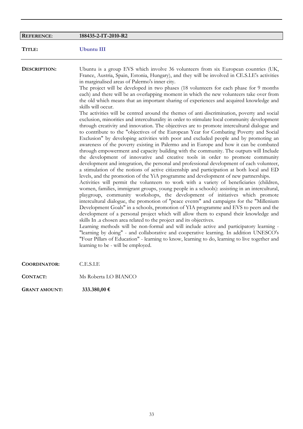| <b>REFERENCE:</b>    | 188435-2-IT-2010-R2                                                                                                                                                                                                                                                                                                                                                                                                                                                                                                                                                                                                                                                                                                                                                                                                                                                                                                                                                                                                                                                                                                                                                                                                                                                                                                                                                                                                                                                                                                                                                                                                                                                                                                                                                                                                                                                                                                                                                                                                                                                                                                                                                                                                                                                                                                                                                                                                                                                                                                                               |
|----------------------|---------------------------------------------------------------------------------------------------------------------------------------------------------------------------------------------------------------------------------------------------------------------------------------------------------------------------------------------------------------------------------------------------------------------------------------------------------------------------------------------------------------------------------------------------------------------------------------------------------------------------------------------------------------------------------------------------------------------------------------------------------------------------------------------------------------------------------------------------------------------------------------------------------------------------------------------------------------------------------------------------------------------------------------------------------------------------------------------------------------------------------------------------------------------------------------------------------------------------------------------------------------------------------------------------------------------------------------------------------------------------------------------------------------------------------------------------------------------------------------------------------------------------------------------------------------------------------------------------------------------------------------------------------------------------------------------------------------------------------------------------------------------------------------------------------------------------------------------------------------------------------------------------------------------------------------------------------------------------------------------------------------------------------------------------------------------------------------------------------------------------------------------------------------------------------------------------------------------------------------------------------------------------------------------------------------------------------------------------------------------------------------------------------------------------------------------------------------------------------------------------------------------------------------------------|
| TITLE:               | Ubuntu III                                                                                                                                                                                                                                                                                                                                                                                                                                                                                                                                                                                                                                                                                                                                                                                                                                                                                                                                                                                                                                                                                                                                                                                                                                                                                                                                                                                                                                                                                                                                                                                                                                                                                                                                                                                                                                                                                                                                                                                                                                                                                                                                                                                                                                                                                                                                                                                                                                                                                                                                        |
| DESCRIPTION:         | Ubuntu is a group EVS which involve 36 volunteers from six European countries (UK,<br>France, Austria, Spain, Estonia, Hungary), and they will be involved in CE.S.I.E's activities<br>in marginalised areas of Palermo's inner city.<br>The project will be developed in two phases (18 volunteers for each phase for 9 months<br>each) and there will be an overlapping moment in which the new volunteers take over from<br>the old which means that an important sharing of experiences and acquired knowledge and<br>skills will occur.<br>The activities will be centred around the themes of anti-discrimination, poverty and social<br>exclusion, minorities and interculturality in order to stimulate local community development<br>through creativity and innovation. The objectives are to promote intercultural dialogue and<br>to contribute to the "objectives of the European Year for Combating Poverty and Social<br>Exclusion" by developing activities with poor and excluded people and by promoting an<br>awareness of the poverty existing in Palermo and in Europe and how it can be combated<br>through empowerment and capacity building with the community. The outputs will Include<br>the development of innovative and creative tools in order to promote community<br>development and integration, the personal and professional development of each volunteer,<br>a stimulation of the notions of active citizenship and participation at both local and ED<br>levels, and the promotion of the YiA programme and development of new partnerships.<br>Activities will permit the volunteers to work with a variety of beneficiaries (children,<br>women, families, immigrant groups, young people in a schools): assisting in an intercultural,<br>playgroup, community workshops, the development of initiatives which promote<br>intercultural dialogue, the promotion of "peace events" and campaigns for the "Millenium<br>Development Goals" in a schools, promotion of YIA programme and EVS to peers and the<br>development of a personal project which will allow them to expand their knowledge and<br>skills In .a chosen area related to the project and its objectives.<br>Learning methods will be non-formal and will include active and participatory learning -<br>"learning by doing" - and collaborative and cooperative learning. In addition UNESCO's<br>"Four Pillars of Education" - learning to know, learning to do, learning to live together and<br>learning to be - will be employed. |
| <b>COORDINATOR:</b>  | C.E.S.I.E                                                                                                                                                                                                                                                                                                                                                                                                                                                                                                                                                                                                                                                                                                                                                                                                                                                                                                                                                                                                                                                                                                                                                                                                                                                                                                                                                                                                                                                                                                                                                                                                                                                                                                                                                                                                                                                                                                                                                                                                                                                                                                                                                                                                                                                                                                                                                                                                                                                                                                                                         |
| CONTACT:             | Ms Roberta LO BIANCO                                                                                                                                                                                                                                                                                                                                                                                                                                                                                                                                                                                                                                                                                                                                                                                                                                                                                                                                                                                                                                                                                                                                                                                                                                                                                                                                                                                                                                                                                                                                                                                                                                                                                                                                                                                                                                                                                                                                                                                                                                                                                                                                                                                                                                                                                                                                                                                                                                                                                                                              |
| <b>GRANT AMOUNT:</b> | 333.380,00 €                                                                                                                                                                                                                                                                                                                                                                                                                                                                                                                                                                                                                                                                                                                                                                                                                                                                                                                                                                                                                                                                                                                                                                                                                                                                                                                                                                                                                                                                                                                                                                                                                                                                                                                                                                                                                                                                                                                                                                                                                                                                                                                                                                                                                                                                                                                                                                                                                                                                                                                                      |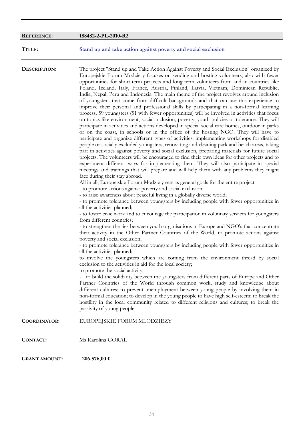| <b>REFERENCE:</b>    | 188482-2-PL-2010-R2                                                                                                                                                                                                                                                                                                                                                                                                                                                                                                                                                                                                                                                                                                                                                                                                                                                                                                                                                                                                                                                                                                                                                                                                                                                                                                                                                                                                                                                                                                                                                                                                                                                                                                                                                                                                                                                                                                                                                                                                                                                                                                                                                                                                                                                                                                                                                                                                                                                                               |
|----------------------|---------------------------------------------------------------------------------------------------------------------------------------------------------------------------------------------------------------------------------------------------------------------------------------------------------------------------------------------------------------------------------------------------------------------------------------------------------------------------------------------------------------------------------------------------------------------------------------------------------------------------------------------------------------------------------------------------------------------------------------------------------------------------------------------------------------------------------------------------------------------------------------------------------------------------------------------------------------------------------------------------------------------------------------------------------------------------------------------------------------------------------------------------------------------------------------------------------------------------------------------------------------------------------------------------------------------------------------------------------------------------------------------------------------------------------------------------------------------------------------------------------------------------------------------------------------------------------------------------------------------------------------------------------------------------------------------------------------------------------------------------------------------------------------------------------------------------------------------------------------------------------------------------------------------------------------------------------------------------------------------------------------------------------------------------------------------------------------------------------------------------------------------------------------------------------------------------------------------------------------------------------------------------------------------------------------------------------------------------------------------------------------------------------------------------------------------------------------------------------------------------|
| TITLE:               | Stand up and take action against poverty and social exclusion                                                                                                                                                                                                                                                                                                                                                                                                                                                                                                                                                                                                                                                                                                                                                                                                                                                                                                                                                                                                                                                                                                                                                                                                                                                                                                                                                                                                                                                                                                                                                                                                                                                                                                                                                                                                                                                                                                                                                                                                                                                                                                                                                                                                                                                                                                                                                                                                                                     |
| DESCRIPTION:         | The project "Stand up and Take Action Against Poverty and Social Exclusion" organized by<br>Europejskie Forum Modzie y focuses on sending and hosting volunteers, also with fewer<br>opportunities for short-term projects and long-term volunteers from and in countries like<br>Poland, Iceland, Italy, France, Austria, Finland, Latvia, Vietnam, Dominican Republic,<br>India, Nepal, Peru and Indonesia. The main theme of the project revolves around inclusion<br>of youngsters that come from difficult backgrounds and that can use this experience to<br>improve their personal and professional skills by participating in a non-formal learning<br>process. 59 youngsters (51 with fewer opportunities) will be involved in activities that focus<br>on topics like environment, social inclusion, poverty, youth policies or tolerance. They will<br>participate in activities and actions developed in special social care homes, outdoor in parks<br>or on the coast, in schools or in the office of the hosting NGO. They will have to<br>participate and organize different types of activities: implementing workshops for disabled<br>people or socially excluded youngsters, renovating and cleaning park and beach areas, taking<br>part in activities against poverty and social exclusion, preparing materials for future social<br>projects. The volunteers will be encouraged to find their own ideas for other projects and to<br>experiment different ways for implementing them. They will also participate in special<br>meetings and trainings that will prepare and will help them with any problems they might<br>face during their stay abroad.<br>All in all, Europejskie Forum Modzie y sets as general goals for the entire project:<br>- to promote actions against poverty and social exclusion;<br>- to raise awareness about peaceful living in a globally diverse world;<br>- to promote tolerance between youngsters by including people with fewer opportunities in<br>all the activities planned;<br>- to foster civic work and to encourage the participation in voluntary services for youngsters<br>from different countries;<br>- to strengthen the ties between youth organisations in Europe and NGO's that concentrate<br>their activity in the Other Partner Countries of the World, to promote actions against<br>poverty and social exclusion;<br>- to promote tolerance between youngsters by including people with fewer opportunities in |
|                      | all the activities planned;<br>to involve the youngsters which are coming from the environment thread by social<br>exclusion to the activities in aid for the local society;<br>to promote the social activity;<br>- to build the solidarity between the youngsters from different parts of Europe and Other                                                                                                                                                                                                                                                                                                                                                                                                                                                                                                                                                                                                                                                                                                                                                                                                                                                                                                                                                                                                                                                                                                                                                                                                                                                                                                                                                                                                                                                                                                                                                                                                                                                                                                                                                                                                                                                                                                                                                                                                                                                                                                                                                                                      |
|                      | Partner Countries of the World through common work, study and knowledge about<br>different cultures; to prevent unemployment between young people by involving them in<br>non-formal education; to develop in the young people to have high self-esteem; to break the<br>hostility in the local community related to different religions and cultures; to break the<br>passivity of young people.                                                                                                                                                                                                                                                                                                                                                                                                                                                                                                                                                                                                                                                                                                                                                                                                                                                                                                                                                                                                                                                                                                                                                                                                                                                                                                                                                                                                                                                                                                                                                                                                                                                                                                                                                                                                                                                                                                                                                                                                                                                                                                 |
| <b>COORDINATOR:</b>  | EUROPEJSKIE FORUM MLODZIEZY                                                                                                                                                                                                                                                                                                                                                                                                                                                                                                                                                                                                                                                                                                                                                                                                                                                                                                                                                                                                                                                                                                                                                                                                                                                                                                                                                                                                                                                                                                                                                                                                                                                                                                                                                                                                                                                                                                                                                                                                                                                                                                                                                                                                                                                                                                                                                                                                                                                                       |
| <b>CONTACT:</b>      | Ms Karolina GORAL                                                                                                                                                                                                                                                                                                                                                                                                                                                                                                                                                                                                                                                                                                                                                                                                                                                                                                                                                                                                                                                                                                                                                                                                                                                                                                                                                                                                                                                                                                                                                                                                                                                                                                                                                                                                                                                                                                                                                                                                                                                                                                                                                                                                                                                                                                                                                                                                                                                                                 |
| <b>GRANT AMOUNT:</b> | 206.576,00 €                                                                                                                                                                                                                                                                                                                                                                                                                                                                                                                                                                                                                                                                                                                                                                                                                                                                                                                                                                                                                                                                                                                                                                                                                                                                                                                                                                                                                                                                                                                                                                                                                                                                                                                                                                                                                                                                                                                                                                                                                                                                                                                                                                                                                                                                                                                                                                                                                                                                                      |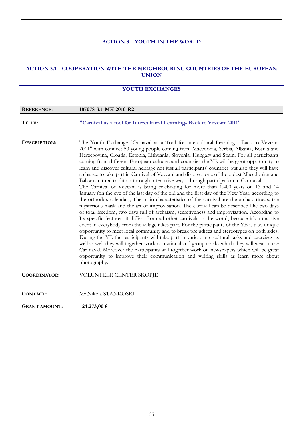## **ACTION 3 – YOUTH IN THE WORLD**

### **ACTION 3.1 – COOPERATION WITH THE NEIGHBOURING COUNTRIES OF THE EUROPEAN UNION**

#### **YOUTH EXCHANGES**

| <b>REFERENCE:</b>    | 187078-3.1-MK-2010-R2                                                                                                                                                                                                                                                                                                                                                                                                                                                                                                                                                                                                                                                                                                                                                                                                                                                                                                                                                                                                                                                                                                                                                                                                                                                                                                                                                                                                                                                                                                                                                                                                                                                                                                                                                                                                                                            |
|----------------------|------------------------------------------------------------------------------------------------------------------------------------------------------------------------------------------------------------------------------------------------------------------------------------------------------------------------------------------------------------------------------------------------------------------------------------------------------------------------------------------------------------------------------------------------------------------------------------------------------------------------------------------------------------------------------------------------------------------------------------------------------------------------------------------------------------------------------------------------------------------------------------------------------------------------------------------------------------------------------------------------------------------------------------------------------------------------------------------------------------------------------------------------------------------------------------------------------------------------------------------------------------------------------------------------------------------------------------------------------------------------------------------------------------------------------------------------------------------------------------------------------------------------------------------------------------------------------------------------------------------------------------------------------------------------------------------------------------------------------------------------------------------------------------------------------------------------------------------------------------------|
| TITLE:               | "Carnival as a tool for Intercultural Learning- Back to Vevcani 2011"                                                                                                                                                                                                                                                                                                                                                                                                                                                                                                                                                                                                                                                                                                                                                                                                                                                                                                                                                                                                                                                                                                                                                                                                                                                                                                                                                                                                                                                                                                                                                                                                                                                                                                                                                                                            |
| DESCRIPTION:         | The Youth Exchange "Carnaval as a Tool for intercultural Learning - Back to Vevcani<br>2011" with connect 50 young people coming from Macedonia, Serbia, Albania, Bosnia and<br>Herzegovina, Croatia, Estonia, Lithuania, Slovenia, Hungary and Spain. For all participants<br>coming from different European cultures and countries the YE will be great opportunity to<br>learn and discover cultural heritage not just all participants' countries but also they will have<br>a chance to take part in Carnival of Vevcani and discover one of the oldest Macedonian and<br>Balkan cultural tradition through interactive way - through participation in Car naval.<br>The Carnival of Vevcani is being celebrating for more than 1.400 years on 13 and 14<br>January (on the eve of the last day of the old and the first day of the New Year, according to<br>the orthodox calendar), The main characteristics of the carnival are the archaic rituals, the<br>mysterious mask and the art of improvisation. The carnival can be described like two days<br>of total freedom, two days full of archaism, secretiveness and improvisation. According to<br>Its specific features, it differs from all other carnivals in the world, because it's a massive<br>event in everybody from the village takes part. For the participants of the YE is also unique<br>opportunity to meet local community and to break prejudices and stereotypes on both sides.<br>During the YE the participants will take part in variety intercultural tasks and exercises as<br>well as well they will together work on national and group masks which they will wear in the<br>Car naval. Moreover the participants will together work on newspapers which will be great<br>opportunity to improve their communication and writing skills as learn more about<br>photography. |
| <b>COORDINATOR:</b>  | VOLUNTEER CENTER SKOPJE                                                                                                                                                                                                                                                                                                                                                                                                                                                                                                                                                                                                                                                                                                                                                                                                                                                                                                                                                                                                                                                                                                                                                                                                                                                                                                                                                                                                                                                                                                                                                                                                                                                                                                                                                                                                                                          |
| CONTACT:             | Mr Nikola STANKOSKI                                                                                                                                                                                                                                                                                                                                                                                                                                                                                                                                                                                                                                                                                                                                                                                                                                                                                                                                                                                                                                                                                                                                                                                                                                                                                                                                                                                                                                                                                                                                                                                                                                                                                                                                                                                                                                              |
| <b>GRANT AMOUNT:</b> | 24.273,00 €                                                                                                                                                                                                                                                                                                                                                                                                                                                                                                                                                                                                                                                                                                                                                                                                                                                                                                                                                                                                                                                                                                                                                                                                                                                                                                                                                                                                                                                                                                                                                                                                                                                                                                                                                                                                                                                      |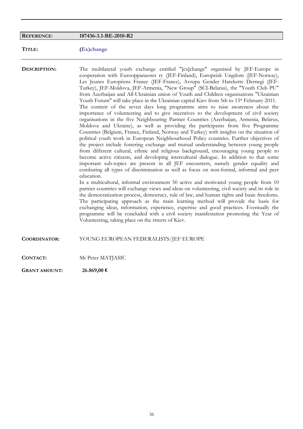#### **REFERENCE**: **187436-3.1-BE-2010-R2**

**TITLE: (Ex)change**

**DESCRIPTION:** The multilateral youth exchange entitled "[ex]change" organised by JEF-Europe in cooperation with Eurooppanuoret ry (JEF-Finland), Europeisk Ungdom (JEF-Norway), Les Jeunes Européens France (JEF-France), Avrupa Gender Harekette Dernegi (JEF-Turkey), JEF-Moldova, JEF-Armenia, "New Group" (SCI-Belarus), the "Youth Club PU" from Azerbaijan and All-Ukrainian union of Youth and Children organisations "Ukrainian Youth Forum" will take place in the Ukrainian capital Kiev from 5th to 13\* February 2011. The content of the seven days long programme aims to raise awareness about the importance of volunteering and to give incentives to the development of civil society organisations in the five Neighbouring Partner Countries (Azerbaijan, Armenia, Belarus, Moldova and Ukraine), as well as providing the participants from five Programme Countries (Belgium, France, Finland, Norway and Turkey) with insights on the situation of political youth work in European Neighbourhood Policy countries. Further objectives of the project include fostering exchange and mutual understanding between young people from different cultural, ethnic and religious background, encouraging young people to become active citizens, and developing intercultural dialogue. In addition to that some important sub-topics are present in all JEF encounters, namely gender equality and combating all types of discrimination as well as focus on non-formal, informal and peer education. In a multicultural, informal environment 50 active and motivated young people from 10 partner countries will exchange views and ideas on volunteering, civil society and its role in

the democratization process, democracy, rule of law, and human rights and basic freedoms. The participating approach as the main learning method will provide the basis for exchanging ideas, information, experience, expertise and good practices. Eventually the programme will be concluded with a civil society manifestation promoting the Year of Volunteering, taking place on the streets of Kiev.

**COORDINATOR:** YOUNG EUROPEAN FEDERALISTS/JEF EUROPE

**CONTACT:** Mr Peter MATJASIC

**GRANT AMOUNT: 26.869,00 €**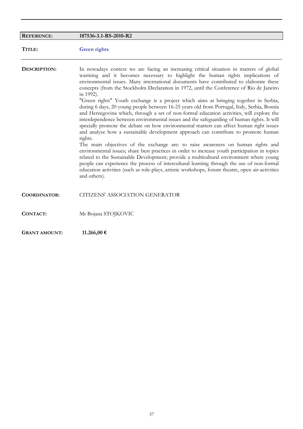| <b>REFERENCE:</b>    | 187536-3.1-RS-2010-R2                                                                                                                                                                                                                                                                                                                                                                                                                                                                                                                                                                                                                                                                                                                                                                                                                                                                                                                                                                                                                                                                                                                                                                                                                                                                                                                                                                                                                                       |
|----------------------|-------------------------------------------------------------------------------------------------------------------------------------------------------------------------------------------------------------------------------------------------------------------------------------------------------------------------------------------------------------------------------------------------------------------------------------------------------------------------------------------------------------------------------------------------------------------------------------------------------------------------------------------------------------------------------------------------------------------------------------------------------------------------------------------------------------------------------------------------------------------------------------------------------------------------------------------------------------------------------------------------------------------------------------------------------------------------------------------------------------------------------------------------------------------------------------------------------------------------------------------------------------------------------------------------------------------------------------------------------------------------------------------------------------------------------------------------------------|
| TITLE:               | <b>Green rights</b>                                                                                                                                                                                                                                                                                                                                                                                                                                                                                                                                                                                                                                                                                                                                                                                                                                                                                                                                                                                                                                                                                                                                                                                                                                                                                                                                                                                                                                         |
| DESCRIPTION:         | In nowadays context we are facing an increasing critical situation in matters of global<br>warming and it becomes necessary to highlight the human rights implications of<br>environmental issues. Many international documents have contributed to elaborate these<br>concepts (from the Stockholm Declaration in 1972, until the Conference of Rio de Janeiro<br>in 1992).<br>"Green rights" Youth exchange is a project which aims at bringing together in Serbia,<br>during 6 days, 20 young people between 16-25 years old from Portugal, Italy, Serbia, Bosnia<br>and Herzegovina which, through a set of non-formal education activities, will explore the<br>interdependence between environmental issues and the safeguarding of human rights. It will<br>specially promote the debate on how environmental matters can affect human right issues<br>and analyze how a sustainable development approach can contribute to promote human<br>rights.<br>The main objectives of the exchange are: to raise awareness on human rights and<br>environmental issues; share best practices in order to increase youth participation in topics<br>related to the Sustainable Development; provide a multicultural environment where young<br>people can experience the process of intercultural learning through the use of non-formal<br>education activities (such as role-plays, artistic workshops, forum theatre, open air-activities<br>and others). |
| <b>COORDINATOR:</b>  | <b>CITIZENS' ASSOCIATION GENERATOR</b>                                                                                                                                                                                                                                                                                                                                                                                                                                                                                                                                                                                                                                                                                                                                                                                                                                                                                                                                                                                                                                                                                                                                                                                                                                                                                                                                                                                                                      |
| CONTACT:             | Mr Bojana STOJKOVIC                                                                                                                                                                                                                                                                                                                                                                                                                                                                                                                                                                                                                                                                                                                                                                                                                                                                                                                                                                                                                                                                                                                                                                                                                                                                                                                                                                                                                                         |
| <b>GRANT AMOUNT:</b> | 11.266,00 €                                                                                                                                                                                                                                                                                                                                                                                                                                                                                                                                                                                                                                                                                                                                                                                                                                                                                                                                                                                                                                                                                                                                                                                                                                                                                                                                                                                                                                                 |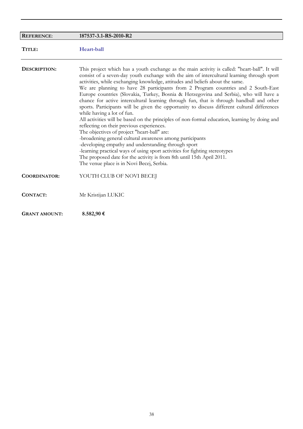| <b>REFERENCE:</b>    | 187537-3.1-RS-2010-R2                                                                                                                                                                                                                                                                                                                                                                                                                                                                                                                                                                                                                                                                                                                                                                                                                                                                                                                                                                                                                                                                                                                                                                                      |
|----------------------|------------------------------------------------------------------------------------------------------------------------------------------------------------------------------------------------------------------------------------------------------------------------------------------------------------------------------------------------------------------------------------------------------------------------------------------------------------------------------------------------------------------------------------------------------------------------------------------------------------------------------------------------------------------------------------------------------------------------------------------------------------------------------------------------------------------------------------------------------------------------------------------------------------------------------------------------------------------------------------------------------------------------------------------------------------------------------------------------------------------------------------------------------------------------------------------------------------|
| TITLE:               | Heart-ball                                                                                                                                                                                                                                                                                                                                                                                                                                                                                                                                                                                                                                                                                                                                                                                                                                                                                                                                                                                                                                                                                                                                                                                                 |
| DESCRIPTION:         | This project which has a youth exchange as the main activity is called: "heart-ball". It will<br>consist of a seven-day youth exchange with the aim of intercultural learning through sport<br>activities, while exchanging knowledge, attitudes and beliefs about the same.<br>We are planning to have 28 participants from 2 Program countries and 2 South-East<br>Europe countries (Slovakia, Turkey, Bosnia & Herzegovina and Serbia), who will have a<br>chance for active intercultural learning through fun, that is through handball and other<br>sports. Participants will be given the opportunity to discuss different cultural differences<br>while having a lot of fun.<br>All activities will be based on the principles of non-formal education, learning by doing and<br>reflecting on their previous experiences.<br>The objectives of project "heart-ball" are:<br>-broadening general cultural awareness among participants<br>-developing empathy and understanding through sport<br>-learning practical ways of using sport activities for fighting stereotypes<br>The proposed date for the activity is from 8th until 15th April 2011.<br>The venue place is in Novi Becej, Serbia. |
| <b>COORDINATOR:</b>  | YOUTH CLUB OF NOVI BECEJ                                                                                                                                                                                                                                                                                                                                                                                                                                                                                                                                                                                                                                                                                                                                                                                                                                                                                                                                                                                                                                                                                                                                                                                   |
| CONTACT:             | Mr Kristijan LUKIC                                                                                                                                                                                                                                                                                                                                                                                                                                                                                                                                                                                                                                                                                                                                                                                                                                                                                                                                                                                                                                                                                                                                                                                         |
| <b>GRANT AMOUNT:</b> | 8.582,90€                                                                                                                                                                                                                                                                                                                                                                                                                                                                                                                                                                                                                                                                                                                                                                                                                                                                                                                                                                                                                                                                                                                                                                                                  |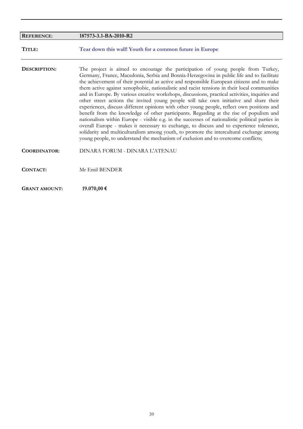| <b>REFERENCE:</b>    | 187573-3.1-BA-2010-R2                                                                                                                                                                                                                                                                                                                                                                                                                                                                                                                                                                                                                                                                                                                                                                                                                                                                                                                                                                                                                                                                                                                             |
|----------------------|---------------------------------------------------------------------------------------------------------------------------------------------------------------------------------------------------------------------------------------------------------------------------------------------------------------------------------------------------------------------------------------------------------------------------------------------------------------------------------------------------------------------------------------------------------------------------------------------------------------------------------------------------------------------------------------------------------------------------------------------------------------------------------------------------------------------------------------------------------------------------------------------------------------------------------------------------------------------------------------------------------------------------------------------------------------------------------------------------------------------------------------------------|
| TITLE:               | Tear down this wall! Youth for a common future in Europe                                                                                                                                                                                                                                                                                                                                                                                                                                                                                                                                                                                                                                                                                                                                                                                                                                                                                                                                                                                                                                                                                          |
| DESCRIPTION:         | The project is aimed to encourage the participation of young people from Turkey,<br>Germany, France, Macedonia, Serbia and Bosnia-Herzegovina in public life and to facilitate<br>the achievement of their potential as active and responsible European citizens and to make<br>them active against xenophobic, nationalistic and racist tensions in their local communities<br>and in Europe. By various creative workshops, discussions, practical activities, inquiries and<br>other street actions the invited young people will take own initiative and share their<br>experiences, discuss different opinions with other young people, reflect own positions and<br>benefit from the knowledge of other participants. Regarding at the rise of populism and<br>nationalism within Europe - visible e.g. in the successes of nationalistic political parties in<br>overall Europe - makes it necessary to exchange, to discuss and to experience tolerance,<br>solidarity and multiculturalism among youth, to promote the intercultural exchange among<br>young people, to understand the mechanism of exclusion and to overcome conflicts; |
| <b>COORDINATOR:</b>  | DINARA FORUM - DINARA L'ATENAU                                                                                                                                                                                                                                                                                                                                                                                                                                                                                                                                                                                                                                                                                                                                                                                                                                                                                                                                                                                                                                                                                                                    |
| CONTACT:             | Mr Emil BENDER                                                                                                                                                                                                                                                                                                                                                                                                                                                                                                                                                                                                                                                                                                                                                                                                                                                                                                                                                                                                                                                                                                                                    |
| <b>GRANT AMOUNT:</b> | 19.070,00€                                                                                                                                                                                                                                                                                                                                                                                                                                                                                                                                                                                                                                                                                                                                                                                                                                                                                                                                                                                                                                                                                                                                        |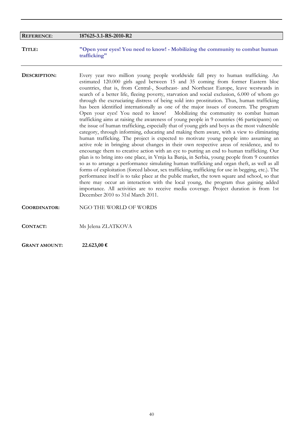| <b>REFERENCE:</b>   | 187625-3.1-RS-2010-R2                                                                                                                                                                                                                                                                                                                                                                                                                                                                                                                                                                                                                                                                                                                                                                                                                                                                                                                                                                                                                                                                                                                                                                                                                                                                                                                                                                                                                                                                                                                                                                                                                                                                                                                                                                                                                           |
|---------------------|-------------------------------------------------------------------------------------------------------------------------------------------------------------------------------------------------------------------------------------------------------------------------------------------------------------------------------------------------------------------------------------------------------------------------------------------------------------------------------------------------------------------------------------------------------------------------------------------------------------------------------------------------------------------------------------------------------------------------------------------------------------------------------------------------------------------------------------------------------------------------------------------------------------------------------------------------------------------------------------------------------------------------------------------------------------------------------------------------------------------------------------------------------------------------------------------------------------------------------------------------------------------------------------------------------------------------------------------------------------------------------------------------------------------------------------------------------------------------------------------------------------------------------------------------------------------------------------------------------------------------------------------------------------------------------------------------------------------------------------------------------------------------------------------------------------------------------------------------|
|                     |                                                                                                                                                                                                                                                                                                                                                                                                                                                                                                                                                                                                                                                                                                                                                                                                                                                                                                                                                                                                                                                                                                                                                                                                                                                                                                                                                                                                                                                                                                                                                                                                                                                                                                                                                                                                                                                 |
| TITLE:              | "Open your eyes! You need to know! - Mobilizing the community to combat human<br>trafficking"                                                                                                                                                                                                                                                                                                                                                                                                                                                                                                                                                                                                                                                                                                                                                                                                                                                                                                                                                                                                                                                                                                                                                                                                                                                                                                                                                                                                                                                                                                                                                                                                                                                                                                                                                   |
| DESCRIPTION:        | Every year two million young people worldwide fall prey to human trafficking. An<br>estimated 120.000 girls aged between 15 and 35 coming from former Eastern bloc<br>countries, that is, from Central-, Southeast- and Northeast Europe, leave westwards in<br>search of a better life, fleeing poverty, starvation and social exclusion, 6.000 of whom go<br>through the excruciating distress of being sold into prostitution. Thus, human trafficking<br>has been identified internationally as one of the major issues of concern. The program<br>Open your eyes! You need to know!<br>Mobilizing the community to combat human<br>trafficking aims at raising the awareness of young people in 9 countries (46 participants) on<br>the issue of human trafficking, especially that of young girls and boys as the most vulnerable<br>category, through informing, educating and making them aware, with a view to eliminating<br>human trafficking. The project is expected to motivate young people into assuming an<br>active role in bringing about changes in their own respective areas of residence, and to<br>encourage them to creative action with an eye to putting an end to human trafficking. Our<br>plan is to bring into one place, in Vrnja ka Banja, in Serbia, young people from 9 countries<br>so as to arrange a performance simulating human trafficking and organ theft, as well as all<br>forms of exploitation (forced labour, sex trafficking, trafficking for use in begging, etc.). The<br>performance itself is to take place at the public market, the town square and school, so that<br>there may occur an interaction with the local young, the program thus gaining added<br>importance. All activities are to receive media coverage. Project duration is from 1st<br>December 2010 to 31sl March 2011. |
| <b>COORDINATOR:</b> | NGO THE WORLD OF WORDS                                                                                                                                                                                                                                                                                                                                                                                                                                                                                                                                                                                                                                                                                                                                                                                                                                                                                                                                                                                                                                                                                                                                                                                                                                                                                                                                                                                                                                                                                                                                                                                                                                                                                                                                                                                                                          |
| <b>CONTACT:</b>     | Ms Jelena ZLATKOVA                                                                                                                                                                                                                                                                                                                                                                                                                                                                                                                                                                                                                                                                                                                                                                                                                                                                                                                                                                                                                                                                                                                                                                                                                                                                                                                                                                                                                                                                                                                                                                                                                                                                                                                                                                                                                              |

**GRANT AMOUNT: 22.623,00 €**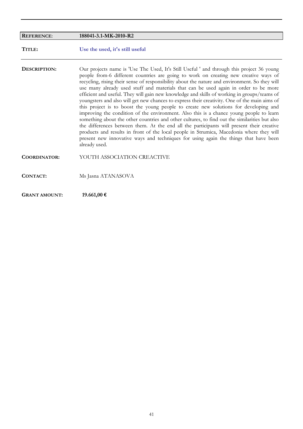| <b>REFERENCE:</b>    | 188041-3.1-MK-2010-R2                                                                                                                                                                                                                                                                                                                                                                                                                                                                                                                                                                                                                                                                                                                                                                                                                                                                                                                                                                                                                                                                                                                                             |
|----------------------|-------------------------------------------------------------------------------------------------------------------------------------------------------------------------------------------------------------------------------------------------------------------------------------------------------------------------------------------------------------------------------------------------------------------------------------------------------------------------------------------------------------------------------------------------------------------------------------------------------------------------------------------------------------------------------------------------------------------------------------------------------------------------------------------------------------------------------------------------------------------------------------------------------------------------------------------------------------------------------------------------------------------------------------------------------------------------------------------------------------------------------------------------------------------|
| TITLE:               | Use the used, it's still useful                                                                                                                                                                                                                                                                                                                                                                                                                                                                                                                                                                                                                                                                                                                                                                                                                                                                                                                                                                                                                                                                                                                                   |
| DESCRIPTION:         | Our projects name is 'Use The Used, It's Still Useful ' and through this project 36 young<br>people from-6 different countries are going to work on creating new creative ways of<br>recycling, rising their sense of responsibility about the nature and environment. So they will<br>use many already used stuff and materials that can be used again in order to be more<br>efficient and useful. They will gain new knowledge and skills of working in groups/teams of<br>youngsters and also will get new chances to express their creativity. One of the main aims of<br>this project is to boost the young people to create new solutions for developing and<br>improving the condition of the environment. Also this is a chance young people to learn<br>something about the other countries and other cultures, to find out the similarities but also<br>the differences between them. At the end all the participants will present their creative<br>products and results in front of the local people in Strumica, Macedonia where they will<br>present new innovative ways and techniques for using again the things that have been<br>already used. |
| <b>COORDINATOR:</b>  | YOUTH ASSOCIATION CREACTIVE                                                                                                                                                                                                                                                                                                                                                                                                                                                                                                                                                                                                                                                                                                                                                                                                                                                                                                                                                                                                                                                                                                                                       |
| <b>CONTACT:</b>      | Ms Jasna ATANASOVA                                                                                                                                                                                                                                                                                                                                                                                                                                                                                                                                                                                                                                                                                                                                                                                                                                                                                                                                                                                                                                                                                                                                                |
| <b>GRANT AMOUNT:</b> | 19.661,00 €                                                                                                                                                                                                                                                                                                                                                                                                                                                                                                                                                                                                                                                                                                                                                                                                                                                                                                                                                                                                                                                                                                                                                       |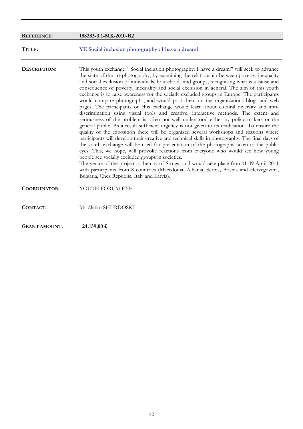| <b>REFERENCE:</b>    | 188285-3.1-MK-2010-R2                                                                                                                                                                                                                                                                                                                                                                                                                                                                                                                                                                                                                                                                                                                                                                                                                                                                                                                                                                                                                                                                                                                                                                                                                                                                                                                                                                                                                                                                                                                                                                                                          |
|----------------------|--------------------------------------------------------------------------------------------------------------------------------------------------------------------------------------------------------------------------------------------------------------------------------------------------------------------------------------------------------------------------------------------------------------------------------------------------------------------------------------------------------------------------------------------------------------------------------------------------------------------------------------------------------------------------------------------------------------------------------------------------------------------------------------------------------------------------------------------------------------------------------------------------------------------------------------------------------------------------------------------------------------------------------------------------------------------------------------------------------------------------------------------------------------------------------------------------------------------------------------------------------------------------------------------------------------------------------------------------------------------------------------------------------------------------------------------------------------------------------------------------------------------------------------------------------------------------------------------------------------------------------|
| TITLE:               | YE Social inclusion photography : I have a dream!                                                                                                                                                                                                                                                                                                                                                                                                                                                                                                                                                                                                                                                                                                                                                                                                                                                                                                                                                                                                                                                                                                                                                                                                                                                                                                                                                                                                                                                                                                                                                                              |
| DESCRIPTION:         | This youth exchange " Social inclusion photography: I have a dream!" will seek to advance<br>the state of the art-photography, by examining the relationship between poverty, inequality<br>and social exclusion of individuals, households and groups, recognising what is a cause and<br>consequence of poverty, inequality and social exclusion in general. The aim of this youth<br>exchange is to raise awareness for the socially excluded groups in Europe. The participants<br>would compare photographs, and would post them on the organizations blogs and web<br>pages. The participants on this exchange would learn about cultural diversity and anti-<br>discrimination using visual tools and creative, interactive methods. The extent and<br>seriousness of the problem is often not well understood either by policy makers or the<br>general public. As a result sufficient urgency is not given to its eradication. To ensure the<br>quality of the exposition there will be organized several workshops and sessions where<br>participants will develop their creative and technical skills in photography. The final days of<br>the youth exchange will be used for presentation of the photographs taken to the public<br>eyes. This, we hope, will provoke reactions from everyone who would see how young<br>people see socially excluded groups in societies.<br>The venue of the project is the city of Struga, and would take place from01-09 April 2011<br>with participants from 8 countries (Macedonia, Albania, Serbia, Bosnia and Herzegovina,<br>Bulgaria, Chez Republic, Italy and Latvia). |
| <b>COORDINATOR:</b>  | YOUTH FORUM EYE                                                                                                                                                                                                                                                                                                                                                                                                                                                                                                                                                                                                                                                                                                                                                                                                                                                                                                                                                                                                                                                                                                                                                                                                                                                                                                                                                                                                                                                                                                                                                                                                                |
| <b>CONTACT:</b>      | Mr Zlatko SHURDOSKI                                                                                                                                                                                                                                                                                                                                                                                                                                                                                                                                                                                                                                                                                                                                                                                                                                                                                                                                                                                                                                                                                                                                                                                                                                                                                                                                                                                                                                                                                                                                                                                                            |
| <b>GRANT AMOUNT:</b> | 24.139,00 €                                                                                                                                                                                                                                                                                                                                                                                                                                                                                                                                                                                                                                                                                                                                                                                                                                                                                                                                                                                                                                                                                                                                                                                                                                                                                                                                                                                                                                                                                                                                                                                                                    |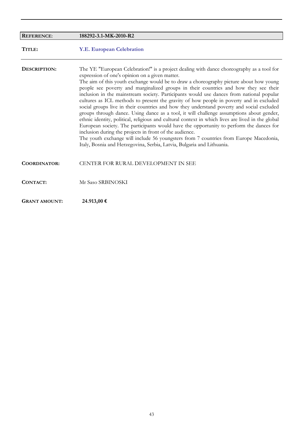| <b>REFERENCE:</b>    | 188292-3.1-MK-2010-R2                                                                                                                                                                                                                                                                                                                                                                                                                                                                                                                                                                                                                                                                                                                                                                                                                                                                                                                                                                                                                                                                                                                       |
|----------------------|---------------------------------------------------------------------------------------------------------------------------------------------------------------------------------------------------------------------------------------------------------------------------------------------------------------------------------------------------------------------------------------------------------------------------------------------------------------------------------------------------------------------------------------------------------------------------------------------------------------------------------------------------------------------------------------------------------------------------------------------------------------------------------------------------------------------------------------------------------------------------------------------------------------------------------------------------------------------------------------------------------------------------------------------------------------------------------------------------------------------------------------------|
| TITLE:               | <b>Y.E. European Celebration</b>                                                                                                                                                                                                                                                                                                                                                                                                                                                                                                                                                                                                                                                                                                                                                                                                                                                                                                                                                                                                                                                                                                            |
| DESCRIPTION:         | The YE "European Celebration!" is a project dealing with dance choreography as a tool for<br>expression of one's opinion on a given matter.<br>The aim of this youth exchange would be to draw a choreography picture about how young<br>people see poverty and marginalized groups in their countries and how they see their<br>inclusion in the mainstream society. Participants would use dances from national popular<br>cultures as ICL methods to present the gravity of how people in poverty and in excluded<br>social groups live in their countries and how they understand poverty and social excluded<br>groups through dance. Using dance as a tool, it will challenge assumptions about gender,<br>ethnic identity, political, religious and cultural context in which lives are lived in the global<br>European society. The participants would have the opportunity to perform the dances for<br>inclusion during the projects in front of the audience.<br>The youth exchange will include 56 youngsters from 7 countries from Europe Macedonia,<br>Italy, Bosnia and Herzegovina, Serbia, Latvia, Bulgaria and Lithuania. |
| <b>COORDINATOR:</b>  | CENTER FOR RURAL DEVELOPMENT IN SEE                                                                                                                                                                                                                                                                                                                                                                                                                                                                                                                                                                                                                                                                                                                                                                                                                                                                                                                                                                                                                                                                                                         |
| <b>CONTACT:</b>      | Mr Saso SRBINOSKI                                                                                                                                                                                                                                                                                                                                                                                                                                                                                                                                                                                                                                                                                                                                                                                                                                                                                                                                                                                                                                                                                                                           |
| <b>GRANT AMOUNT:</b> | 24.913,00 €                                                                                                                                                                                                                                                                                                                                                                                                                                                                                                                                                                                                                                                                                                                                                                                                                                                                                                                                                                                                                                                                                                                                 |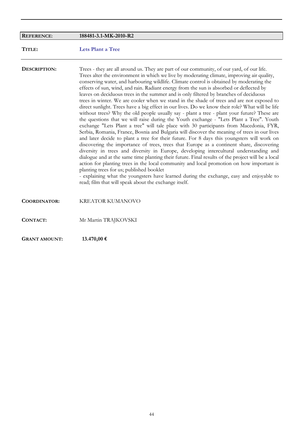| <b>REFERENCE:</b>    | 188481-3.1-MK-2010-R2                                                                                                                                                                                                                                                                                                                                                                                                                                                                                                                                                                                                                                                                                                                                                                                                                                                                                                                                                                                                                                                                                                                                                                                                                                                                                                                                                                                                                                                                                                                                                                                                                                                                                                                             |
|----------------------|---------------------------------------------------------------------------------------------------------------------------------------------------------------------------------------------------------------------------------------------------------------------------------------------------------------------------------------------------------------------------------------------------------------------------------------------------------------------------------------------------------------------------------------------------------------------------------------------------------------------------------------------------------------------------------------------------------------------------------------------------------------------------------------------------------------------------------------------------------------------------------------------------------------------------------------------------------------------------------------------------------------------------------------------------------------------------------------------------------------------------------------------------------------------------------------------------------------------------------------------------------------------------------------------------------------------------------------------------------------------------------------------------------------------------------------------------------------------------------------------------------------------------------------------------------------------------------------------------------------------------------------------------------------------------------------------------------------------------------------------------|
| TITLE:               | <b>Lets Plant a Tree</b>                                                                                                                                                                                                                                                                                                                                                                                                                                                                                                                                                                                                                                                                                                                                                                                                                                                                                                                                                                                                                                                                                                                                                                                                                                                                                                                                                                                                                                                                                                                                                                                                                                                                                                                          |
| DESCRIPTION:         | Trees - they are all around us. They are part of our community, of our yard, of our life.<br>Trees alter the environment in which we live by moderating climate, improving air quality,<br>conserving water, and harbouring wildlife. Climate control is obtained by moderating the<br>effects of sun, wind, and rain. Radiant energy from the sun is absorbed or deflected by<br>leaves on deciduous trees in the summer and is only filtered by branches of deciduous<br>trees in winter. We are cooler when we stand in the shade of trees and are not exposed to<br>direct sunlight. Trees have a big effect in our lives. Do we know their role? What will be life<br>without trees? Why the old people usually say - plant a tree - plant your future? These are<br>the questions that we will raise during the Youth exchange - "Lets Plant a Tree". Youth<br>exchange "Lets Plant a tree" will tale place with 30 participants from Macedonia, FYR,<br>Serbia, Romania, France, Bosnia and Bulgaria will discover the meaning of trees in our lives<br>and later decide to plant a tree for their future. For 8 days this youngsters will work on<br>discovering the importance of trees, trees that Europe as a continent share, discovering<br>diversity in trees and diversity in Europe, developing intercultural understanding and<br>dialogue and at the same time planting their future. Final results of the project will be a local<br>action for planting trees in the local community and local promotion on how important is<br>planting trees for us; published booklet<br>- explaining what the youngsters have learned during the exchange, easy and enjoyable to<br>read; film that will speak about the exchange itself. |
| <b>COORDINATOR:</b>  | <b>KREATOR KUMANOVO</b>                                                                                                                                                                                                                                                                                                                                                                                                                                                                                                                                                                                                                                                                                                                                                                                                                                                                                                                                                                                                                                                                                                                                                                                                                                                                                                                                                                                                                                                                                                                                                                                                                                                                                                                           |
| <b>CONTACT:</b>      | Mr Martin TRAJKOVSKI                                                                                                                                                                                                                                                                                                                                                                                                                                                                                                                                                                                                                                                                                                                                                                                                                                                                                                                                                                                                                                                                                                                                                                                                                                                                                                                                                                                                                                                                                                                                                                                                                                                                                                                              |
| <b>GRANT AMOUNT:</b> | 13.470,00 €                                                                                                                                                                                                                                                                                                                                                                                                                                                                                                                                                                                                                                                                                                                                                                                                                                                                                                                                                                                                                                                                                                                                                                                                                                                                                                                                                                                                                                                                                                                                                                                                                                                                                                                                       |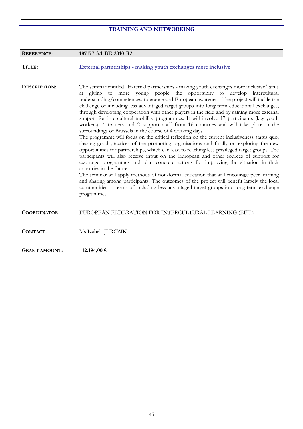## **TRAINING AND NETWORKING**

| <b>REFERENCE:</b>    | 187177-3.1-BE-2010-R2                                                                                                                                                                                                                                                                                                                                                                                                                                                                                                                                                                                                                                                                                                                                                                                                                                                                                                                                                                                                                                                                                                                                                                                                                                                                                                                                                                                                                                                                                                      |
|----------------------|----------------------------------------------------------------------------------------------------------------------------------------------------------------------------------------------------------------------------------------------------------------------------------------------------------------------------------------------------------------------------------------------------------------------------------------------------------------------------------------------------------------------------------------------------------------------------------------------------------------------------------------------------------------------------------------------------------------------------------------------------------------------------------------------------------------------------------------------------------------------------------------------------------------------------------------------------------------------------------------------------------------------------------------------------------------------------------------------------------------------------------------------------------------------------------------------------------------------------------------------------------------------------------------------------------------------------------------------------------------------------------------------------------------------------------------------------------------------------------------------------------------------------|
| TITLE:               | External partnerships - making youth exchanges more inclusive                                                                                                                                                                                                                                                                                                                                                                                                                                                                                                                                                                                                                                                                                                                                                                                                                                                                                                                                                                                                                                                                                                                                                                                                                                                                                                                                                                                                                                                              |
| DESCRIPTION:         | The seminar entitled "External partnerships - making youth exchanges more inclusive" aims<br>at giving to more young people the opportunity to develop intercultural<br>understanding/competences, tolerance and European awareness. The project will tackle the<br>challenge of including less advantaged target groups into long-term educational exchanges,<br>through developing cooperation with other players in the field and by gaining more external<br>support for intercultural mobility programmes. It will involve 17 participants (key youth<br>workers), 4 trainers and 2 support staff from 16 countries and will take place in the<br>surroundings of Brussels in the course of 4 working days.<br>The programme will focus on the critical reflection on the current inclusiveness status quo,<br>sharing good practices of the promoting organisations and finally on exploring the new<br>opportunities for partnerships, which can lead to reaching less privileged target groups. The<br>participants will also receive input on the European and other sources of support for<br>exchange programmes and plan concrete actions for improving the situation in their<br>countries in the future.<br>The seminar will apply methods of non-formal education that will encourage peer learning<br>and sharing among participants. The outcomes of the project will benefit largely the local<br>communities in terms of including less advantaged target groups into long-term exchange<br>programmes. |
| <b>COORDINATOR:</b>  | EUROPEAN FEDERATION FOR INTERCULTURAL LEARNING (EFIL)                                                                                                                                                                                                                                                                                                                                                                                                                                                                                                                                                                                                                                                                                                                                                                                                                                                                                                                                                                                                                                                                                                                                                                                                                                                                                                                                                                                                                                                                      |
| CONTACT:             | Ms Izabela JURCZIK                                                                                                                                                                                                                                                                                                                                                                                                                                                                                                                                                                                                                                                                                                                                                                                                                                                                                                                                                                                                                                                                                                                                                                                                                                                                                                                                                                                                                                                                                                         |
| <b>GRANT AMOUNT:</b> | 12.194,00 €                                                                                                                                                                                                                                                                                                                                                                                                                                                                                                                                                                                                                                                                                                                                                                                                                                                                                                                                                                                                                                                                                                                                                                                                                                                                                                                                                                                                                                                                                                                |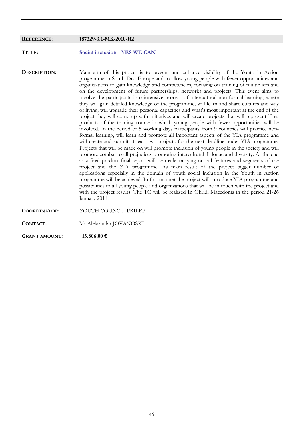## **REFERENCE**: **187329-3.1-MK-2010-R2**

**TITLE: Social inclusion - YES WE CAN**

**DESCRIPTION:** Main aim of this project is to present and enhance visibility of the Youth in Action programme in South East Europe and to allow young people with fewer opportunities and organizations to gain knowledge and competencies, focusing on training of multipliers and on the development of future partnerships, networks and projects. This event aims to involve the participants into intensive process of intercultural non-formal learning, where they will gain detailed knowledge of the programme, will learn and share cultures and way of living, will upgrade their personal capacities and what's most important at the end of the project they will come up with initiatives and will create projects that will represent 'final products of the training course in which young people with fewer opportunities will be involved. In the period of 5 working days participants from 9 countries will practice nonformal learning, will learn and promote all important aspects of the YIA programme and will create and submit at least two projects for the next deadline under YIA programme. Projects that will be made on will promote inclusion of young people in the society and will promote combat to all prejudices promoting intercultural dialogue and diversity. At the end as a final product final report will be made carrying out all features and segments of the project and the YIA programme. As main result of the project bigger number of applications especially in the domain of youth social inclusion in the Youth in Action programme will be achieved. In this manner the project will introduce YIA programme and possibilities to all young people and organizations that will be in touch with the project and with the project results. The TC will be realized In Ohrid, Macedonia in the period 21-26 January 2011. **COORDINATOR:** YOUTH COUNCIL PRILEP

**CONTACT:** Mr Aleksandar JOVANOSKI

**GRANT AMOUNT: 13.806,00 €**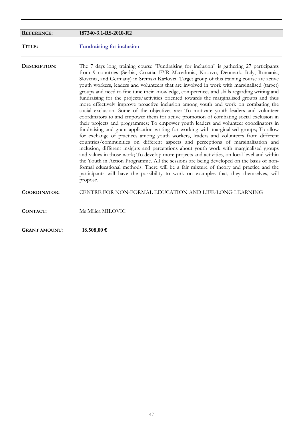| <b>REFERENCE:</b>    | 187340-3.1-RS-2010-R2                                                                                                                                                                                                                                                                                                                                                                                                                                                                                                                                                                                                                                                                                                                                                                                                                                                                                                                                                                                                                                                                                                                                                                                                                                                                                                                                                                                                                                                                                                                                                                                                                                                                                     |
|----------------------|-----------------------------------------------------------------------------------------------------------------------------------------------------------------------------------------------------------------------------------------------------------------------------------------------------------------------------------------------------------------------------------------------------------------------------------------------------------------------------------------------------------------------------------------------------------------------------------------------------------------------------------------------------------------------------------------------------------------------------------------------------------------------------------------------------------------------------------------------------------------------------------------------------------------------------------------------------------------------------------------------------------------------------------------------------------------------------------------------------------------------------------------------------------------------------------------------------------------------------------------------------------------------------------------------------------------------------------------------------------------------------------------------------------------------------------------------------------------------------------------------------------------------------------------------------------------------------------------------------------------------------------------------------------------------------------------------------------|
| TITLE:               | <b>Fundraising for inclusion</b>                                                                                                                                                                                                                                                                                                                                                                                                                                                                                                                                                                                                                                                                                                                                                                                                                                                                                                                                                                                                                                                                                                                                                                                                                                                                                                                                                                                                                                                                                                                                                                                                                                                                          |
| DESCRIPTION:         | The 7 days long training course "Fundraising for inclusion" is gathering 27 participants<br>from 9 countries (Serbia, Croatia, FYR Macedonia, Kosovo, Denmark, Italy, Romania,<br>Slovenia, and Germany) in Sremski Karlovci. Target group of this training course are active<br>youth workers, leaders and volunteers that are involved in work with marginalised (target)<br>groups and need to fine tune their knowledge, competences and skills regarding writing and<br>fundraising for the projects/activities oriented towards the marginalised groups and thus<br>more effectively improve proactive inclusion among youth and work on combating the<br>social exclusion. Some of the objectives are: To motivate youth leaders and volunteer<br>coordinators to and empower them for active promotion of combating social exclusion in<br>their projects and programmes; To empower youth leaders and volunteer coordinators in<br>fundraising and grant application writing for working with marginalised groups; To allow<br>for exchange of practices among youth workers, leaders and volunteers from different<br>countries/communities on different aspects and perceptions of marginalisation and<br>inclusion, different insights and perceptions about youth work with marginalised groups<br>and values in those work; To develop more projects and activities, on local level and within<br>the Youth in Action Programme. All the sessions are being developed on the basis of non-<br>formal educational methods. There will be a fair mixture of theory and practice and the<br>participants will have the possibility to work on examples that, they themselves, will<br>propose. |
| <b>COORDINATOR:</b>  | CENTRE FOR NON-FORMAL EDUCATION AND LIFE-LONG LEARNING                                                                                                                                                                                                                                                                                                                                                                                                                                                                                                                                                                                                                                                                                                                                                                                                                                                                                                                                                                                                                                                                                                                                                                                                                                                                                                                                                                                                                                                                                                                                                                                                                                                    |
| <b>CONTACT:</b>      | Ms Milica MILOVIC                                                                                                                                                                                                                                                                                                                                                                                                                                                                                                                                                                                                                                                                                                                                                                                                                                                                                                                                                                                                                                                                                                                                                                                                                                                                                                                                                                                                                                                                                                                                                                                                                                                                                         |
| <b>GRANT AMOUNT:</b> | 18.508,00 €                                                                                                                                                                                                                                                                                                                                                                                                                                                                                                                                                                                                                                                                                                                                                                                                                                                                                                                                                                                                                                                                                                                                                                                                                                                                                                                                                                                                                                                                                                                                                                                                                                                                                               |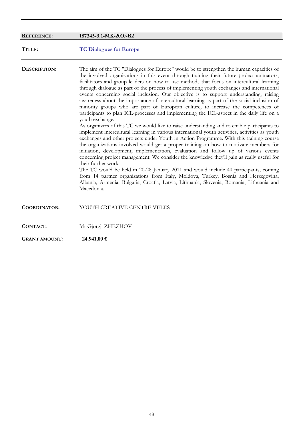| <b>REFERENCE:</b>   | 187345-3.1-MK-2010-R2                                                                                                                                                                                                                                                                                                                                                                                                                                                                                                                                                                                                                                                                                                                                                                                                                                                                                                                                                                                                                                                                                                                                                                                                                                                                                                                                                                                                                                                                                                                                                                                                                                                 |
|---------------------|-----------------------------------------------------------------------------------------------------------------------------------------------------------------------------------------------------------------------------------------------------------------------------------------------------------------------------------------------------------------------------------------------------------------------------------------------------------------------------------------------------------------------------------------------------------------------------------------------------------------------------------------------------------------------------------------------------------------------------------------------------------------------------------------------------------------------------------------------------------------------------------------------------------------------------------------------------------------------------------------------------------------------------------------------------------------------------------------------------------------------------------------------------------------------------------------------------------------------------------------------------------------------------------------------------------------------------------------------------------------------------------------------------------------------------------------------------------------------------------------------------------------------------------------------------------------------------------------------------------------------------------------------------------------------|
| TITLE:              | <b>TC Dialogues for Europe</b>                                                                                                                                                                                                                                                                                                                                                                                                                                                                                                                                                                                                                                                                                                                                                                                                                                                                                                                                                                                                                                                                                                                                                                                                                                                                                                                                                                                                                                                                                                                                                                                                                                        |
| DESCRIPTION:        | The aim of the TC "Dialogues for Europe" would be to strengthen the human capacities of<br>the involved organizations in this event through training their future project animators,<br>facilitators and group leaders on how to use methods that focus on intercultural learning<br>through dialogue as part of the process of implementing youth exchanges and international<br>events concerning social inclusion. Our objective is to support understanding, raising<br>awareness about the importance of intercultural learning as part of the social inclusion of<br>minority groups who are part of European culture, to increase the competences of<br>participants to plan ICL-processes and implementing the ICL-aspect in the daily life on a<br>youth exchange.<br>As organizers of this TC we would like to raise understanding and to enable participants to<br>implement intercultural learning in various international youth activities, activities as youth<br>exchanges and other projects under Youth in Action Programme. With this training course<br>the organizations involved would get a proper training on how to motivate members for<br>initiation, development, implementation, evaluation and follow up of various events<br>concerning project management. We consider the knowledge they'll gain as really useful for<br>their further work.<br>The TC would be held in 20-28 January 2011 and would include 40 participants, coming<br>from 14 partner organizations from Italy, Moldova, Turkey, Bosnia and Herzegovina,<br>Albania, Armenia, Bulgaria, Croatia, Latvia, Lithuania, Slovenia, Romania, Lithuania and<br>Macedonia. |
| <b>COORDINATOR:</b> | YOUTH CREATIVE CENTRE VELES                                                                                                                                                                                                                                                                                                                                                                                                                                                                                                                                                                                                                                                                                                                                                                                                                                                                                                                                                                                                                                                                                                                                                                                                                                                                                                                                                                                                                                                                                                                                                                                                                                           |
| <b>CONTACT:</b>     | Mr Gjorgji ZHEZHOV                                                                                                                                                                                                                                                                                                                                                                                                                                                                                                                                                                                                                                                                                                                                                                                                                                                                                                                                                                                                                                                                                                                                                                                                                                                                                                                                                                                                                                                                                                                                                                                                                                                    |

**GRANT AMOUNT: 24.941,00 €**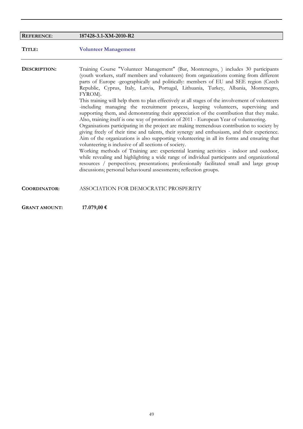| <b>REFERENCE:</b>    | 187428-3.1-XM-2010-R2                                                                                                                                                                                                                                                                                                                                                                                                                                                                                                                                                                                                                                                                                                                                                                                                                                                                                                                                                                                                                                                                                                                                                                                                                                                                                                                                                                                                                                                   |
|----------------------|-------------------------------------------------------------------------------------------------------------------------------------------------------------------------------------------------------------------------------------------------------------------------------------------------------------------------------------------------------------------------------------------------------------------------------------------------------------------------------------------------------------------------------------------------------------------------------------------------------------------------------------------------------------------------------------------------------------------------------------------------------------------------------------------------------------------------------------------------------------------------------------------------------------------------------------------------------------------------------------------------------------------------------------------------------------------------------------------------------------------------------------------------------------------------------------------------------------------------------------------------------------------------------------------------------------------------------------------------------------------------------------------------------------------------------------------------------------------------|
| TITLE:               | <b>Volunteer Management</b>                                                                                                                                                                                                                                                                                                                                                                                                                                                                                                                                                                                                                                                                                                                                                                                                                                                                                                                                                                                                                                                                                                                                                                                                                                                                                                                                                                                                                                             |
| DESCRIPTION:         | Training Course "Volunteer Management" (Bar, Montenegro, ) includes 30 participants<br>(youth workers, staff members and volunteers) from organizations coming from different<br>parts of Europe -geographically and politically: members of EU and SEE region (Czech<br>Republic, Cyprus, Italy, Latvia, Portugal, Lithuania, Turkey, Albania, Montenegro,<br>FYROM).<br>This training will help them to plan effectively at all stages of the involvement of volunteers<br>-including managing the recruitment process, keeping volunteers, supervising and<br>supporting them, and demonstrating their appreciation of the contribution that they make.<br>Also, training itself is one way of promotion of 2011 - European Year of volunteering.<br>Organisations participating in the project are making tremendous contribution to society by<br>giving freely of their time and talents, their synergy and enthusiasm, and their experience.<br>Aim of the organizations is also supporting volunteering in all its forms and ensuring that<br>volunteering is inclusive of all sections of society.<br>Working methods of Training are: experiential learning activities - indoor and outdoor,<br>while revealing and highlighting a wide range of individual participants and organizational<br>resources / perspectives; presentations; professionally facilitated small and large group<br>discussions; personal behavioural assessments; reflection groups. |
| <b>COORDINATOR:</b>  | ASSOCIATION FOR DEMOCRATIC PROSPERITY                                                                                                                                                                                                                                                                                                                                                                                                                                                                                                                                                                                                                                                                                                                                                                                                                                                                                                                                                                                                                                                                                                                                                                                                                                                                                                                                                                                                                                   |
| <b>GRANT AMOUNT:</b> | 17.079,00 €                                                                                                                                                                                                                                                                                                                                                                                                                                                                                                                                                                                                                                                                                                                                                                                                                                                                                                                                                                                                                                                                                                                                                                                                                                                                                                                                                                                                                                                             |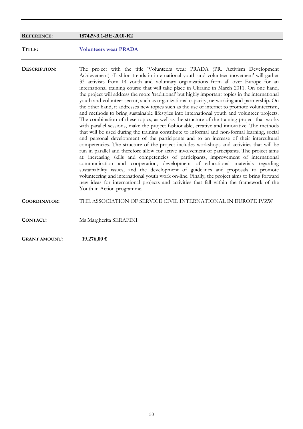## **REFERENCE**: **187429-3.1-BE-2010-R2**

**TITLE: Volunteers wear PRADA**

**DESCRIPTION:** The project with the title 'Volunteers wear PRADA (PR. Activism Development Achievement) -Fashion trends in international youth and volunteer movement' will gather 33 activists from 14 youth and voluntary organizations from all over Europe for an international training course that will take place in Ukraine in March 2011. On one hand, the project will address the more 'traditional' but highly important topics in the international youth and volunteer sector, such as organizational capacity, networking and partnership. On the other hand, it addresses new topics such as the use of internet to promote volunteerism, and methods to bring sustainable lifestyles into international youth and volunteer projects. The combination of these topics, as well as the structure of the training project that works with parallel sessions, make the project fashionable, creative and innovative. The methods that will be used during the training contribute to informal and non-formal learning, social and personal development of the participants and to an increase of their intercultural competencies. The structure of the project includes workshops and activities that will be run in parallel and therefore allow for active involvement of participants. The project aims at: increasing skills and competencies of participants, improvement of international communication and cooperation, development of educational materials regarding sustainability issues, and the development of guidelines and proposals to promote volunteering and international youth work on-line. Finally, the project aims to bring forward new ideas for international projects and activities that fall within the framework of the Youth in Action programme. **COORDINATOR:** THE ASSOCIATION OF SERVICE CIVIL INTERNATIONAL IN EUROPE IVZW

**CONTACT:** Ms Margherita SERAFINI

**GRANT AMOUNT: 19.276,00 €**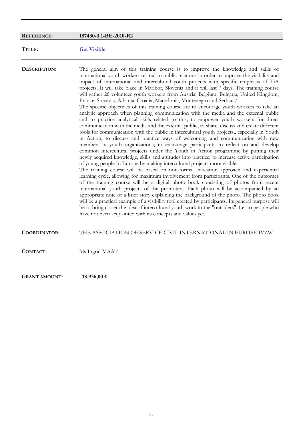| <b>REFERENCE:</b>    | 187430-3.1-BE-2010-R2                                                                                                                                                                                                                                                                                                                                                                                                                                                                                                                                                                                                                                                                                                                                                                                                                                                                                                                                                                                                                                                                                                                                                                                                                                                                                                                                                                                                                                                                                                                                                                                                                                                                                                                                                                                                                                                                                                                                                                                                                                                                                                                                                                                                 |
|----------------------|-----------------------------------------------------------------------------------------------------------------------------------------------------------------------------------------------------------------------------------------------------------------------------------------------------------------------------------------------------------------------------------------------------------------------------------------------------------------------------------------------------------------------------------------------------------------------------------------------------------------------------------------------------------------------------------------------------------------------------------------------------------------------------------------------------------------------------------------------------------------------------------------------------------------------------------------------------------------------------------------------------------------------------------------------------------------------------------------------------------------------------------------------------------------------------------------------------------------------------------------------------------------------------------------------------------------------------------------------------------------------------------------------------------------------------------------------------------------------------------------------------------------------------------------------------------------------------------------------------------------------------------------------------------------------------------------------------------------------------------------------------------------------------------------------------------------------------------------------------------------------------------------------------------------------------------------------------------------------------------------------------------------------------------------------------------------------------------------------------------------------------------------------------------------------------------------------------------------------|
| TITLE:               | <b>Get Visible</b>                                                                                                                                                                                                                                                                                                                                                                                                                                                                                                                                                                                                                                                                                                                                                                                                                                                                                                                                                                                                                                                                                                                                                                                                                                                                                                                                                                                                                                                                                                                                                                                                                                                                                                                                                                                                                                                                                                                                                                                                                                                                                                                                                                                                    |
| DESCRIPTION:         | The general aim of this training course is to improve the knowledge and skills of<br>international youth workers related to public relations in order to improve the visibility and<br>impact of international and intercultural youth projects with specific emphasis of YiA<br>projects. It will take place in Maribor, Slovenia and it will last 7 days. The training course<br>will gather 26 volunteer youth workers from Austria, Belgium, Bulgaria, United Kingdom,<br>France, Slovenia, Albania, Croatia, Macedonia, Montenegro and Serbia. /<br>The specific objectives of this training course are to encourage youth workers to take an<br>analytic approach when planning communication with the media and the external public<br>and to practice analytical skills related to this; to empower youth workers for direct<br>communication with the media and the external public; to share, discuss and create different<br>tools for communication with the public in intercultural youth projects,, especially in Youth<br>in Action; to discuss and practice ways of welcoming and communicating with new<br>members in youth organizations; to encourage participants to reflect on and develop<br>common intercultural projects under the Youth in Action programme by putting their<br>newly acquired knowledge, skills and attitudes into practice; to increase active participation<br>of young people In Europe by making intercultural projects more visible.<br>The training course will be based on non-formal education approach and experiential<br>learning cycle, allowing for maximum involvement from participants. One of the outcomes<br>of the training course will be a digital photo book consisting of photos from recent<br>international youth projects of the promoters. Each photo will be accompanied by an<br>appropriate note or a brief story explaining the background of the photo. The photo book<br>will be a practical example of a visibility tool created by participants. Its general purpose will<br>be to bring closer the idea of intercultural youth work to the "outsiders", Let to people who<br>have not been acquainted with its concepts and values yet. |
| <b>COORDINATOR:</b>  | THE ASSOCIATION OF SERVICE CIVIL INTERNATIONAL IN EUROPE IVZW                                                                                                                                                                                                                                                                                                                                                                                                                                                                                                                                                                                                                                                                                                                                                                                                                                                                                                                                                                                                                                                                                                                                                                                                                                                                                                                                                                                                                                                                                                                                                                                                                                                                                                                                                                                                                                                                                                                                                                                                                                                                                                                                                         |
| <b>CONTACT:</b>      | Ms Ingrid MAAT                                                                                                                                                                                                                                                                                                                                                                                                                                                                                                                                                                                                                                                                                                                                                                                                                                                                                                                                                                                                                                                                                                                                                                                                                                                                                                                                                                                                                                                                                                                                                                                                                                                                                                                                                                                                                                                                                                                                                                                                                                                                                                                                                                                                        |
| <b>GRANT AMOUNT:</b> | 18.936,00 €                                                                                                                                                                                                                                                                                                                                                                                                                                                                                                                                                                                                                                                                                                                                                                                                                                                                                                                                                                                                                                                                                                                                                                                                                                                                                                                                                                                                                                                                                                                                                                                                                                                                                                                                                                                                                                                                                                                                                                                                                                                                                                                                                                                                           |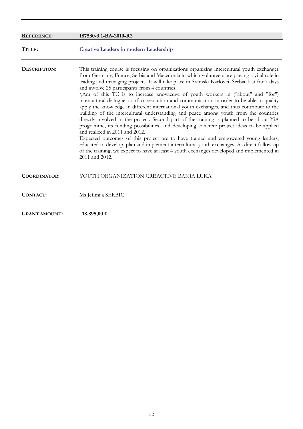| <b>REFERENCE:</b>    | 187530-3.1-BA-2010-R2                                                                                                                                                                                                                                                                                                                                                                                                                                                                                                                                                                                                                                                                                                                                                                                                                                                                                                                                                                                                                                                                                                                                                                                                                               |
|----------------------|-----------------------------------------------------------------------------------------------------------------------------------------------------------------------------------------------------------------------------------------------------------------------------------------------------------------------------------------------------------------------------------------------------------------------------------------------------------------------------------------------------------------------------------------------------------------------------------------------------------------------------------------------------------------------------------------------------------------------------------------------------------------------------------------------------------------------------------------------------------------------------------------------------------------------------------------------------------------------------------------------------------------------------------------------------------------------------------------------------------------------------------------------------------------------------------------------------------------------------------------------------|
| TITLE:               | <b>Creative Leaders in modern Leadership</b>                                                                                                                                                                                                                                                                                                                                                                                                                                                                                                                                                                                                                                                                                                                                                                                                                                                                                                                                                                                                                                                                                                                                                                                                        |
| DESCRIPTION:         | This training course is focusing on organizations organizing intercultural youth exchanges<br>from Germany, France, Serbia and Macedonia in which volunteers are playing a vital role in<br>leading and managing projects. It will take place in Sremski Karlovci, Serbia, last for 7 days<br>and involve 25 participants from 4 countries.<br>\Am of this TC is to increase knowledge of youth workers in ("about" and "for")<br>intercultural dialogue, conflict resolution and communication in order to be able to quality<br>apply the knowledge in different international youth exchanges, and thus contribute to the<br>building of the intercultural understanding and peace among youth from the countries<br>directly involved in the project. Second part of the training is planned to be about YiA<br>programme, its funding possibilities, and developing concrete project ideas to be applied<br>and realized in 2011 and 2012.<br>Expected outcomes of this project are to have trained and empowered young leaders,<br>educated to develop, plan and implement intercultural youth exchanges. As direct follow up<br>of the training, we expect to have at least 4 youth exchanges developed and implemented in<br>2011 and 2012. |
| <b>COORDINATOR:</b>  | YOUTH ORGANIZATION CREACTIVE BANJA LUKA                                                                                                                                                                                                                                                                                                                                                                                                                                                                                                                                                                                                                                                                                                                                                                                                                                                                                                                                                                                                                                                                                                                                                                                                             |
| <b>CONTACT:</b>      | Ms Jefimija SERBIC                                                                                                                                                                                                                                                                                                                                                                                                                                                                                                                                                                                                                                                                                                                                                                                                                                                                                                                                                                                                                                                                                                                                                                                                                                  |
| <b>GRANT AMOUNT:</b> | 18.895,00 €                                                                                                                                                                                                                                                                                                                                                                                                                                                                                                                                                                                                                                                                                                                                                                                                                                                                                                                                                                                                                                                                                                                                                                                                                                         |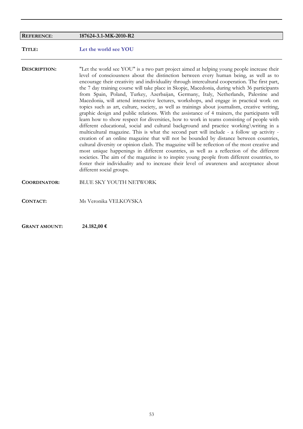| <b>REFERENCE:</b>    | 187624-3.1-MK-2010-R2                                                                                                                                                                                                                                                                                                                                                                                                                                                                                                                                                                                                                                                                                                                                                                                                                                                                                                                                                                                                                                                                                                                                                                                                                                                                                                                                                                                                                                                                                                                                                        |
|----------------------|------------------------------------------------------------------------------------------------------------------------------------------------------------------------------------------------------------------------------------------------------------------------------------------------------------------------------------------------------------------------------------------------------------------------------------------------------------------------------------------------------------------------------------------------------------------------------------------------------------------------------------------------------------------------------------------------------------------------------------------------------------------------------------------------------------------------------------------------------------------------------------------------------------------------------------------------------------------------------------------------------------------------------------------------------------------------------------------------------------------------------------------------------------------------------------------------------------------------------------------------------------------------------------------------------------------------------------------------------------------------------------------------------------------------------------------------------------------------------------------------------------------------------------------------------------------------------|
| TITLE:               | Let the world see YOU                                                                                                                                                                                                                                                                                                                                                                                                                                                                                                                                                                                                                                                                                                                                                                                                                                                                                                                                                                                                                                                                                                                                                                                                                                                                                                                                                                                                                                                                                                                                                        |
| DESCRIPTION:         | "Let the world see YOU" is a two part project aimed at helping young people increase their<br>level of consciousness about the distinction between every human being, as well as to<br>encourage their creativity and individuality through intercultural cooperation. The first part,<br>the 7 day training course will take place in Skopje, Macedonia, during which 36 participants<br>from Spain, Poland, Turkey, Azerbaijan, Germany, Italy, Netherlands, Palestine and<br>Macedonia, will attend interactive lectures, workshops, and engage in practical work on<br>topics such as art, culture, society, as well as trainings about journalism, creative writing,<br>graphic design and public relations. With the assistance of 4 trainers, the participants will<br>learn how to show respect for diversities, how to work in teams consisting of people with<br>different educational, social and cultural background and practice working writing in a<br>multicultural magazine. This is what the second part will include - a follow up activity -<br>creation of an online magazine that will not be bounded by distance between countries,<br>cultural diversity or opinion clash. The magazine will be reflection of the most creative and<br>most unique happenings in different countries, as well as a reflection of the different<br>societies. The aim of the magazine is to inspire young people from different countries, to<br>foster their individuality and to increase their level of awareness and acceptance about<br>different social groups. |
| <b>COORDINATOR:</b>  | <b>BLUE SKY YOUTH NETWORK</b>                                                                                                                                                                                                                                                                                                                                                                                                                                                                                                                                                                                                                                                                                                                                                                                                                                                                                                                                                                                                                                                                                                                                                                                                                                                                                                                                                                                                                                                                                                                                                |
| <b>CONTACT:</b>      | Ms Veronika VELKOVSKA                                                                                                                                                                                                                                                                                                                                                                                                                                                                                                                                                                                                                                                                                                                                                                                                                                                                                                                                                                                                                                                                                                                                                                                                                                                                                                                                                                                                                                                                                                                                                        |
| <b>GRANT AMOUNT:</b> | 24.182,00 €                                                                                                                                                                                                                                                                                                                                                                                                                                                                                                                                                                                                                                                                                                                                                                                                                                                                                                                                                                                                                                                                                                                                                                                                                                                                                                                                                                                                                                                                                                                                                                  |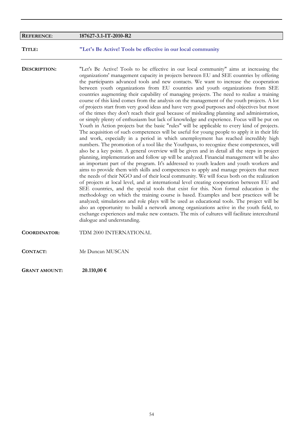| <b>REFERENCE:</b>    | 187627-3.1-IT-2010-R2                                                                                                                                                                                                                                                                                                                                                                                                                                                                                                                                                                                                                                                                                                                                                                                                                                                                                                                                                                                                                                                                                                                                                                                                                                                                                                                                                                                                                                                                                                                                                                                                                                                                                                                                                                                                                                                                                                                                                                                                                                                                                                                                                                                                                                                                                                                |
|----------------------|--------------------------------------------------------------------------------------------------------------------------------------------------------------------------------------------------------------------------------------------------------------------------------------------------------------------------------------------------------------------------------------------------------------------------------------------------------------------------------------------------------------------------------------------------------------------------------------------------------------------------------------------------------------------------------------------------------------------------------------------------------------------------------------------------------------------------------------------------------------------------------------------------------------------------------------------------------------------------------------------------------------------------------------------------------------------------------------------------------------------------------------------------------------------------------------------------------------------------------------------------------------------------------------------------------------------------------------------------------------------------------------------------------------------------------------------------------------------------------------------------------------------------------------------------------------------------------------------------------------------------------------------------------------------------------------------------------------------------------------------------------------------------------------------------------------------------------------------------------------------------------------------------------------------------------------------------------------------------------------------------------------------------------------------------------------------------------------------------------------------------------------------------------------------------------------------------------------------------------------------------------------------------------------------------------------------------------------|
| TITLE:               | "Let's Be Active! Tools be effective in our local community                                                                                                                                                                                                                                                                                                                                                                                                                                                                                                                                                                                                                                                                                                                                                                                                                                                                                                                                                                                                                                                                                                                                                                                                                                                                                                                                                                                                                                                                                                                                                                                                                                                                                                                                                                                                                                                                                                                                                                                                                                                                                                                                                                                                                                                                          |
| DESCRIPTION:         | "Let's Be Active! Tools to be effective in our local community" aims at increasing the<br>organizations' management capacity in projects between EU and SEE countries by offering<br>the participants advanced tools and new contacts. We want to increase the cooperation<br>between youth organizations from EU countries and youth organizations from SEE<br>countries augmenting their capability of managing projects. The need to realize a training<br>course of this kind comes from the analysis on the management of the youth projects. A lot<br>of projects start from very good ideas and have very good purposes and objectives but most<br>of the times they don't reach their goal because of misleading planning and administration,<br>or simply plenty of enthusiasm but lack of knowledge and experience. Focus will be put on<br>Youth in Action projects but the basic "rules" will be applicable to every kind of projects.<br>The acquisition of such competences will be useful for young people to apply it in their life<br>and work, especially in a period in which unemployment has reached incredibly high<br>numbers. The promotion of a tool like the Youthpass, to recognize these competences, will<br>also be a key point. A general overview will be given and in detail all the steps in project<br>planning, implementation and follow up will be analyzed. Financial management will be also<br>an important part of the program. It's addressed to youth leaders and youth workers and<br>aims to provide them with skills and competences to apply and manage projects that meet<br>the needs of their NGO and of their local community. We will focus both on the realization<br>of projects at local level, and at international level creating cooperation between EU and<br>SEE countries, and the special tools that exist for this. Non formal education is the<br>methodology on which the training course is based. Examples and best practices will be<br>analyzed; simulations and role plays will be used as educational tools. The project will be<br>also an opportunity to build a network among organizations active in the youth field, to<br>exchange experiences and make new contacts. The mix of cultures will facilitate intercultural<br>dialogue and understanding. |
| <b>COORDINATOR:</b>  | TDM 2000 INTERNATIONAL                                                                                                                                                                                                                                                                                                                                                                                                                                                                                                                                                                                                                                                                                                                                                                                                                                                                                                                                                                                                                                                                                                                                                                                                                                                                                                                                                                                                                                                                                                                                                                                                                                                                                                                                                                                                                                                                                                                                                                                                                                                                                                                                                                                                                                                                                                               |
| <b>CONTACT:</b>      | Mr Duncan MUSCAN                                                                                                                                                                                                                                                                                                                                                                                                                                                                                                                                                                                                                                                                                                                                                                                                                                                                                                                                                                                                                                                                                                                                                                                                                                                                                                                                                                                                                                                                                                                                                                                                                                                                                                                                                                                                                                                                                                                                                                                                                                                                                                                                                                                                                                                                                                                     |
| <b>GRANT AMOUNT:</b> | 20.110,00 €                                                                                                                                                                                                                                                                                                                                                                                                                                                                                                                                                                                                                                                                                                                                                                                                                                                                                                                                                                                                                                                                                                                                                                                                                                                                                                                                                                                                                                                                                                                                                                                                                                                                                                                                                                                                                                                                                                                                                                                                                                                                                                                                                                                                                                                                                                                          |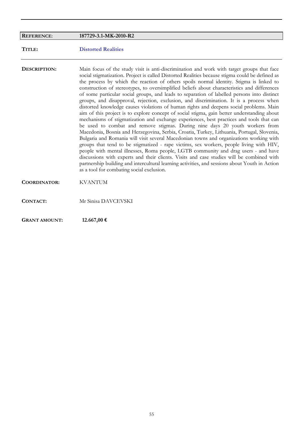| <b>REFERENCE:</b>    | 187729-3.1-MK-2010-R2                                                                                                                                                                                                                                                                                                                                                                                                                                                                                                                                                                                                                                                                                                                                                                                                                                                                                                                                                                                                                                                                                                                                                                                                                                                                                                                                                                                                                                                                                                                                                           |
|----------------------|---------------------------------------------------------------------------------------------------------------------------------------------------------------------------------------------------------------------------------------------------------------------------------------------------------------------------------------------------------------------------------------------------------------------------------------------------------------------------------------------------------------------------------------------------------------------------------------------------------------------------------------------------------------------------------------------------------------------------------------------------------------------------------------------------------------------------------------------------------------------------------------------------------------------------------------------------------------------------------------------------------------------------------------------------------------------------------------------------------------------------------------------------------------------------------------------------------------------------------------------------------------------------------------------------------------------------------------------------------------------------------------------------------------------------------------------------------------------------------------------------------------------------------------------------------------------------------|
| TITLE:               | <b>Distorted Realities</b>                                                                                                                                                                                                                                                                                                                                                                                                                                                                                                                                                                                                                                                                                                                                                                                                                                                                                                                                                                                                                                                                                                                                                                                                                                                                                                                                                                                                                                                                                                                                                      |
| DESCRIPTION:         | Main focus of the study visit is anti-discrimination and work with target groups that face<br>social stigmatization. Project is called Distorted Realities because stigma could be defined as<br>the process by which the reaction of others spoils normal identity. Stigma is linked to<br>construction of stereotypes, to oversimplified beliefs about characteristics and differences<br>of some particular social groups, and leads to separation of labelled persons into distinct<br>groups, and disapproval, rejection, exclusion, and discrimination. It is a process when<br>distorted knowledge causes violations of human rights and deepens social problems. Main<br>aim of this project is to explore concept of social stigma, gain better understanding about<br>mechanisms of stigmatization and exchange experiences, best practices and tools that can<br>be used to combat and remove stigmas. During nine days 20 youth workers from<br>Macedonia, Bosnia and Herzegovina, Serbia, Croatia, Turkey, Lithuania, Portugal, Slovenia,<br>Bulgaria and Romania will visit several Macedonian towns and organizations working with<br>groups that tend to be stigmatized - rape victims, sex workers, people living with HIV,<br>people with mental illnesses, Roma people, LGTB community and drag users - and have<br>discussions with experts and their clients. Visits and case studies will be combined with<br>partnership building and intercultural learning activities, and sessions about Youth in Action<br>as a tool for combating social exclusion. |
| <b>COORDINATOR:</b>  | <b>KVANTUM</b>                                                                                                                                                                                                                                                                                                                                                                                                                                                                                                                                                                                                                                                                                                                                                                                                                                                                                                                                                                                                                                                                                                                                                                                                                                                                                                                                                                                                                                                                                                                                                                  |
| <b>CONTACT:</b>      | Mr Sinisa DAVCEVSKI                                                                                                                                                                                                                                                                                                                                                                                                                                                                                                                                                                                                                                                                                                                                                                                                                                                                                                                                                                                                                                                                                                                                                                                                                                                                                                                                                                                                                                                                                                                                                             |
| <b>GRANT AMOUNT:</b> | 12.667,00 €                                                                                                                                                                                                                                                                                                                                                                                                                                                                                                                                                                                                                                                                                                                                                                                                                                                                                                                                                                                                                                                                                                                                                                                                                                                                                                                                                                                                                                                                                                                                                                     |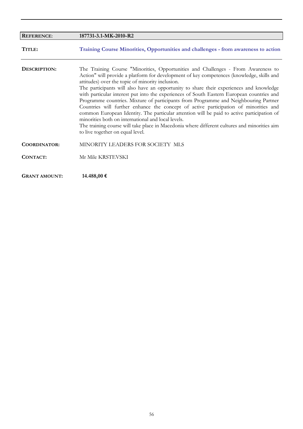| <b>REFERENCE:</b>    | 187731-3.1-MK-2010-R2                                                                                                                                                                                                                                                                                                                                                                                                                                                                                                                                                                                                                                                                                                                                                                                                                                                                              |
|----------------------|----------------------------------------------------------------------------------------------------------------------------------------------------------------------------------------------------------------------------------------------------------------------------------------------------------------------------------------------------------------------------------------------------------------------------------------------------------------------------------------------------------------------------------------------------------------------------------------------------------------------------------------------------------------------------------------------------------------------------------------------------------------------------------------------------------------------------------------------------------------------------------------------------|
| TITLE:               | Training Course Minorities, Opportunities and challenges - from awareness to action                                                                                                                                                                                                                                                                                                                                                                                                                                                                                                                                                                                                                                                                                                                                                                                                                |
| DESCRIPTION:         | The Training Course "Minorities, Opportunities and Challenges - From Awareness to<br>Action" will provide a platform for development of key competences (knowledge, skills and<br>attitudes) over the topic of minority inclusion.<br>The participants will also have an opportunity to share their experiences and knowledge<br>with particular interest put into the experiences of South Eastern European countries and<br>Programme countries. Mixture of participants from Programme and Neighbouring Partner<br>Countries will further enhance the concept of active participation of minorities and<br>common European Identity. The particular attention will be paid to active participation of<br>minorities both on international and local levels.<br>The training course will take place in Macedonia where different cultures and minorities aim<br>to live together on equal level. |
| <b>COORDINATOR:</b>  | MINORITY LEADERS FOR SOCIETY MLS                                                                                                                                                                                                                                                                                                                                                                                                                                                                                                                                                                                                                                                                                                                                                                                                                                                                   |
| <b>CONTACT:</b>      | Mr Mile KRSTEVSKI                                                                                                                                                                                                                                                                                                                                                                                                                                                                                                                                                                                                                                                                                                                                                                                                                                                                                  |
| <b>GRANT AMOUNT:</b> | 14.488,00 €                                                                                                                                                                                                                                                                                                                                                                                                                                                                                                                                                                                                                                                                                                                                                                                                                                                                                        |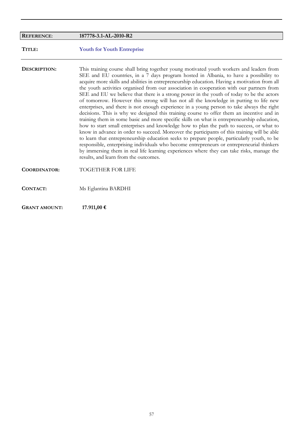|                      | 187778-3.1-AL-2010-R2                                                                                                                                                                                                                                                                                                                                                                                                                                                                                                                                                                                                                                                                                                                                                                                                                                                                                                                                                                                                                                                                                                                                                                                                                                                                                                                                                                           |
|----------------------|-------------------------------------------------------------------------------------------------------------------------------------------------------------------------------------------------------------------------------------------------------------------------------------------------------------------------------------------------------------------------------------------------------------------------------------------------------------------------------------------------------------------------------------------------------------------------------------------------------------------------------------------------------------------------------------------------------------------------------------------------------------------------------------------------------------------------------------------------------------------------------------------------------------------------------------------------------------------------------------------------------------------------------------------------------------------------------------------------------------------------------------------------------------------------------------------------------------------------------------------------------------------------------------------------------------------------------------------------------------------------------------------------|
| <b>REFERENCE:</b>    |                                                                                                                                                                                                                                                                                                                                                                                                                                                                                                                                                                                                                                                                                                                                                                                                                                                                                                                                                                                                                                                                                                                                                                                                                                                                                                                                                                                                 |
| TITLE:               | <b>Youth for Youth Entreprise</b>                                                                                                                                                                                                                                                                                                                                                                                                                                                                                                                                                                                                                                                                                                                                                                                                                                                                                                                                                                                                                                                                                                                                                                                                                                                                                                                                                               |
| DESCRIPTION:         | This training course shall bring together young motivated youth workers and leaders from<br>SEE and EU countries, in a 7 days program hosted in Albania, to have a possibility to<br>acquire more skills and abilities in entrepreneurship education. Having a motivation from all<br>the youth activities organised from our association in cooperation with our partners from<br>SEE and EU we believe that there is a strong power in the youth of today to be the actors<br>of tomorrow. However this strong will has not all the knowledge in putting to life new<br>enterprises, and there is not enough experience in a young person to take always the right<br>decisions. This is why we designed this training course to offer them an incentive and in<br>training them in some basic and more specific skills on what is entrepreneurship education,<br>how to start small enterprises and knowledge how to plan the path to success, or what to<br>know in advance in order to succeed. Moreover the participants of this training will be able<br>to learn that entrepreneurship education seeks to prepare people, particularly youth, to be<br>responsible, enterprising individuals who become entrepreneurs or entrepreneurial thinkers<br>by immersing them in real life learning experiences where they can take risks, manage the<br>results, and learn from the outcomes. |
| <b>COORDINATOR:</b>  | <b>TOGETHER FOR LIFE</b>                                                                                                                                                                                                                                                                                                                                                                                                                                                                                                                                                                                                                                                                                                                                                                                                                                                                                                                                                                                                                                                                                                                                                                                                                                                                                                                                                                        |
| CONTACT:             | Ms Eglantina BARDHI                                                                                                                                                                                                                                                                                                                                                                                                                                                                                                                                                                                                                                                                                                                                                                                                                                                                                                                                                                                                                                                                                                                                                                                                                                                                                                                                                                             |
| <b>GRANT AMOUNT:</b> | 17.911,00 €                                                                                                                                                                                                                                                                                                                                                                                                                                                                                                                                                                                                                                                                                                                                                                                                                                                                                                                                                                                                                                                                                                                                                                                                                                                                                                                                                                                     |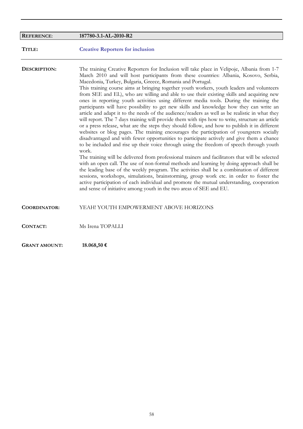| <b>REFERENCE:</b>    | 187780-3.1-AL-2010-R2                                                                                                                                                                                                                                                                                                                                                                                                                                                                                                                                                                                                                                                                                                                                                                                                                                                                                                                                                                                                                                                                                                                                                                                                                                                                                                                                                                                                                                                                                                                                                                                                                                                                                                                                                                                |
|----------------------|------------------------------------------------------------------------------------------------------------------------------------------------------------------------------------------------------------------------------------------------------------------------------------------------------------------------------------------------------------------------------------------------------------------------------------------------------------------------------------------------------------------------------------------------------------------------------------------------------------------------------------------------------------------------------------------------------------------------------------------------------------------------------------------------------------------------------------------------------------------------------------------------------------------------------------------------------------------------------------------------------------------------------------------------------------------------------------------------------------------------------------------------------------------------------------------------------------------------------------------------------------------------------------------------------------------------------------------------------------------------------------------------------------------------------------------------------------------------------------------------------------------------------------------------------------------------------------------------------------------------------------------------------------------------------------------------------------------------------------------------------------------------------------------------------|
| TITLE:               | <b>Creative Reporters for inclusion</b>                                                                                                                                                                                                                                                                                                                                                                                                                                                                                                                                                                                                                                                                                                                                                                                                                                                                                                                                                                                                                                                                                                                                                                                                                                                                                                                                                                                                                                                                                                                                                                                                                                                                                                                                                              |
| DESCRIPTION:         | The training Creative Reporters for Inclusion will take place in Velipoje, Albania from 1-7<br>March 2010 and will host participants from these countries: Albania, Kosovo, Serbia,<br>Macedonia, Turkey, Bulgaria, Greece, Romania and Portugal.<br>This training course aims at bringing together youth workers, youth leaders and volunteers<br>from SEE and EL), who are willing and able to use their existing skills and acquiring new<br>ones in reporting youth activities using different media tools. During the training the<br>participants will have possibility to get new skills and knowledge how they can write an<br>article and adapt it to the needs of the audience/readers as well as be realistic in what they<br>will report. The 7 days training will provide them with tips how to write, structure an article<br>or a press release, what are the steps they should follow, and how to publish it in different<br>websites or blog pages. The training encourages the participation of youngsters socially<br>disadvantaged and with fewer opportunities to participate actively and give them a chance<br>to be included and rise up their voice through using the freedom of speech through youth<br>work.<br>The training will be delivered from professional trainers and facilitators that will be selected<br>with an open call. The use of non-formal methods and learning by doing approach shall be<br>the leading base of the weekly program. The activities shall be a combination of different<br>sessions, workshops, simulations, brainstorming, group work etc. in order to foster the<br>active participation of each individual and promote the mutual understanding, cooperation<br>and sense of initiative among youth in the two areas of SEE and EU. |
| <b>COORDINATOR:</b>  | YEAH! YOUTH EMPOWERMENT ABOVE HORIZONS                                                                                                                                                                                                                                                                                                                                                                                                                                                                                                                                                                                                                                                                                                                                                                                                                                                                                                                                                                                                                                                                                                                                                                                                                                                                                                                                                                                                                                                                                                                                                                                                                                                                                                                                                               |
| CONTACT:             | Ms Irena TOPALLI                                                                                                                                                                                                                                                                                                                                                                                                                                                                                                                                                                                                                                                                                                                                                                                                                                                                                                                                                                                                                                                                                                                                                                                                                                                                                                                                                                                                                                                                                                                                                                                                                                                                                                                                                                                     |
| <b>GRANT AMOUNT:</b> | 18.068,50 €                                                                                                                                                                                                                                                                                                                                                                                                                                                                                                                                                                                                                                                                                                                                                                                                                                                                                                                                                                                                                                                                                                                                                                                                                                                                                                                                                                                                                                                                                                                                                                                                                                                                                                                                                                                          |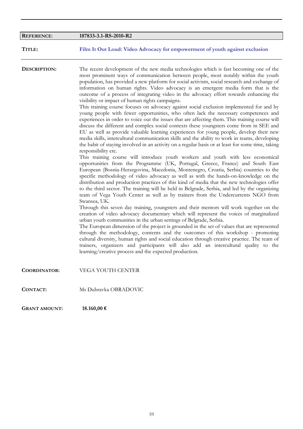| <b>REFERENCE:</b>    | 187833-3.1-RS-2010-R2                                                                                                                                                                                                                                                                                                                                                                                                                                                                                                                                                                                                                                                                                                                                                                                                                                                                                                                                                                                                                                                                                                                                                                                                                                                                                                                                                                                                                                                                                                                                                                                                                                                                                                                                                                                                                                                                                                                                                                                                                                                                                                                                                                                                                                                                                                                                                                                                                                                                                                                                                             |
|----------------------|-----------------------------------------------------------------------------------------------------------------------------------------------------------------------------------------------------------------------------------------------------------------------------------------------------------------------------------------------------------------------------------------------------------------------------------------------------------------------------------------------------------------------------------------------------------------------------------------------------------------------------------------------------------------------------------------------------------------------------------------------------------------------------------------------------------------------------------------------------------------------------------------------------------------------------------------------------------------------------------------------------------------------------------------------------------------------------------------------------------------------------------------------------------------------------------------------------------------------------------------------------------------------------------------------------------------------------------------------------------------------------------------------------------------------------------------------------------------------------------------------------------------------------------------------------------------------------------------------------------------------------------------------------------------------------------------------------------------------------------------------------------------------------------------------------------------------------------------------------------------------------------------------------------------------------------------------------------------------------------------------------------------------------------------------------------------------------------------------------------------------------------------------------------------------------------------------------------------------------------------------------------------------------------------------------------------------------------------------------------------------------------------------------------------------------------------------------------------------------------------------------------------------------------------------------------------------------------|
| TITLE:               | Film It Out Loud: Video Advocacy for empowerment of youth against exclusion                                                                                                                                                                                                                                                                                                                                                                                                                                                                                                                                                                                                                                                                                                                                                                                                                                                                                                                                                                                                                                                                                                                                                                                                                                                                                                                                                                                                                                                                                                                                                                                                                                                                                                                                                                                                                                                                                                                                                                                                                                                                                                                                                                                                                                                                                                                                                                                                                                                                                                       |
| <b>DESCRIPTION:</b>  | The recent development of the new media technologies which is fast becoming one of the<br>most prominent ways of communication between people, most notably within the youth<br>population, has provided a new platform for social activism, social research and exchange of<br>information on human rights. Video advocacy is an emergent media form that is the<br>outcome of a process of integrating video in the advocacy effort towards enhancing the<br>visibility or impact of human rights campaigns.<br>This training course focuses on advocacy against social exclusion implemented for and by<br>young people with fewer opportunities, who often lack the necessary competences and<br>experiences in order to voice out the issues that are affecting them. This training course will<br>discuss the different and complex social contexts these youngsters come from in SEE and<br>EU as well as provide valuable learning experiences for young people, develop their new<br>media skills, intercultural communication skills and the ability to work in teams, developing<br>the habit of staying involved in an activity on a regular basis or at least for some time, taking<br>responsibility etc.<br>This training course will introduce youth workers and youth with less economical<br>opportunities from the Programme (UK, Portugal, Greece, France) and South East<br>European (Bosnia-Herzegovina, Macedonia, Montenegro, Croatia, Serbia) countries to the<br>specific methodology of video advocacy as well as with the hands-on-knowledge on the<br>distribution and production practices of this kind of media that the new technologies offer<br>to the third sector. The training will be held in Belgrade, Serbia, and led by the organizing<br>team of Vega Youth Center as well as by trainers from the Undercurrents NGO from<br>Swansea, UK.<br>Through this seven day training, youngsters and their mentors will work together on the<br>creation of video advocacy documentary which will represent the voices of marginalized<br>urban youth communities in the urban settings of Belgrade, Serbia.<br>The European dimension of the project is grounded in the set of values that are represented<br>through the methodology, contents and the outcomes of this workshop - promoting<br>cultural diversity, human rights and social education through creative practice. The team of<br>trainers, organizers and participants will also add an intercultural quality to the<br>learning/creative process and the expected production. |
| <b>COORDINATOR:</b>  | VEGA YOUTH CENTER                                                                                                                                                                                                                                                                                                                                                                                                                                                                                                                                                                                                                                                                                                                                                                                                                                                                                                                                                                                                                                                                                                                                                                                                                                                                                                                                                                                                                                                                                                                                                                                                                                                                                                                                                                                                                                                                                                                                                                                                                                                                                                                                                                                                                                                                                                                                                                                                                                                                                                                                                                 |
| <b>CONTACT:</b>      | Ms Dubravka OBRADOVIC                                                                                                                                                                                                                                                                                                                                                                                                                                                                                                                                                                                                                                                                                                                                                                                                                                                                                                                                                                                                                                                                                                                                                                                                                                                                                                                                                                                                                                                                                                                                                                                                                                                                                                                                                                                                                                                                                                                                                                                                                                                                                                                                                                                                                                                                                                                                                                                                                                                                                                                                                             |
| <b>GRANT AMOUNT:</b> | 18.160,00 €                                                                                                                                                                                                                                                                                                                                                                                                                                                                                                                                                                                                                                                                                                                                                                                                                                                                                                                                                                                                                                                                                                                                                                                                                                                                                                                                                                                                                                                                                                                                                                                                                                                                                                                                                                                                                                                                                                                                                                                                                                                                                                                                                                                                                                                                                                                                                                                                                                                                                                                                                                       |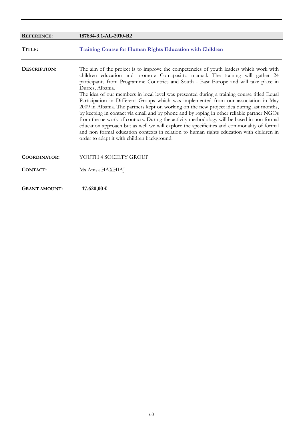| <b>REFERENCE:</b>    | 187834-3.1-AL-2010-R2                                                                                                                                                                                                                                                                                                                                                                                                                                                                                                                                                                                                                                                                                                                                                                                                                                                                                                                                                                                     |
|----------------------|-----------------------------------------------------------------------------------------------------------------------------------------------------------------------------------------------------------------------------------------------------------------------------------------------------------------------------------------------------------------------------------------------------------------------------------------------------------------------------------------------------------------------------------------------------------------------------------------------------------------------------------------------------------------------------------------------------------------------------------------------------------------------------------------------------------------------------------------------------------------------------------------------------------------------------------------------------------------------------------------------------------|
| TITLE:               | <b>Training Course for Human Rights Education with Children</b>                                                                                                                                                                                                                                                                                                                                                                                                                                                                                                                                                                                                                                                                                                                                                                                                                                                                                                                                           |
| DESCRIPTION:         | The aim of the project is to improve the competencies of youth leaders which work with<br>children education and promote Comapasitto manual. The training will gather 24<br>participants from Programme Countries and South - East Europe and will take place in<br>Durres, Albania.<br>The idea of our members in local level was presented during a training course titled Equal<br>Participation in Different Groups which was implemented from our association in May<br>2009 in Albania. The partners kept on working on the new project idea during last months,<br>by keeping in contact via email and by phone and by roping in other reliable partner NGOs<br>from the network of contacts. During the activity methodology will be based in non formal<br>education approach but as well we will explore the specificities and commonality of formal<br>and non formal education contexts in relation to human rights education with children in<br>order to adapt it with children background. |
| <b>COORDINATOR:</b>  | YOUTH 4 SOCIETY GROUP                                                                                                                                                                                                                                                                                                                                                                                                                                                                                                                                                                                                                                                                                                                                                                                                                                                                                                                                                                                     |
| CONTACT:             | Ms Anisa HAXHIAJ                                                                                                                                                                                                                                                                                                                                                                                                                                                                                                                                                                                                                                                                                                                                                                                                                                                                                                                                                                                          |
| <b>GRANT AMOUNT:</b> | 17.620,00 €                                                                                                                                                                                                                                                                                                                                                                                                                                                                                                                                                                                                                                                                                                                                                                                                                                                                                                                                                                                               |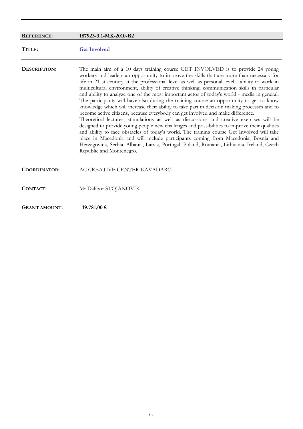| <b>REFERENCE:</b>    | 187923-3.1-MK-2010-R2                                                                                                                                                                                                                                                                                                                                                                                                                                                                                                                                                                                                                                                                                                                                                                                                                                                                                                                                                                                                                                                                                                                                                                                                                                               |
|----------------------|---------------------------------------------------------------------------------------------------------------------------------------------------------------------------------------------------------------------------------------------------------------------------------------------------------------------------------------------------------------------------------------------------------------------------------------------------------------------------------------------------------------------------------------------------------------------------------------------------------------------------------------------------------------------------------------------------------------------------------------------------------------------------------------------------------------------------------------------------------------------------------------------------------------------------------------------------------------------------------------------------------------------------------------------------------------------------------------------------------------------------------------------------------------------------------------------------------------------------------------------------------------------|
| TITLE:               | <b>Get Involved</b>                                                                                                                                                                                                                                                                                                                                                                                                                                                                                                                                                                                                                                                                                                                                                                                                                                                                                                                                                                                                                                                                                                                                                                                                                                                 |
| DESCRIPTION:         | The main aim of a 10 days training course GET INVOLVED is to provide 24 young<br>workers and leaders an opportunity to improve the skills that are more than necessary for<br>life in 21 st century at the professional level as well as personal level - ability to work in<br>multicultural environment, ability of creative thinking, communication skills in particular<br>and ability to analyze one of the most important actor of today's world - media in general.<br>The participants will have also during the training course an opportunity to get to know<br>knowledge which will increase their ability to take part in decision making processes and to<br>become active citizens, because everybody can get involved and make difference.<br>Theoretical lectures, stimulations as well as discussions and creative exercises will be<br>designed to provide young people new challenges and possibilities to improve their qualities<br>and ability to face obstacles of today's world. The training course Get Involved will take<br>place in Macedonia and will include participants coming from Macedonia, Bosnia and<br>Herzegovina, Serbia, Albania, Latvia, Portugal, Poland, Romania, Lithuania, Ireland, Czech<br>Republic and Montenegro. |
| <b>COORDINATOR:</b>  | AC CREATIVE CENTER KAVADARCI                                                                                                                                                                                                                                                                                                                                                                                                                                                                                                                                                                                                                                                                                                                                                                                                                                                                                                                                                                                                                                                                                                                                                                                                                                        |
| <b>CONTACT:</b>      | Mr Dalibor STOJANOVIK                                                                                                                                                                                                                                                                                                                                                                                                                                                                                                                                                                                                                                                                                                                                                                                                                                                                                                                                                                                                                                                                                                                                                                                                                                               |
| <b>GRANT AMOUNT:</b> | 19.781,00 €                                                                                                                                                                                                                                                                                                                                                                                                                                                                                                                                                                                                                                                                                                                                                                                                                                                                                                                                                                                                                                                                                                                                                                                                                                                         |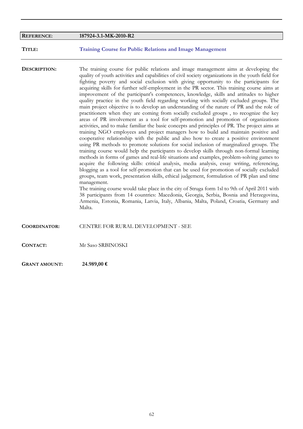| <b>REFERENCE:</b>    | 187924-3.1-MK-2010-R2                                                                                                                                                                                                                                                                                                                                                                                                                                                                                                                                                                                                                                                                                                                                                                                                                                                                                                                                                                                                                                                                                                                                                                                                                                                                                                                                                                                                                                                                                                                                                                                                                                                                                                                                                                                                                                                                                                                                                                                                                 |
|----------------------|---------------------------------------------------------------------------------------------------------------------------------------------------------------------------------------------------------------------------------------------------------------------------------------------------------------------------------------------------------------------------------------------------------------------------------------------------------------------------------------------------------------------------------------------------------------------------------------------------------------------------------------------------------------------------------------------------------------------------------------------------------------------------------------------------------------------------------------------------------------------------------------------------------------------------------------------------------------------------------------------------------------------------------------------------------------------------------------------------------------------------------------------------------------------------------------------------------------------------------------------------------------------------------------------------------------------------------------------------------------------------------------------------------------------------------------------------------------------------------------------------------------------------------------------------------------------------------------------------------------------------------------------------------------------------------------------------------------------------------------------------------------------------------------------------------------------------------------------------------------------------------------------------------------------------------------------------------------------------------------------------------------------------------------|
| TITLE:               | <b>Training Course for Public Relations and Image Management</b>                                                                                                                                                                                                                                                                                                                                                                                                                                                                                                                                                                                                                                                                                                                                                                                                                                                                                                                                                                                                                                                                                                                                                                                                                                                                                                                                                                                                                                                                                                                                                                                                                                                                                                                                                                                                                                                                                                                                                                      |
| DESCRIPTION:         | The training course for public relations and image management aims at developing the<br>quality of youth activities and capabilities of civil society organizations in the youth field for<br>fighting poverty and social exclusion with giving opportunity to the participants for<br>acquiring skills for further self-employment in the PR sector. This training course aims at<br>improvement of the participant's competences, knowledge, skills and attitudes to higher<br>quality practice in the youth field regarding working with socially excluded groups. The<br>main project objective is to develop an understanding of the nature of PR and the role of<br>practitioners when they are coming from socially excluded groups, to recognize the key<br>areas of PR involvement as a tool for self-promotion and promotion of organizations<br>activities, and to make familiar the basic concepts and principles of PR. The project aims at<br>training NGO employees and project managers how to build and maintain positive and<br>cooperative relationship with the public and also how to create a positive environment<br>using PR methods to promote solutions for social inclusion of marginalized groups. The<br>training course would help the participants to develop skills through non-formal learning<br>methods in forms of games and real-life situations and examples, problem-solving games to<br>acquire the following skills: critical analysis, media analysis, essay writing, referencing,<br>blogging as a tool for self-promotion that can be used for promotion of socially excluded<br>groups, team work, presentation skills, ethical judgement, formulation of PR plan and time<br>management.<br>The training course would take place in the city of Struga form 1sl to 9th of April 2011 with<br>38 participants from 14 countries: Macedonia, Georgia, Serbia, Bosnia and Herzegovina,<br>Armenia, Estonia, Romania, Latvia, Italy, Albania, Malta, Poland, Croatia, Germany and<br>Malta. |
| COORDINATOR:         | CENTRE FOR RURAL DEVELOPMENT - SEE                                                                                                                                                                                                                                                                                                                                                                                                                                                                                                                                                                                                                                                                                                                                                                                                                                                                                                                                                                                                                                                                                                                                                                                                                                                                                                                                                                                                                                                                                                                                                                                                                                                                                                                                                                                                                                                                                                                                                                                                    |
| <b>CONTACT:</b>      | Mr Saso SRBINOSKI                                                                                                                                                                                                                                                                                                                                                                                                                                                                                                                                                                                                                                                                                                                                                                                                                                                                                                                                                                                                                                                                                                                                                                                                                                                                                                                                                                                                                                                                                                                                                                                                                                                                                                                                                                                                                                                                                                                                                                                                                     |
| <b>GRANT AMOUNT:</b> | 24.989,00 €                                                                                                                                                                                                                                                                                                                                                                                                                                                                                                                                                                                                                                                                                                                                                                                                                                                                                                                                                                                                                                                                                                                                                                                                                                                                                                                                                                                                                                                                                                                                                                                                                                                                                                                                                                                                                                                                                                                                                                                                                           |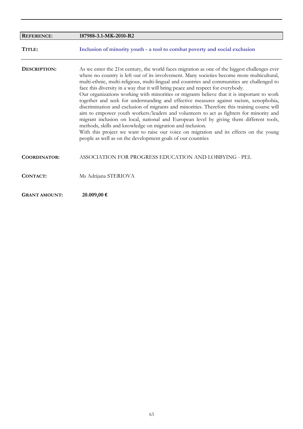| <b>REFERENCE:</b>    | 187988-3.1-MK-2010-R2                                                                                                                                                                                                                                                                                                                                                                                                                                                                                                                                                                                                                                                                                                                                                                                                                                                                                                                                                                                                                                                               |
|----------------------|-------------------------------------------------------------------------------------------------------------------------------------------------------------------------------------------------------------------------------------------------------------------------------------------------------------------------------------------------------------------------------------------------------------------------------------------------------------------------------------------------------------------------------------------------------------------------------------------------------------------------------------------------------------------------------------------------------------------------------------------------------------------------------------------------------------------------------------------------------------------------------------------------------------------------------------------------------------------------------------------------------------------------------------------------------------------------------------|
| TITLE:               | Inclusion of minority youth - a tool to combat poverty and social exclusion                                                                                                                                                                                                                                                                                                                                                                                                                                                                                                                                                                                                                                                                                                                                                                                                                                                                                                                                                                                                         |
| DESCRIPTION:         | As we enter the 21st century, the world faces migration as one of the biggest challenges ever<br>where no country is left out of its involvement. Many societies become more multicultural,<br>multi-ethnic, multi-religious, multi-lingual and countries and communities are challenged to<br>face this diversity in a way that it will bring peace and respect for everybody.<br>Our organizations working with minorities or migrants believe that it is important to work<br>together and seek for understanding and effective measures against racism, xenophobia,<br>discrimination and exclusion of migrants and minorities. Therefore this training course will<br>aim to empower youth workers/leaders and volunteers to act as fighters for minority and<br>migrant inclusion on local, national and European level by giving them different tools,<br>methods, skills and knowledge on migration and inclusion.<br>With this project we want to raise our voice on migration and its effects on the young<br>people as well as on the development goals of our countries |
| <b>COORDINATOR:</b>  | ASSOCIATION FOR PROGRESS EDUCATION AND LOBBYING - PEL                                                                                                                                                                                                                                                                                                                                                                                                                                                                                                                                                                                                                                                                                                                                                                                                                                                                                                                                                                                                                               |
| CONTACT:             | Ms Adrijana STERIOVA                                                                                                                                                                                                                                                                                                                                                                                                                                                                                                                                                                                                                                                                                                                                                                                                                                                                                                                                                                                                                                                                |
| <b>GRANT AMOUNT:</b> | 20.009,00 €                                                                                                                                                                                                                                                                                                                                                                                                                                                                                                                                                                                                                                                                                                                                                                                                                                                                                                                                                                                                                                                                         |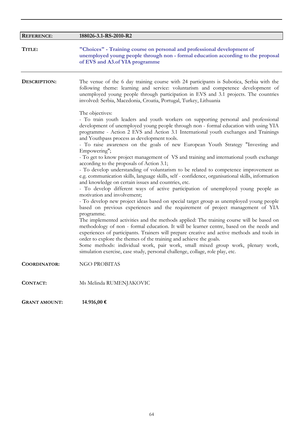| <b>REFERENCE:</b>   | 188026-3.1-RS-2010-R2                                                                                                                                                                                                                                                                                                                                                                                                                                                                                                                                                                                                                                                                                                                                                                                                                                                                                                                                                                                                                                                                                                                                                                                                                                                                                                                                                                                                                                                                                                                                                                                                                                                                                                                                                                                                                                                                                                                                                                                                           |
|---------------------|---------------------------------------------------------------------------------------------------------------------------------------------------------------------------------------------------------------------------------------------------------------------------------------------------------------------------------------------------------------------------------------------------------------------------------------------------------------------------------------------------------------------------------------------------------------------------------------------------------------------------------------------------------------------------------------------------------------------------------------------------------------------------------------------------------------------------------------------------------------------------------------------------------------------------------------------------------------------------------------------------------------------------------------------------------------------------------------------------------------------------------------------------------------------------------------------------------------------------------------------------------------------------------------------------------------------------------------------------------------------------------------------------------------------------------------------------------------------------------------------------------------------------------------------------------------------------------------------------------------------------------------------------------------------------------------------------------------------------------------------------------------------------------------------------------------------------------------------------------------------------------------------------------------------------------------------------------------------------------------------------------------------------------|
| TITLE:              | "Choices" - Training course on personal and professional development of<br>unemployed young people through non - formal education according to the proposal<br>of EVS and A3.of YIA programme                                                                                                                                                                                                                                                                                                                                                                                                                                                                                                                                                                                                                                                                                                                                                                                                                                                                                                                                                                                                                                                                                                                                                                                                                                                                                                                                                                                                                                                                                                                                                                                                                                                                                                                                                                                                                                   |
| DESCRIPTION:        | The venue of the 6 day training course with 24 participants is Subotica, Serbia with the<br>following theme: learning and service: voluntarism and competence development of<br>unemployed young people through participation in EVS and 3.1 projects. The countries<br>involved: Serbia, Macedonia, Croatia, Portugal, Turkey, Lithuania<br>The objectives:<br>- To train youth leaders and youth workers on supporting personal and professional<br>development of unemployed young people through non - formal education with using YIA<br>programme - Action 2 EVS and Action 3.1 International youth exchanges and Trainings<br>and Youthpass process as development tools.<br>- To raise awareness on the goals of new European Youth Strategy "Investing and<br>Empowering";<br>- To get to know project management of VS and training and international youth exchange<br>according to the proposals of Action 3.1;<br>- To develop understanding of voluntarism to be related to competence improvement as<br>e.g. communication skills, language skills, self - confidence, organisational skills, information<br>and knowledge on certain issues and countries, etc.<br>- To develop different ways of active participation of unemployed young people as<br>motivation and involvement;<br>- To develop new project ideas based on special target group as unemployed young people<br>based on previous experiences and the requirement of project management of YIA<br>programme.<br>The implemented activities and the methods applied: The training course will be based on<br>methodology of non - formal education. It will be learner centre, based on the needs and<br>experiences of participants. Trainers will prepare creative and active methods and tools in<br>order to explore the themes of the training and achieve the goals.<br>Some methods: individual work, pair work, small mixed group work, plenary work,<br>simulation exercise, case study, personal challenge, collage, role play, etc. |
| <b>COORDINATOR:</b> | <b>NGO PROBITAS</b>                                                                                                                                                                                                                                                                                                                                                                                                                                                                                                                                                                                                                                                                                                                                                                                                                                                                                                                                                                                                                                                                                                                                                                                                                                                                                                                                                                                                                                                                                                                                                                                                                                                                                                                                                                                                                                                                                                                                                                                                             |
| <b>CONTACT:</b>     | Ms Melinda RUMENJAKOVIC                                                                                                                                                                                                                                                                                                                                                                                                                                                                                                                                                                                                                                                                                                                                                                                                                                                                                                                                                                                                                                                                                                                                                                                                                                                                                                                                                                                                                                                                                                                                                                                                                                                                                                                                                                                                                                                                                                                                                                                                         |

**GRANT AMOUNT: 14.916,00 €**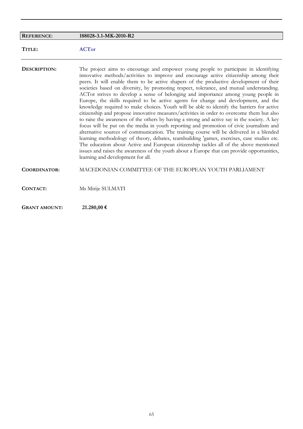| <b>REFERENCE:</b>    | 188028-3.1-MK-2010-R2                                                                                                                                                                                                                                                                                                                                                                                                                                                                                                                                                                                                                                                                                                                                                                                                                                                                                                                                                                                                                                                                                                                                                                                                                                                                                                                                          |
|----------------------|----------------------------------------------------------------------------------------------------------------------------------------------------------------------------------------------------------------------------------------------------------------------------------------------------------------------------------------------------------------------------------------------------------------------------------------------------------------------------------------------------------------------------------------------------------------------------------------------------------------------------------------------------------------------------------------------------------------------------------------------------------------------------------------------------------------------------------------------------------------------------------------------------------------------------------------------------------------------------------------------------------------------------------------------------------------------------------------------------------------------------------------------------------------------------------------------------------------------------------------------------------------------------------------------------------------------------------------------------------------|
| TITLE:               | <b>ACTor</b>                                                                                                                                                                                                                                                                                                                                                                                                                                                                                                                                                                                                                                                                                                                                                                                                                                                                                                                                                                                                                                                                                                                                                                                                                                                                                                                                                   |
| DESCRIPTION:         | The project aims to encourage and empower young people to participate in identifying<br>innovative methods/activities to improve and encourage active citizenship among their<br>peers. It will enable them to be active shapers of the productive development of their<br>societies based on diversity, by promoting respect, tolerance, and mutual understanding.<br>ACTor strives to develop a sense of belonging and importance among young people in<br>Europe, the skills required to be active agents for change and development, and the<br>knowledge required to make choices. Youth will be able to identify the barriers for active<br>citizenship and propose innovative measures/activities in order to overcome them but also<br>to raise the awareness of the others by having a strong and active say in the society. A key<br>focus will be put on the media in youth reporting and promotion of civic journalism and<br>alternative sources of communication. The training course will be delivered in a blended<br>learning methodology of theory, debates, teambuilding 'games, exercises, case studies etc.<br>The education about Active and European citizenship tackles all of the above mentioned<br>issues and raises the awareness of the youth about a Europe that can provide opportunities,<br>learning and development for all. |
| <b>COORDINATOR:</b>  | MACEDONIAN COMMITTEE OF THE EUROPEAN YOUTH PARLIAMENT                                                                                                                                                                                                                                                                                                                                                                                                                                                                                                                                                                                                                                                                                                                                                                                                                                                                                                                                                                                                                                                                                                                                                                                                                                                                                                          |
| CONTACT:             | Ms Mirije SULMATI                                                                                                                                                                                                                                                                                                                                                                                                                                                                                                                                                                                                                                                                                                                                                                                                                                                                                                                                                                                                                                                                                                                                                                                                                                                                                                                                              |
| <b>GRANT AMOUNT:</b> | 21.280,00 €                                                                                                                                                                                                                                                                                                                                                                                                                                                                                                                                                                                                                                                                                                                                                                                                                                                                                                                                                                                                                                                                                                                                                                                                                                                                                                                                                    |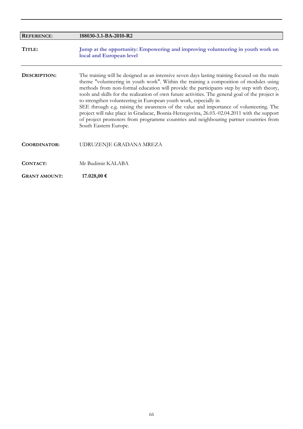| <b>REFERENCE:</b>    | 188030-3.1-BA-2010-R2                                                                                                                                                                                                                                                                                                                                                                                                                                                                                                                                                                                                                                                                                                                                                     |
|----------------------|---------------------------------------------------------------------------------------------------------------------------------------------------------------------------------------------------------------------------------------------------------------------------------------------------------------------------------------------------------------------------------------------------------------------------------------------------------------------------------------------------------------------------------------------------------------------------------------------------------------------------------------------------------------------------------------------------------------------------------------------------------------------------|
| TITLE:               | Jump at the opportunity: Empowering and improving volunteering in youth work on<br>local and European level                                                                                                                                                                                                                                                                                                                                                                                                                                                                                                                                                                                                                                                               |
| DESCRIPTION:         | The training will be designed as an intensive seven days lasting training focused on the main<br>theme "volunteering in youth work". Within the training a composition of modules using<br>methods from non-formal education will provide the participants step by step with theory,<br>tools and skills for the realization of own future activities. The general goal of the project is<br>to strengthen volunteering in European youth work, especially in<br>SEE through e.g. raising the awareness of the value and importance of volunteering. The<br>project will take place in Gradacac, Bosnia-Herzegovina, 26.03.-02.04.2011 with the support<br>of project promoters from programme countries and neighbouring partner countries from<br>South Eastern Europe. |
| <b>COORDINATOR:</b>  | UDRUZENJE GRADANA MREZA                                                                                                                                                                                                                                                                                                                                                                                                                                                                                                                                                                                                                                                                                                                                                   |
| CONTACT:             | Mr Budimir KALABA                                                                                                                                                                                                                                                                                                                                                                                                                                                                                                                                                                                                                                                                                                                                                         |
| <b>GRANT AMOUNT:</b> | 17.028,00 €                                                                                                                                                                                                                                                                                                                                                                                                                                                                                                                                                                                                                                                                                                                                                               |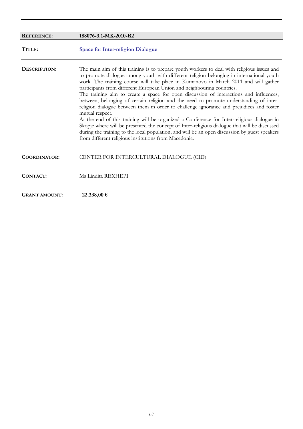| <b>REFERENCE:</b>    | 188076-3.1-MK-2010-R2                                                                                                                                                                                                                                                                                                                                                                                                                                                                                                                                                                                                                                                                                                                                                                                                                                                                                                                                                                                                |
|----------------------|----------------------------------------------------------------------------------------------------------------------------------------------------------------------------------------------------------------------------------------------------------------------------------------------------------------------------------------------------------------------------------------------------------------------------------------------------------------------------------------------------------------------------------------------------------------------------------------------------------------------------------------------------------------------------------------------------------------------------------------------------------------------------------------------------------------------------------------------------------------------------------------------------------------------------------------------------------------------------------------------------------------------|
| TITLE:               | <b>Space for Inter-religion Dialogue</b>                                                                                                                                                                                                                                                                                                                                                                                                                                                                                                                                                                                                                                                                                                                                                                                                                                                                                                                                                                             |
| DESCRIPTION:         | The main aim of this training is to prepare youth workers to deal with religious issues and<br>to promote dialogue among youth with different religion belonging in international youth<br>work. The training course will take place in Kumanovo in March 2011 and will gather<br>participants from different European Union and neighbouring countries.<br>The training aim to create a space for open discussion of interactions and influences,<br>between, belonging of certain religion and the need to promote understanding of inter-<br>religion dialogue between them in order to challenge ignorance and prejudices and foster<br>mutual respect.<br>At the end of this training will be organized a Conference for Inter-religious dialogue in<br>Skopje where will be presented the concept of Inter-religious dialogue that will be discussed<br>during the training to the local population, and will be an open discussion by guest speakers<br>from different religious institutions from Macedonia. |
| <b>COORDINATOR:</b>  | CENTER FOR INTERCULTURAL DIALOGUE (CID)                                                                                                                                                                                                                                                                                                                                                                                                                                                                                                                                                                                                                                                                                                                                                                                                                                                                                                                                                                              |
| CONTACT:             | Ms Lindita REXHEPI                                                                                                                                                                                                                                                                                                                                                                                                                                                                                                                                                                                                                                                                                                                                                                                                                                                                                                                                                                                                   |
| <b>GRANT AMOUNT:</b> | 22.338,00 €                                                                                                                                                                                                                                                                                                                                                                                                                                                                                                                                                                                                                                                                                                                                                                                                                                                                                                                                                                                                          |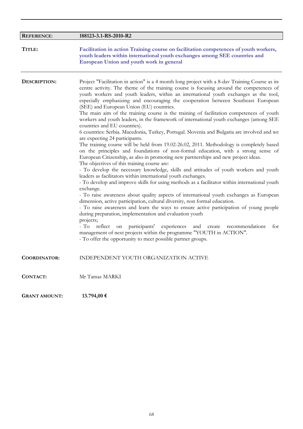| <b>REFERENCE:</b>    | 188123-3.1-RS-2010-R2                                                                                                                                                                                                                                                                                                                                                                                                                                                                                                                                                                                                                                                                                                                                                                                                                                                                                                                                                                                                                                                                                                                                                                                                                                                                                                                                                                                                                                                                                                                                                                                                                                                                                                                                                                                                                                                                                                                                 |
|----------------------|-------------------------------------------------------------------------------------------------------------------------------------------------------------------------------------------------------------------------------------------------------------------------------------------------------------------------------------------------------------------------------------------------------------------------------------------------------------------------------------------------------------------------------------------------------------------------------------------------------------------------------------------------------------------------------------------------------------------------------------------------------------------------------------------------------------------------------------------------------------------------------------------------------------------------------------------------------------------------------------------------------------------------------------------------------------------------------------------------------------------------------------------------------------------------------------------------------------------------------------------------------------------------------------------------------------------------------------------------------------------------------------------------------------------------------------------------------------------------------------------------------------------------------------------------------------------------------------------------------------------------------------------------------------------------------------------------------------------------------------------------------------------------------------------------------------------------------------------------------------------------------------------------------------------------------------------------------|
| TITLE:               | Facilitation in action Training course on facilitation competences of youth workers,<br>youth leaders within international youth exchanges among SEE countries and<br>European Union and youth work in general                                                                                                                                                                                                                                                                                                                                                                                                                                                                                                                                                                                                                                                                                                                                                                                                                                                                                                                                                                                                                                                                                                                                                                                                                                                                                                                                                                                                                                                                                                                                                                                                                                                                                                                                        |
| <b>DESCRIPTION:</b>  | Project "Facilitation in action" is a 4 month long project with a 8-day Training Course as its<br>centre activity. The theme of the training course is focusing around the competences of<br>youth workers and youth leaders, within an international youth exchanges as the tool,<br>especially emphasizing and encouraging the cooperation between Southeast European<br>(SEE) and European Union (EU) countries.<br>The main aim of the training course is the training of facilitation competences of youth<br>workers and youth leaders, in the framework of international youth exchanges (among SEE<br>countries and EU countries).<br>6 countries: Serbia. Macedonia, Turkey, Portugal. Slovenia and Bulgaria are involved and we<br>are expecting 24 participants.<br>The training course will be held from 19.02-26.02, 2011. Methodology is completely based<br>on the principles and foundations of non-formal education, with a strong sense of<br>European Citizenship, as also in promoting new partnerships and new project ideas.<br>The objectives of this training course are:<br>- To develop the necessary knowledge, skills and attitudes of youth workers and youth<br>leaders as facilitators within international youth exchanges.<br>- To develop and improve skills for using methods as a facilitator within international youth<br>exchange.<br>- To raise awareness about quality aspects of international youth exchanges as European<br>dimension, active participation, cultural diversity, non formal education.<br>- To raise awareness and learn the ways to ensure active participation of young people<br>during preparation, implementation and evaluation youth<br>projects;<br>- To reflect<br>participants'<br>experiences and create<br>for<br>on<br>recommendations<br>management of next projects within the programme "YOUTH in ACTION".<br>- To offer the opportunity to meet possible partner groups. |
| <b>COORDINATOR:</b>  | INDEPENDENT YOUTH ORGANIZATION ACTIVE                                                                                                                                                                                                                                                                                                                                                                                                                                                                                                                                                                                                                                                                                                                                                                                                                                                                                                                                                                                                                                                                                                                                                                                                                                                                                                                                                                                                                                                                                                                                                                                                                                                                                                                                                                                                                                                                                                                 |
| <b>CONTACT:</b>      | Mr Tamas MARKI                                                                                                                                                                                                                                                                                                                                                                                                                                                                                                                                                                                                                                                                                                                                                                                                                                                                                                                                                                                                                                                                                                                                                                                                                                                                                                                                                                                                                                                                                                                                                                                                                                                                                                                                                                                                                                                                                                                                        |
| <b>GRANT AMOUNT:</b> | 13.794,00 €                                                                                                                                                                                                                                                                                                                                                                                                                                                                                                                                                                                                                                                                                                                                                                                                                                                                                                                                                                                                                                                                                                                                                                                                                                                                                                                                                                                                                                                                                                                                                                                                                                                                                                                                                                                                                                                                                                                                           |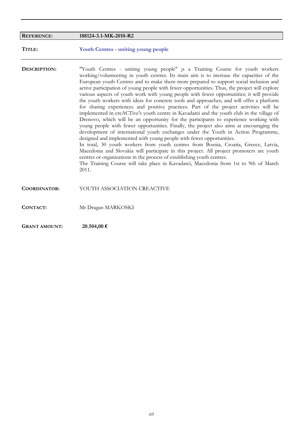| <b>REFERENCE:</b>    | 188124-3.1-MK-2010-R2                                                                                                                                                                                                                                                                                                                                                                                                                                                                                                                                                                                                                                                                                                                                                                                                                                                                                                                                                                                                                                                                                                                                                                                                                                                                                                                                                                                                                                                |
|----------------------|----------------------------------------------------------------------------------------------------------------------------------------------------------------------------------------------------------------------------------------------------------------------------------------------------------------------------------------------------------------------------------------------------------------------------------------------------------------------------------------------------------------------------------------------------------------------------------------------------------------------------------------------------------------------------------------------------------------------------------------------------------------------------------------------------------------------------------------------------------------------------------------------------------------------------------------------------------------------------------------------------------------------------------------------------------------------------------------------------------------------------------------------------------------------------------------------------------------------------------------------------------------------------------------------------------------------------------------------------------------------------------------------------------------------------------------------------------------------|
| TITLE:               | <b>Youth Centres - uniting young people</b>                                                                                                                                                                                                                                                                                                                                                                                                                                                                                                                                                                                                                                                                                                                                                                                                                                                                                                                                                                                                                                                                                                                                                                                                                                                                                                                                                                                                                          |
| DESCRIPTION:         | "Youth Centres - uniting young people" is a Training Course for youth workers<br>working/volunteering in youth centres. Its main aim is to increase the capacities of the<br>European youth Centres and to make them more prepared to support social inclusion and<br>active participation of young people with fewer opportunities. Thus, the project will explore<br>various aspects of youth work with young people with fewer opportunities; it will provide<br>the youth workers with ideas for concrete tools and approaches; and will offer a platform<br>for sharing experiences and positive practices. Part of the project activities will be<br>implemented in creACTive's youth centre in Kavadarci and the youth club in the village of<br>Drenovo, which will be an opportunity for the participants to experience working with<br>young people with fewer opportunities. Finally, the project also aims at encouraging the<br>development of international youth exchanges under the Youth in Action Programme,<br>designed and implemented with young people with fewer opportunities.<br>In total, 30 youth workers from youth centres from Bosnia, Croatia, Greece, Latvia,<br>Macedonia and Slovakia will participate in this project. All project promoters are youth<br>centres or organizations in the process of establishing youth centres.<br>The Training Course will take place in Kavadarci, Macedonia from 1st to 9th of March<br>2011. |
| <b>COORDINATOR:</b>  | YOUTH ASSOCIATION CREACTIVE                                                                                                                                                                                                                                                                                                                                                                                                                                                                                                                                                                                                                                                                                                                                                                                                                                                                                                                                                                                                                                                                                                                                                                                                                                                                                                                                                                                                                                          |
| <b>CONTACT:</b>      | Mr Dragan MARKOSKI                                                                                                                                                                                                                                                                                                                                                                                                                                                                                                                                                                                                                                                                                                                                                                                                                                                                                                                                                                                                                                                                                                                                                                                                                                                                                                                                                                                                                                                   |
| <b>GRANT AMOUNT:</b> | 20.504,00 €                                                                                                                                                                                                                                                                                                                                                                                                                                                                                                                                                                                                                                                                                                                                                                                                                                                                                                                                                                                                                                                                                                                                                                                                                                                                                                                                                                                                                                                          |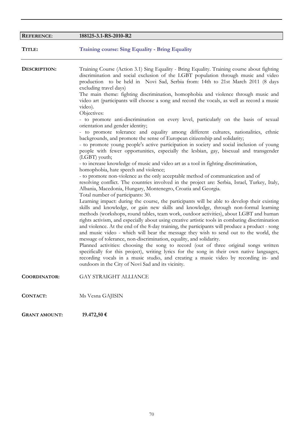| <b>REFERENCE:</b>   | 188125-3.1-RS-2010-R2                                                                                                                                                                                                                                                                                                                                                                                                                                                                                                                                                                                                                                                                                                                                                                                                                                                                                                                                                                                                                                                                                                                                                                                                                                                                                                                                                                                                                                                                                                                                                                                                                                                                                                                                                                                                                                                                                                                                                                                                                                                                                  |
|---------------------|--------------------------------------------------------------------------------------------------------------------------------------------------------------------------------------------------------------------------------------------------------------------------------------------------------------------------------------------------------------------------------------------------------------------------------------------------------------------------------------------------------------------------------------------------------------------------------------------------------------------------------------------------------------------------------------------------------------------------------------------------------------------------------------------------------------------------------------------------------------------------------------------------------------------------------------------------------------------------------------------------------------------------------------------------------------------------------------------------------------------------------------------------------------------------------------------------------------------------------------------------------------------------------------------------------------------------------------------------------------------------------------------------------------------------------------------------------------------------------------------------------------------------------------------------------------------------------------------------------------------------------------------------------------------------------------------------------------------------------------------------------------------------------------------------------------------------------------------------------------------------------------------------------------------------------------------------------------------------------------------------------------------------------------------------------------------------------------------------------|
| TITLE:              | <b>Training course: Sing Equality - Bring Equality</b>                                                                                                                                                                                                                                                                                                                                                                                                                                                                                                                                                                                                                                                                                                                                                                                                                                                                                                                                                                                                                                                                                                                                                                                                                                                                                                                                                                                                                                                                                                                                                                                                                                                                                                                                                                                                                                                                                                                                                                                                                                                 |
| DESCRIPTION:        | Training Course (Action 3.1) Sing Equality - Bring Equality. Training course about fighting<br>discrimination and social exclusion of the LGBT population through music and video<br>production to be held in Novi Sad, Serbia from: 14th to 21st March 2011 (8 days<br>excluding travel days)<br>The main theme: fighting discrimination, homophobia and violence through music and<br>video art (participants will choose a song and record the vocals, as well as record a music<br>video).<br>Objectives:<br>- to promote anti-discrimination on every level, particularly on the basis of sexual<br>orientation and gender identity;<br>- to promote tolerance and equality among different cultures, nationalities, ethnic<br>backgrounds, and promote the sense of European citizenship and solidarity;<br>- to promote young people's active participation in society and social inclusion of young<br>people with fewer opportunities, especially the lesbian, gay, bisexual and transgender<br>(LGBT) youth;<br>- to increase knowledge of music and video art as a tool in fighting discrimination,<br>homophobia, hate speech and violence;<br>- to promote non-violence as the only acceptable method of communication and of<br>resolving conflict. The countries involved in the project are: Serbia, Israel, Turkey, Italy,<br>Albania, Macedonia, Hungary, Montenegro, Croatia and Georgia.<br>Total number of participants: 30.<br>Learning impact: during the course, the participants will be able to develop their existing<br>skills and knowledge, or gain new skills and knowledge, through non-formal learning<br>methods (workshops, round tables, team work, outdoor activities), about LGBT and human<br>rights activism, and especially about using creative artistic tools in combating discrimination<br>and violence. At the end of the 8-day training, the participants will produce a product - song<br>and music video - which will bear the message they wish to send out to the world, the<br>message of tolerance, non-discrimination, equality, and solidarity. |
|                     | Planned activities: choosing the song to record (out of three original songs written<br>specifically for this project), writing lyrics for the song in their own native languages,<br>recording vocals in a music studio, and creating a music video by recording in- and<br>outdoors in the City of Novi Sad and its vicinity.                                                                                                                                                                                                                                                                                                                                                                                                                                                                                                                                                                                                                                                                                                                                                                                                                                                                                                                                                                                                                                                                                                                                                                                                                                                                                                                                                                                                                                                                                                                                                                                                                                                                                                                                                                        |
| <b>COORDINATOR:</b> | <b>GAY STRAIGHT ALLIANCE</b>                                                                                                                                                                                                                                                                                                                                                                                                                                                                                                                                                                                                                                                                                                                                                                                                                                                                                                                                                                                                                                                                                                                                                                                                                                                                                                                                                                                                                                                                                                                                                                                                                                                                                                                                                                                                                                                                                                                                                                                                                                                                           |
| <b>CONTACT:</b>     | Ms Vesna GAJISIN                                                                                                                                                                                                                                                                                                                                                                                                                                                                                                                                                                                                                                                                                                                                                                                                                                                                                                                                                                                                                                                                                                                                                                                                                                                                                                                                                                                                                                                                                                                                                                                                                                                                                                                                                                                                                                                                                                                                                                                                                                                                                       |

**GRANT AMOUNT: 19.472,50 €**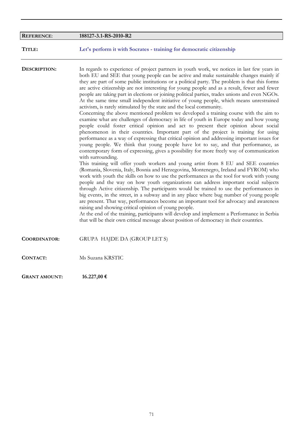| <b>REFERENCE:</b>    | 188127-3.1-RS-2010-R2                                                                                                                                                                                                                                                                                                                                                                                                                                                                                                                                                                                                                                                                                                                                                                                                                                                                                                                                                                                                                                                                                                                                                                                                                                                                                                                                                                                                                                                                                                                                                                                                                                                                                                                                                                                                                                                                                                                                                                                                                                                                                                                                                                                                                          |
|----------------------|------------------------------------------------------------------------------------------------------------------------------------------------------------------------------------------------------------------------------------------------------------------------------------------------------------------------------------------------------------------------------------------------------------------------------------------------------------------------------------------------------------------------------------------------------------------------------------------------------------------------------------------------------------------------------------------------------------------------------------------------------------------------------------------------------------------------------------------------------------------------------------------------------------------------------------------------------------------------------------------------------------------------------------------------------------------------------------------------------------------------------------------------------------------------------------------------------------------------------------------------------------------------------------------------------------------------------------------------------------------------------------------------------------------------------------------------------------------------------------------------------------------------------------------------------------------------------------------------------------------------------------------------------------------------------------------------------------------------------------------------------------------------------------------------------------------------------------------------------------------------------------------------------------------------------------------------------------------------------------------------------------------------------------------------------------------------------------------------------------------------------------------------------------------------------------------------------------------------------------------------|
| TITLE:               | Let's perform it with Socrates - training for democratic citizenship                                                                                                                                                                                                                                                                                                                                                                                                                                                                                                                                                                                                                                                                                                                                                                                                                                                                                                                                                                                                                                                                                                                                                                                                                                                                                                                                                                                                                                                                                                                                                                                                                                                                                                                                                                                                                                                                                                                                                                                                                                                                                                                                                                           |
| DESCRIPTION:         | In regards to experience of project partners in youth work, we notices in last few years in<br>both EU and SEE that young people can be active and make sustainable changes mainly if<br>they are part of some public institutions or a political party. The problem is that this forms<br>are active citizenship are not interesting for young people and as a result, fewer and fewer<br>people are taking part in elections or joining political parties, trades unions and even NGOs.<br>At the same time small independent initiative of young people, which means unrestrained<br>activism, is rarely stimulated by the state and the local community.<br>Concerning the above mentioned problem we developed a training course with the aim to<br>examine what are challenges of democracy in life of youth in Europe today and how young<br>people could foster critical opinion and act to present their opinion about social<br>phenomenon in their countries. Important part of the project is training for using<br>performance as a way of expressing that critical opinion and addressing important issues for<br>young people. We think that young people have lot to say, and that performance, as<br>contemporary form of expressing, gives a possibility for more freely way of communication<br>with surrounding.<br>This training will offer youth workers and young artist from 8 EU and SEE countries<br>(Romania, Slovenia, Italy, Bosnia and Herzegovina, Montenegro, Ireland and FYROM) who<br>work with youth the skills on how to use the performances as the tool for work with young<br>people and the way on how youth organizations can address important social subjects<br>through Active citizenship. The participants would be trained to use the performances in<br>big events, in the street, in a subway and in any place where bug number of young people<br>are present. That way, performances become an important tool for advocacy and awareness<br>raising and showing critical opinion of young people.<br>At the end of the training, participants will develop and implement a Performance in Serbia<br>that will be their own critical message about position of democracy in their countries. |
| <b>COORDINATOR:</b>  | GRUPA HAJDE DA (GROUP LET S)                                                                                                                                                                                                                                                                                                                                                                                                                                                                                                                                                                                                                                                                                                                                                                                                                                                                                                                                                                                                                                                                                                                                                                                                                                                                                                                                                                                                                                                                                                                                                                                                                                                                                                                                                                                                                                                                                                                                                                                                                                                                                                                                                                                                                   |
| <b>CONTACT:</b>      | Ms Suzana KRSTIC                                                                                                                                                                                                                                                                                                                                                                                                                                                                                                                                                                                                                                                                                                                                                                                                                                                                                                                                                                                                                                                                                                                                                                                                                                                                                                                                                                                                                                                                                                                                                                                                                                                                                                                                                                                                                                                                                                                                                                                                                                                                                                                                                                                                                               |
| <b>GRANT AMOUNT:</b> | 16.227,00 €                                                                                                                                                                                                                                                                                                                                                                                                                                                                                                                                                                                                                                                                                                                                                                                                                                                                                                                                                                                                                                                                                                                                                                                                                                                                                                                                                                                                                                                                                                                                                                                                                                                                                                                                                                                                                                                                                                                                                                                                                                                                                                                                                                                                                                    |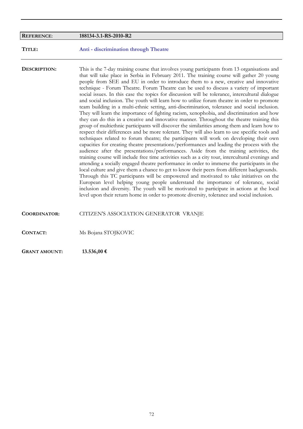| <b>REFERENCE:</b>    | 188134-3.1-RS-2010-R2                                                                                                                                                                                                                                                                                                                                                                                                                                                                                                                                                                                                                                                                                                                                                                                                                                                                                                                                                                                                                                                                                                                                                                                                                                                                                                                                                                                                                                                                                                                                                                                                                                                                                                                                                                                                                                                                                                                                                                                                                             |
|----------------------|---------------------------------------------------------------------------------------------------------------------------------------------------------------------------------------------------------------------------------------------------------------------------------------------------------------------------------------------------------------------------------------------------------------------------------------------------------------------------------------------------------------------------------------------------------------------------------------------------------------------------------------------------------------------------------------------------------------------------------------------------------------------------------------------------------------------------------------------------------------------------------------------------------------------------------------------------------------------------------------------------------------------------------------------------------------------------------------------------------------------------------------------------------------------------------------------------------------------------------------------------------------------------------------------------------------------------------------------------------------------------------------------------------------------------------------------------------------------------------------------------------------------------------------------------------------------------------------------------------------------------------------------------------------------------------------------------------------------------------------------------------------------------------------------------------------------------------------------------------------------------------------------------------------------------------------------------------------------------------------------------------------------------------------------------|
| TITLE:               | Anti - discrimination through Theatre                                                                                                                                                                                                                                                                                                                                                                                                                                                                                                                                                                                                                                                                                                                                                                                                                                                                                                                                                                                                                                                                                                                                                                                                                                                                                                                                                                                                                                                                                                                                                                                                                                                                                                                                                                                                                                                                                                                                                                                                             |
| DESCRIPTION:         | This is the 7-day training course that involves young participants from 13 organisations and<br>that will take place in Serbia in February 2011. The training course will gather 20 young<br>people from SEE and EU in order to introduce them to a new, creative and innovative<br>technique - Forum Theatre. Forum Theatre can be used to discuss a variety of important<br>social issues. In this case the topics for discussion will be tolerance, intercultural dialogue<br>and social inclusion. The youth will learn how to utilize forum theatre in order to promote<br>team building in a multi-ethnic setting, anti-discrimination, tolerance and social inclusion.<br>They will learn the importance of fighting racism, xenophobia, and discrimination and how<br>they can do this in a creative and innovative manner. Throughout the theatre training this<br>group of multiethnic participants will discover the similarities among them and learn how to<br>respect their differences and be more tolerant. They will also learn to use specific tools and<br>techniques related to forum theatre; the participants will work on developing their own<br>capacities for creating theatre presentations/performances and leading the process with the<br>audience after the presentations/performances. Aside from the training activities, the<br>training course will include free time activities such as a city tour, intercultural evenings and<br>attending a socially engaged theatre performance in order to immerse the participants in the<br>local culture and give them a chance to get to know their peers from different backgrounds.<br>Through this TC participants will be empowered and motivated to take initiatives on the<br>European level helping young people understand the importance of tolerance, social<br>inclusion and diversity. The youth will be motivated to participate in actions at the local<br>level upon their return home in order to promote diversity, tolerance and social inclusion. |
| <b>COORDINATOR:</b>  | CITIZEN'S ASSOCIATION GENERATOR VRANJE                                                                                                                                                                                                                                                                                                                                                                                                                                                                                                                                                                                                                                                                                                                                                                                                                                                                                                                                                                                                                                                                                                                                                                                                                                                                                                                                                                                                                                                                                                                                                                                                                                                                                                                                                                                                                                                                                                                                                                                                            |
| <b>CONTACT:</b>      | Ms Bojana STOJKOVIC                                                                                                                                                                                                                                                                                                                                                                                                                                                                                                                                                                                                                                                                                                                                                                                                                                                                                                                                                                                                                                                                                                                                                                                                                                                                                                                                                                                                                                                                                                                                                                                                                                                                                                                                                                                                                                                                                                                                                                                                                               |
| <b>GRANT AMOUNT:</b> | 13.536,00 €                                                                                                                                                                                                                                                                                                                                                                                                                                                                                                                                                                                                                                                                                                                                                                                                                                                                                                                                                                                                                                                                                                                                                                                                                                                                                                                                                                                                                                                                                                                                                                                                                                                                                                                                                                                                                                                                                                                                                                                                                                       |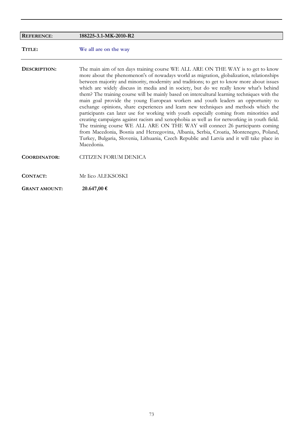| <b>REFERENCE:</b>    | 188225-3.1-MK-2010-R2                                                                                                                                                                                                                                                                                                                                                                                                                                                                                                                                                                                                                                                                                                                                                                                                                                                                                                                                                                                                                                                                                                        |
|----------------------|------------------------------------------------------------------------------------------------------------------------------------------------------------------------------------------------------------------------------------------------------------------------------------------------------------------------------------------------------------------------------------------------------------------------------------------------------------------------------------------------------------------------------------------------------------------------------------------------------------------------------------------------------------------------------------------------------------------------------------------------------------------------------------------------------------------------------------------------------------------------------------------------------------------------------------------------------------------------------------------------------------------------------------------------------------------------------------------------------------------------------|
| TITLE:               | We all are on the way                                                                                                                                                                                                                                                                                                                                                                                                                                                                                                                                                                                                                                                                                                                                                                                                                                                                                                                                                                                                                                                                                                        |
| DESCRIPTION:         | The main aim of ten days training course WE ALL ARE ON THE WAY is to get to know<br>more about the phenomenon's of nowadays world as migration, globalization, relationships<br>between majority and minority, modernity and traditions; to get to know more about issues<br>which are widely discuss in media and in society, but do we really know what's behind<br>them? The training course will be mainly based on intercultural learning techniques with the<br>main goal provide the young European workers and youth leaders an opportunity to<br>exchange opinions, share experiences and learn new techniques and methods which the<br>participants can later use for working with youth especially coming from minorities and<br>creating campaigns against racism and xenophobia as well as for networking in youth field.<br>The training course WE ALL ARE ON THE WAY will connect 26 participants coming<br>from Macedonia, Bosnia and Herzegovina, Albania, Serbia, Croatia, Montenegro, Poland,<br>Turkey, Bulgaria, Slovenia, Lithuania, Czech Republic and Latvia and it will take place in<br>Macedonia. |
| <b>COORDINATOR:</b>  | CITIZEN FORUM DENICA                                                                                                                                                                                                                                                                                                                                                                                                                                                                                                                                                                                                                                                                                                                                                                                                                                                                                                                                                                                                                                                                                                         |
| CONTACT:             | Mr Iico ALEKSOSKI                                                                                                                                                                                                                                                                                                                                                                                                                                                                                                                                                                                                                                                                                                                                                                                                                                                                                                                                                                                                                                                                                                            |
| <b>GRANT AMOUNT:</b> | 20.647,00 €                                                                                                                                                                                                                                                                                                                                                                                                                                                                                                                                                                                                                                                                                                                                                                                                                                                                                                                                                                                                                                                                                                                  |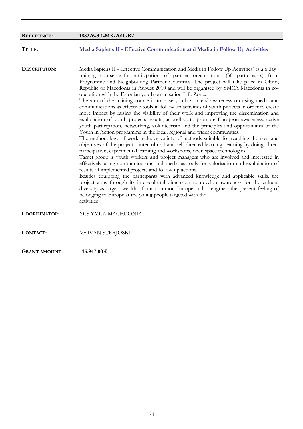| <b>REFERENCE:</b>    | 188226-3.1-MK-2010-R2                                                                                                                                                                                                                                                                                                                                                                                                                                                                                                                                                                                                                                                                                                                                                                                                                                                                                                                                                                                                                                                                                                                                                                                                                                                                                                                                                                                                                                                                                                                                                                                                                                                                                                                                                                                                                                                     |
|----------------------|---------------------------------------------------------------------------------------------------------------------------------------------------------------------------------------------------------------------------------------------------------------------------------------------------------------------------------------------------------------------------------------------------------------------------------------------------------------------------------------------------------------------------------------------------------------------------------------------------------------------------------------------------------------------------------------------------------------------------------------------------------------------------------------------------------------------------------------------------------------------------------------------------------------------------------------------------------------------------------------------------------------------------------------------------------------------------------------------------------------------------------------------------------------------------------------------------------------------------------------------------------------------------------------------------------------------------------------------------------------------------------------------------------------------------------------------------------------------------------------------------------------------------------------------------------------------------------------------------------------------------------------------------------------------------------------------------------------------------------------------------------------------------------------------------------------------------------------------------------------------------|
| TITLE:               | Media Sapiens II - Effective Communication and Media in Follow Up Activities                                                                                                                                                                                                                                                                                                                                                                                                                                                                                                                                                                                                                                                                                                                                                                                                                                                                                                                                                                                                                                                                                                                                                                                                                                                                                                                                                                                                                                                                                                                                                                                                                                                                                                                                                                                              |
| DESCRIPTION:         | Media Sapiens II - Effective Communication and Media in Follow Up Activities" is a 6 day<br>training course with participation of partner organisations (30 participants) from<br>Programme and Neighbouring Partner Countries. The project will take place in Ohrid,<br>Republic of Macedonia in August 2010 and will be organised by YMCA Macedonia in co-<br>operation with the Estonian youth organisation Life Zone.<br>The aim of the training course is to raise youth workers' awareness on using media and<br>communications as effective tools in follow up activities of youth projects in order to create<br>more impact by raising the visibility of their work and improving the dissemination and<br>exploitation of youth projects results, as well as to promote European awareness, active<br>youth participation, networking, volunteerism and the principles and opportunities of the<br>Youth in Action programme in the local, regional and wider communities.<br>The methodology of work includes variety of methods suitable for reaching the goal and<br>objectives of the project - intercultural and self-directed learning, learning-by-doing, direct<br>participation, experimental learning and workshops, open space technologies.<br>Target group is youth workers and project managers who are involved and interested in<br>effectively using communications and media as tools for valorisation and exploitation of<br>results of implemented projects and follow-up actions.<br>Besides equipping the participants with advanced knowledge and applicable skills, the<br>project aims through its inter-cultural dimension to develop awareness for the cultural<br>diversity as largest wealth of our common Europe and strengthen the present feeling of<br>belonging to Europe at the young people targeted with the<br>activities |
| <b>COORDINATOR:</b>  | YCS YMCA MACEDONIA                                                                                                                                                                                                                                                                                                                                                                                                                                                                                                                                                                                                                                                                                                                                                                                                                                                                                                                                                                                                                                                                                                                                                                                                                                                                                                                                                                                                                                                                                                                                                                                                                                                                                                                                                                                                                                                        |
| <b>CONTACT:</b>      | Mr IVAN STERJOSKI                                                                                                                                                                                                                                                                                                                                                                                                                                                                                                                                                                                                                                                                                                                                                                                                                                                                                                                                                                                                                                                                                                                                                                                                                                                                                                                                                                                                                                                                                                                                                                                                                                                                                                                                                                                                                                                         |
| <b>GRANT AMOUNT:</b> | 15.947,00 €                                                                                                                                                                                                                                                                                                                                                                                                                                                                                                                                                                                                                                                                                                                                                                                                                                                                                                                                                                                                                                                                                                                                                                                                                                                                                                                                                                                                                                                                                                                                                                                                                                                                                                                                                                                                                                                               |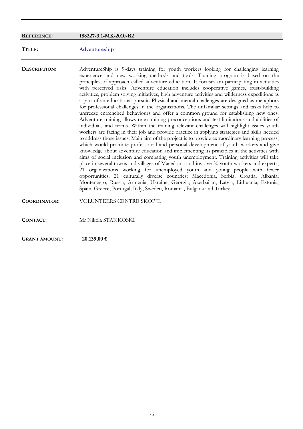# **REFERENCE**: **188227-3.1-MK-2010-R2 TITLE: Adventureship DESCRIPTION:** AdventureShip is 9-days training for youth workers looking for challenging learning experience and new working methods and tools. Training program is based on the principles of approach called adventure education. It focuses on participating in activities with perceived risks. Adventure education includes cooperative games, trust-building activities, problem solving initiatives, high adventure activities and wilderness expeditions as a part of an educational pursuit. Physical and mental challenges are designed as metaphors for professional challenges in the organisations. The unfamiliar settings and tasks help to unfreeze entrenched behaviours and offer a common ground for establishing new ones. Adventure training allows re-examining preconceptions and test limitations and abilities of individuals and teams. Within the training relevant challenges will highlight issues youth workers are facing in their job and provide practice in applying strategies and skills needed to address those issues. Main aim of the project is to provide extraordinary learning process, which would promote professional and personal development of youth workers and give knowledge about adventure education and implementing its principles in the activities with aims of social inclusion and combating youth unemployment. Training activities will take place in several towns and villages of Macedonia and involve 30 youth workers and experts, 21 organizations working for unemployed youth and young people with fewer opportunities, 21 culturally diverse countries: Macedonia, Serbia, Croatia, Albania, Montenegro, Russia, Armenia, Ukraine, Georgia, Azerbaijan, Latvia, Lithuania, Estonia, Spain, Greece, Portugal, Italy, Sweden, Romania, Bulgaria and Turkey. **COORDINATOR:** VOLUNTEERS CENTRE SKOPJE **CONTACT:** Mr Nikola STANKOSKI

**GRANT AMOUNT: 20.139,00 €**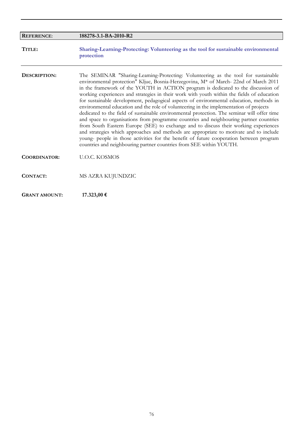| <b>REFERENCE:</b>    | 188278-3.1-BA-2010-R2                                                                                                                                                                                                                                                                                                                                                                                                                                                                                                                                                                                                                                                                                                                                                                                                                                                                                                                                                                                                                                                                         |
|----------------------|-----------------------------------------------------------------------------------------------------------------------------------------------------------------------------------------------------------------------------------------------------------------------------------------------------------------------------------------------------------------------------------------------------------------------------------------------------------------------------------------------------------------------------------------------------------------------------------------------------------------------------------------------------------------------------------------------------------------------------------------------------------------------------------------------------------------------------------------------------------------------------------------------------------------------------------------------------------------------------------------------------------------------------------------------------------------------------------------------|
| TITLE:               | Sharing-Learning-Protecting: Volunteering as the tool for sustainable environmental<br>protection                                                                                                                                                                                                                                                                                                                                                                                                                                                                                                                                                                                                                                                                                                                                                                                                                                                                                                                                                                                             |
| DESCRIPTION:         | The SEMINAR "Sharing-Leaming-Protecting: Volunteering as the tool for sustainable<br>environmental protection" Kljuc, Bosnia-Herzegovina, M* of March-22nd of March 2011<br>in the framework of the YOUTH in ACTION program is dedicated to the discussion of<br>working experiences and strategies in their work with youth within the fields of education<br>for sustainable development, pedagogical aspects of environmental education, methods in<br>environmental education and the role of volunteering in the implementation of projects<br>dedicated to the field of sustainable environmental protection. The seminar will offer time<br>and space to organisations from programme countries and neighbouring partner countries<br>from South Eastern Europe (SEE) to exchange and to discuss their working experiences<br>and strategies which approaches and methods are appropriate to motivate and to include<br>young- people in those activities for the benefit of future cooperation between program<br>countries and neighbouring partner countries from SEE within YOUTH. |
| <b>COORDINATOR:</b>  | <b>U.O.C. KOSMOS</b>                                                                                                                                                                                                                                                                                                                                                                                                                                                                                                                                                                                                                                                                                                                                                                                                                                                                                                                                                                                                                                                                          |
| CONTACT:             | MS AZRA KUJUNDZIC                                                                                                                                                                                                                                                                                                                                                                                                                                                                                                                                                                                                                                                                                                                                                                                                                                                                                                                                                                                                                                                                             |
| <b>GRANT AMOUNT:</b> | $17.323,00$ €                                                                                                                                                                                                                                                                                                                                                                                                                                                                                                                                                                                                                                                                                                                                                                                                                                                                                                                                                                                                                                                                                 |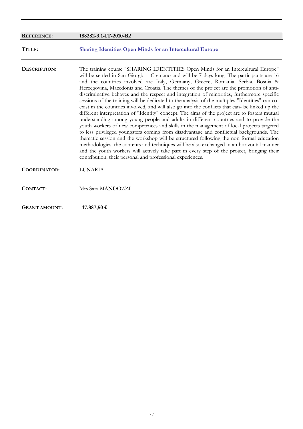| <b>REFERENCE:</b>    | 188282-3.1-IT-2010-R2                                                                                                                                                                                                                                                                                                                                                                                                                                                                                                                                                                                                                                                                                                                                                                                                                                                                                                                                                                                                                                                                                                                                                                                                                                                                                                                                                                                  |
|----------------------|--------------------------------------------------------------------------------------------------------------------------------------------------------------------------------------------------------------------------------------------------------------------------------------------------------------------------------------------------------------------------------------------------------------------------------------------------------------------------------------------------------------------------------------------------------------------------------------------------------------------------------------------------------------------------------------------------------------------------------------------------------------------------------------------------------------------------------------------------------------------------------------------------------------------------------------------------------------------------------------------------------------------------------------------------------------------------------------------------------------------------------------------------------------------------------------------------------------------------------------------------------------------------------------------------------------------------------------------------------------------------------------------------------|
| TITLE:               | <b>Sharing Identities Open Minds for an Intercultural Europe</b>                                                                                                                                                                                                                                                                                                                                                                                                                                                                                                                                                                                                                                                                                                                                                                                                                                                                                                                                                                                                                                                                                                                                                                                                                                                                                                                                       |
| DESCRIPTION:         | The training course "SHARING IDENTITIES Open Minds for an Intercultural Europe"<br>will be settled in San Giorgio a Cremano and will be 7 days long. The participants are 16<br>and the countries involved are Italy, Germany, Greece, Romania, Serbia, Bosnia &<br>Herzegovina, Macedonia and Croatia. The themes of the project are the promotion of anti-<br>discriminative behaves and the respect and integration of minorities, furthermore specific<br>sessions of the training will be dedicated to the analysis of the multiples "Identities" can co-<br>exist in the countries involved, and will also go into the conflicts that can- be linked up the<br>different interpretation of "Identity" concept. The aims of the project are to fosters mutual<br>understanding among young people and adults in different countries and to provide the<br>youth workers of new competences and skills in the management of local projects targeted<br>to less privileged youngsters coming from disadvantage and conflictual backgrounds. The<br>thematic session and the workshop will be structured following the non formal education<br>methodologies, the contents and techniques will be also exchanged in an horizontal manner<br>and the youth workers will actively take part in every step of the project, bringing their<br>contribution, their personal and professional experiences. |
| <b>COORDINATOR:</b>  | <b>LUNARIA</b>                                                                                                                                                                                                                                                                                                                                                                                                                                                                                                                                                                                                                                                                                                                                                                                                                                                                                                                                                                                                                                                                                                                                                                                                                                                                                                                                                                                         |
| CONTACT:             | Mrs Sara MANDOZZI                                                                                                                                                                                                                                                                                                                                                                                                                                                                                                                                                                                                                                                                                                                                                                                                                                                                                                                                                                                                                                                                                                                                                                                                                                                                                                                                                                                      |
| <b>GRANT AMOUNT:</b> | 17.887,50 €                                                                                                                                                                                                                                                                                                                                                                                                                                                                                                                                                                                                                                                                                                                                                                                                                                                                                                                                                                                                                                                                                                                                                                                                                                                                                                                                                                                            |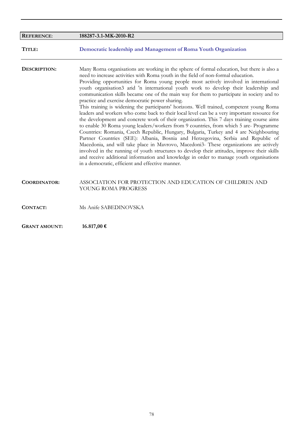| <b>REFERENCE:</b>    | 188287-3.1-MK-2010-R2                                                                                                                                                                                                                                                                                                                                                                                                                                                                                                                                                                                                                                                                                                                                                                                                                                                                                                                                                                                                                                                                                                                                                                                                                                                                                                                                                                                                   |
|----------------------|-------------------------------------------------------------------------------------------------------------------------------------------------------------------------------------------------------------------------------------------------------------------------------------------------------------------------------------------------------------------------------------------------------------------------------------------------------------------------------------------------------------------------------------------------------------------------------------------------------------------------------------------------------------------------------------------------------------------------------------------------------------------------------------------------------------------------------------------------------------------------------------------------------------------------------------------------------------------------------------------------------------------------------------------------------------------------------------------------------------------------------------------------------------------------------------------------------------------------------------------------------------------------------------------------------------------------------------------------------------------------------------------------------------------------|
| TITLE:               | Democratic leadership and Management of Roma Youth Organization                                                                                                                                                                                                                                                                                                                                                                                                                                                                                                                                                                                                                                                                                                                                                                                                                                                                                                                                                                                                                                                                                                                                                                                                                                                                                                                                                         |
| DESCRIPTION:         | Many Rorna organisations are working in the sphere of formal education, but there is also a<br>need to increase activities with Roma youth in the field of non-formal education.<br>Providing opportunities for Roma young people most actively involved in international<br>youth organisation3 arid 'n international youth work to develop their leadership and<br>communication skills became one of the main way for them to participate in society and to<br>practice and exercise democratic power sharing.<br>This training is widening the participants' horizons. Well trained, competent young Roma<br>leaders and workers who come back to their local level can be a very important resource for<br>the development and concrete work of their organization. This 7 days training course aims<br>to enable 30 Roma young leaders/workers from 9 countries, from which 5 are- Programme<br>Countries: Romania, Czech Republic, Hungary, Bulgaria, Turkey and 4 are Neighbouring<br>Partner Countries (SEE): Albania, Bosnia and Herzegovina, Serbia and Republic of<br>Macedonia, and will take place in Mavrovo, Macedoni3- These organizations are actively<br>involved in the running of youth structures to develop their attitudes, improve their skills<br>and receive additional information and knowledge in order to manage youth organisations<br>in a democratic, efficient and effective manner. |
| <b>COORDINATOR:</b>  | ASSOCIATION FOR PROTECTION AND EDUCATION OF CHILDREN AND<br>YOUNG ROMA PROGRESS                                                                                                                                                                                                                                                                                                                                                                                                                                                                                                                                                                                                                                                                                                                                                                                                                                                                                                                                                                                                                                                                                                                                                                                                                                                                                                                                         |
| CONTACT:             | Ms Anife SABEDINOVSKA                                                                                                                                                                                                                                                                                                                                                                                                                                                                                                                                                                                                                                                                                                                                                                                                                                                                                                                                                                                                                                                                                                                                                                                                                                                                                                                                                                                                   |
| <b>GRANT AMOUNT:</b> | 16.817,00 €                                                                                                                                                                                                                                                                                                                                                                                                                                                                                                                                                                                                                                                                                                                                                                                                                                                                                                                                                                                                                                                                                                                                                                                                                                                                                                                                                                                                             |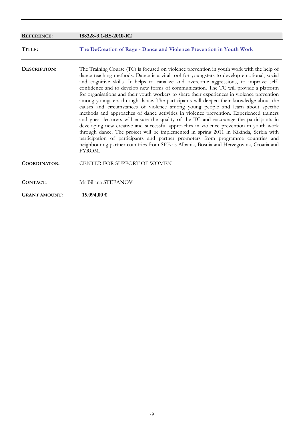| <b>REFERENCE:</b>    | 188328-3.1-RS-2010-R2                                                                                                                                                                                                                                                                                                                                                                                                                                                                                                                                                                                                                                                                                                                                                                                                                                                                                                                                                                                                                                                                                                                                                                                                  |
|----------------------|------------------------------------------------------------------------------------------------------------------------------------------------------------------------------------------------------------------------------------------------------------------------------------------------------------------------------------------------------------------------------------------------------------------------------------------------------------------------------------------------------------------------------------------------------------------------------------------------------------------------------------------------------------------------------------------------------------------------------------------------------------------------------------------------------------------------------------------------------------------------------------------------------------------------------------------------------------------------------------------------------------------------------------------------------------------------------------------------------------------------------------------------------------------------------------------------------------------------|
| TITLE:               | The DeCreation of Rage - Dance and Violence Prevention in Youth Work                                                                                                                                                                                                                                                                                                                                                                                                                                                                                                                                                                                                                                                                                                                                                                                                                                                                                                                                                                                                                                                                                                                                                   |
| DESCRIPTION:         | The Training Course (TC) is focused on violence prevention in youth work with the help of<br>dance teaching methods. Dance is a vital tool for youngsters to develop emotional, social<br>and cognitive skills. It helps to canalize and overcome aggressions, to improve self-<br>confidence and to develop new forms of communication. The TC will provide a platform<br>for organisations and their youth workers to share their experiences in violence prevention<br>among youngsters through dance. The participants will deepen their knowledge about the<br>causes and circumstances of violence among young people and learn about specific<br>methods and approaches of dance activities in violence prevention. Experienced trainers<br>and guest lecturers will ensure the quality of the TC and encourage the participants in<br>developing new creative and successful approaches in violence prevention in youth work<br>through dance. The project will be implemented in spring 2011 in Kikinda, Serbia with<br>participation of participants and partner promoters from programme countries and<br>neighbouring partner countries from SEE as Albania, Bosnia and Herzegovina, Croatia and<br>FYROM. |
| <b>COORDINATOR:</b>  | <b>CENTER FOR SUPPORT OF WOMEN</b>                                                                                                                                                                                                                                                                                                                                                                                                                                                                                                                                                                                                                                                                                                                                                                                                                                                                                                                                                                                                                                                                                                                                                                                     |
| <b>CONTACT:</b>      | Mr Biljana STEPANOV                                                                                                                                                                                                                                                                                                                                                                                                                                                                                                                                                                                                                                                                                                                                                                                                                                                                                                                                                                                                                                                                                                                                                                                                    |
| <b>GRANT AMOUNT:</b> | 15.094,00 €                                                                                                                                                                                                                                                                                                                                                                                                                                                                                                                                                                                                                                                                                                                                                                                                                                                                                                                                                                                                                                                                                                                                                                                                            |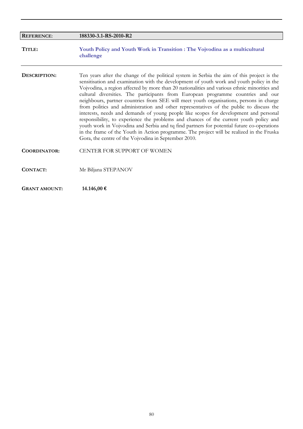| <b>REFERENCE:</b>    | 188330-3.1-RS-2010-R2                                                                                                                                                                                                                                                                                                                                                                                                                                                                                                                                                                                                                                                                                                                                                                                                                                                                                                                                                                                   |
|----------------------|---------------------------------------------------------------------------------------------------------------------------------------------------------------------------------------------------------------------------------------------------------------------------------------------------------------------------------------------------------------------------------------------------------------------------------------------------------------------------------------------------------------------------------------------------------------------------------------------------------------------------------------------------------------------------------------------------------------------------------------------------------------------------------------------------------------------------------------------------------------------------------------------------------------------------------------------------------------------------------------------------------|
| TITLE:               | Youth Policy and Youth Work in Transition : The Vojvodina as a multicultural<br>challenge                                                                                                                                                                                                                                                                                                                                                                                                                                                                                                                                                                                                                                                                                                                                                                                                                                                                                                               |
| DESCRIPTION:         | Ten years after the change of the political system in Serbia the aim of this project is the<br>sensitisation and examination with the development of youth work and youth policy in the<br>Vojvodina, a region affected by more than 20 nationalities and various ethnic minorities and<br>cultural diversities. The participants from European programme countries and our<br>neighbours, partner countries from SEE will meet youth organisations, persons in charge<br>from politics and administration and other representatives of the public to discuss the<br>interests, needs and demands of young people like scopes for development and personal<br>responsibility, to experience the problems and chances of the current youth policy and<br>youth work in Vojvodina and Serbia and tq find partners for potential future co-operations<br>in the frame of the Youth in Action programme. The project will be realized in the Fruska<br>Gora, the centre of the Vojvodina in September 2010. |
| <b>COORDINATOR:</b>  | CENTER FOR SUPPORT OF WOMEN                                                                                                                                                                                                                                                                                                                                                                                                                                                                                                                                                                                                                                                                                                                                                                                                                                                                                                                                                                             |
| <b>CONTACT:</b>      | Mr Biljana STEPANOV                                                                                                                                                                                                                                                                                                                                                                                                                                                                                                                                                                                                                                                                                                                                                                                                                                                                                                                                                                                     |
| <b>GRANT AMOUNT:</b> | 14.146,00 €                                                                                                                                                                                                                                                                                                                                                                                                                                                                                                                                                                                                                                                                                                                                                                                                                                                                                                                                                                                             |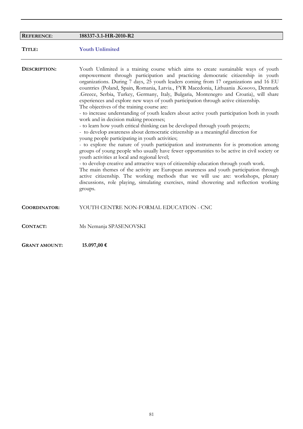| <b>REFERENCE:</b>   | 188337-3.1-HR-2010-R2                                                                                                                                                                                                                                                                                                                                                                                                                                                                                                                                                                                                                                                                                                                                                                                                                                                                                                                                                                                                                                                                                                                                                                                                                                                                                                                                                                                                                                                                                                                                                               |
|---------------------|-------------------------------------------------------------------------------------------------------------------------------------------------------------------------------------------------------------------------------------------------------------------------------------------------------------------------------------------------------------------------------------------------------------------------------------------------------------------------------------------------------------------------------------------------------------------------------------------------------------------------------------------------------------------------------------------------------------------------------------------------------------------------------------------------------------------------------------------------------------------------------------------------------------------------------------------------------------------------------------------------------------------------------------------------------------------------------------------------------------------------------------------------------------------------------------------------------------------------------------------------------------------------------------------------------------------------------------------------------------------------------------------------------------------------------------------------------------------------------------------------------------------------------------------------------------------------------------|
| TITLE:              | <b>Youth Unlimited</b>                                                                                                                                                                                                                                                                                                                                                                                                                                                                                                                                                                                                                                                                                                                                                                                                                                                                                                                                                                                                                                                                                                                                                                                                                                                                                                                                                                                                                                                                                                                                                              |
| DESCRIPTION:        | Youth Unlimited is a training course which aims to create sustainable ways of youth<br>empowerment through participation and practicing democratic citizenship in youth<br>organizations. During 7 days, 25 youth leaders coming from 17 organizations and 16 EU<br>countries (Poland, Spain, Romania, Latvia., FYR Macedonia, Lithuania .Kosovo, Denmark<br>.Greece, Serbia, Turkey, Germany, Italy, Bulgaria, Montenegro and Croatia), will share<br>experiences and explore new ways of youth participation through active citizenship.<br>The objectives of the training course are:<br>- to increase understanding of youth leaders about active youth participation both in youth<br>work and in decision making processes;<br>- to learn how youth critical thinking can be developed through youth projects;<br>- to develop awareness about democratic citizenship as a meaningful direction for<br>young people participating in youth activities;<br>- to explore the nature of youth participation and instruments for is promotion among<br>groups of young people who usually have fewer opportunities to be active in civil society or<br>youth activities at local and regional level;<br>- to develop creative and attractive ways of citizenship education through youth work.<br>The main themes of the activity are European awareness and youth participation through<br>active citizenship. The working methods that we will use are: workshops, plenary<br>discussions, role playing, simulating exercises, mind showering and reflection working<br>groups. |
| <b>COORDINATOR:</b> | YOUTH CENTRE NON-FORMAL EDUCATION - CNC                                                                                                                                                                                                                                                                                                                                                                                                                                                                                                                                                                                                                                                                                                                                                                                                                                                                                                                                                                                                                                                                                                                                                                                                                                                                                                                                                                                                                                                                                                                                             |
| <b>CONTACT:</b>     | Ms Nemanja SPASENOVSKI                                                                                                                                                                                                                                                                                                                                                                                                                                                                                                                                                                                                                                                                                                                                                                                                                                                                                                                                                                                                                                                                                                                                                                                                                                                                                                                                                                                                                                                                                                                                                              |

**GRANT AMOUNT: 15.097,00 €**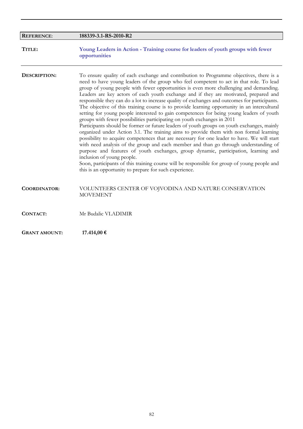| <b>REFERENCE:</b>    | 188339-3.1-RS-2010-R2                                                                                                                                                                                                                                                                                                                                                                                                                                                                                                                                                                                                                                                                                                                                                                                                                                                                                                                                                                                                                                                                                                                                                                                                                                                                                                                                                                                        |
|----------------------|--------------------------------------------------------------------------------------------------------------------------------------------------------------------------------------------------------------------------------------------------------------------------------------------------------------------------------------------------------------------------------------------------------------------------------------------------------------------------------------------------------------------------------------------------------------------------------------------------------------------------------------------------------------------------------------------------------------------------------------------------------------------------------------------------------------------------------------------------------------------------------------------------------------------------------------------------------------------------------------------------------------------------------------------------------------------------------------------------------------------------------------------------------------------------------------------------------------------------------------------------------------------------------------------------------------------------------------------------------------------------------------------------------------|
| TITLE:               | Young Leaders in Action - Training course for leaders of youth groups with fewer<br>opportunities                                                                                                                                                                                                                                                                                                                                                                                                                                                                                                                                                                                                                                                                                                                                                                                                                                                                                                                                                                                                                                                                                                                                                                                                                                                                                                            |
| DESCRIPTION:         | To ensure quality of each exchange and contribution to Programme objectives, there is a<br>need to have young leaders of the group who feel competent to act in that role. To lead<br>group of young people with fewer opportunities is even more challenging and demanding.<br>Leaders are key actors of each youth exchange and if they are motivated, prepared and<br>responsible they can do a lot to increase quality of exchanges and outcomes for participants.<br>The objective of this training course is to provide learning opportunity in an intercultural<br>setting for young people interested to gain competences for being young leaders of youth<br>groups with fewer possibilities participating on youth exchanges in 2011<br>Participants should be former or future leaders of youth groups on youth exchanges, mainly<br>organized under Action 3.1. The training aims to provide them with non formal learning<br>possibility to acquire competences that are necessary for one leader to have. We will start<br>with need analysis of the group and each member and than go through understanding of<br>purpose and features of youth exchanges, group dynamic, participation, learning and<br>inclusion of young people.<br>Soon, participants of this training course will be responsible for group of young people and<br>this is an opportunity to prepare for such experience. |
| <b>COORDINATOR:</b>  | VOLUNTEERS CENTER OF VOJVODINA AND NATURE CONSERVATION<br><b>MOVEMENT</b>                                                                                                                                                                                                                                                                                                                                                                                                                                                                                                                                                                                                                                                                                                                                                                                                                                                                                                                                                                                                                                                                                                                                                                                                                                                                                                                                    |
| CONTACT:             | Mr Budalic VLADIMIR                                                                                                                                                                                                                                                                                                                                                                                                                                                                                                                                                                                                                                                                                                                                                                                                                                                                                                                                                                                                                                                                                                                                                                                                                                                                                                                                                                                          |
| <b>GRANT AMOUNT:</b> | 17.414,00 €                                                                                                                                                                                                                                                                                                                                                                                                                                                                                                                                                                                                                                                                                                                                                                                                                                                                                                                                                                                                                                                                                                                                                                                                                                                                                                                                                                                                  |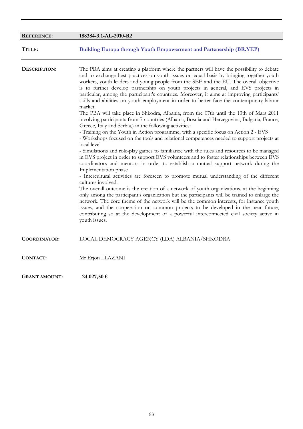| <b>REFERENCE:</b>    | 188384-3.1-AL-2010-R2                                                                                                                                                                                                                                                                                                                                                                                                                                                                                                                                                                                                                                                                                                                                                                                                                                                                                                                                                                                                                                                                                                                                                                                                                                                                                                                                                                                                                                                                                                                                                                                                                                                                                                                                                                                                                                                                                                                                        |
|----------------------|--------------------------------------------------------------------------------------------------------------------------------------------------------------------------------------------------------------------------------------------------------------------------------------------------------------------------------------------------------------------------------------------------------------------------------------------------------------------------------------------------------------------------------------------------------------------------------------------------------------------------------------------------------------------------------------------------------------------------------------------------------------------------------------------------------------------------------------------------------------------------------------------------------------------------------------------------------------------------------------------------------------------------------------------------------------------------------------------------------------------------------------------------------------------------------------------------------------------------------------------------------------------------------------------------------------------------------------------------------------------------------------------------------------------------------------------------------------------------------------------------------------------------------------------------------------------------------------------------------------------------------------------------------------------------------------------------------------------------------------------------------------------------------------------------------------------------------------------------------------------------------------------------------------------------------------------------------------|
| TITLE:               | <b>Building Europa through Youth Empowerment and Partenership (BR.YEP)</b>                                                                                                                                                                                                                                                                                                                                                                                                                                                                                                                                                                                                                                                                                                                                                                                                                                                                                                                                                                                                                                                                                                                                                                                                                                                                                                                                                                                                                                                                                                                                                                                                                                                                                                                                                                                                                                                                                   |
| DESCRIPTION:         | The PBA aims at creating a platform where the partners will have the possibility to debate<br>and to exchange best practices on youth issues on equal basis by bringing together youth<br>workers, youth leaders and young people from the SEE and the EU. The overall objective<br>is to further develop partnership on youth projects in general, and EVS projects in<br>particular, among the participant's countries. Moreover, it aims at improving participants'<br>skills and abilities on youth employment in order to better face the contemporary labour<br>market.<br>The PBA will take place in Shkodra, Albania, from the 07th until the 13th of Mars 2011<br>involving participants from 7 countries (Albania, Bosnia and Herzegovina, Bulgaria, France,<br>Greece, Italy and Serbia,) in the following activities:<br>- Training on the Youth in Action programme, with a specific focus on Action 2 - EVS<br>- Workshops focused on the tools and relational competences needed to support projects at<br>local level<br>- Simulations and role-play games to familiarize with the rules and resources to be managed<br>in EVS project in order to support EVS volunteers and to foster relationships between EVS<br>coordinators and mentors in order to establish a mutual support network during the<br>Implementation phase<br>- Intercultural activities are foreseen to promote mutual understanding of the different<br>cultures involved.<br>The overall outcome is the creation of a network of youth organizations, at the beginning<br>only among the participant's organization but the participants will be trained to enlarge the<br>network. The core theme of the network will be the common interests, for instance youth<br>issues, and the cooperation on common projects to be developed in the near future,<br>contributing so at the development of a powerful interconnected civil society active in<br>youth issues. |
| <b>COORDINATOR:</b>  | LOCAL DEMOCRACY AGENCY (LDA) ALBANIA/SHKODRA                                                                                                                                                                                                                                                                                                                                                                                                                                                                                                                                                                                                                                                                                                                                                                                                                                                                                                                                                                                                                                                                                                                                                                                                                                                                                                                                                                                                                                                                                                                                                                                                                                                                                                                                                                                                                                                                                                                 |
| CONTACT:             | Mr Erjon LLAZANI                                                                                                                                                                                                                                                                                                                                                                                                                                                                                                                                                                                                                                                                                                                                                                                                                                                                                                                                                                                                                                                                                                                                                                                                                                                                                                                                                                                                                                                                                                                                                                                                                                                                                                                                                                                                                                                                                                                                             |
| <b>GRANT AMOUNT:</b> | 24.027,50 €                                                                                                                                                                                                                                                                                                                                                                                                                                                                                                                                                                                                                                                                                                                                                                                                                                                                                                                                                                                                                                                                                                                                                                                                                                                                                                                                                                                                                                                                                                                                                                                                                                                                                                                                                                                                                                                                                                                                                  |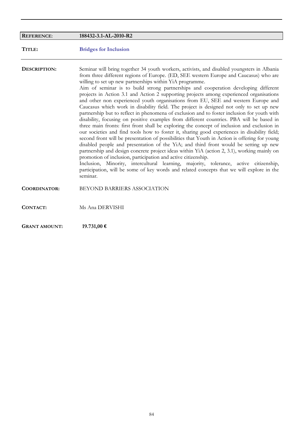| <b>REFERENCE:</b>    | 188432-3.1-AL-2010-R2                                                                                                                                                                                                                                                                                                                                                                                                                                                                                                                                                                                                                                                                                                                                                                                                                                                                                                                                                                                                                                                                                                                                                                                                                                                                                                                                                                                                                                                                                                                                                   |
|----------------------|-------------------------------------------------------------------------------------------------------------------------------------------------------------------------------------------------------------------------------------------------------------------------------------------------------------------------------------------------------------------------------------------------------------------------------------------------------------------------------------------------------------------------------------------------------------------------------------------------------------------------------------------------------------------------------------------------------------------------------------------------------------------------------------------------------------------------------------------------------------------------------------------------------------------------------------------------------------------------------------------------------------------------------------------------------------------------------------------------------------------------------------------------------------------------------------------------------------------------------------------------------------------------------------------------------------------------------------------------------------------------------------------------------------------------------------------------------------------------------------------------------------------------------------------------------------------------|
| TITLE:               | <b>Bridges for Inclusion</b>                                                                                                                                                                                                                                                                                                                                                                                                                                                                                                                                                                                                                                                                                                                                                                                                                                                                                                                                                                                                                                                                                                                                                                                                                                                                                                                                                                                                                                                                                                                                            |
| DESCRIPTION:         | Seminar will bring together 34 youth workers, activists, and disabled youngsters in Albania<br>from three different regions of Europe. (ED, SEE western Europe and Caucasus) who are<br>willing to set up new partnerships within YiA programme.<br>Aim of seminar is to build strong partnerships and cooperation developing different<br>projects in Action 3.1 and Action 2 supporting projects among experienced organisations<br>and other non experienced youth organisations from EU, SEE and western Europe and<br>Caucasus which work in disability field. The project is designed not only to set up new<br>partnership but to reflect in phenomena of exclusion and to foster inclusion for youth with<br>disability, focusing on positive examples from different countries. PBA will be based in<br>three main fronts: first front shall be exploring the concept of inclusion and exclusion in<br>our societies and find tools how to foster it, sharing good experiences in disability field;<br>second front will be presentation of possibilities that Youth in Action is offering for young<br>disabled people and presentation of the YiA; and third front would be setting up new<br>partnership and design concrete project ideas within YiA (action 2, 3.1), working mainly on<br>promotion of inclusion, participation and active citizenship.<br>Inclusion, Minority, intercultural learning, majority, tolerance, active citizenship,<br>participation, will be some of key words and related concepts that we will explore in the<br>seminar. |
| <b>COORDINATOR:</b>  | BEYOND BARRIERS ASSOCIATION                                                                                                                                                                                                                                                                                                                                                                                                                                                                                                                                                                                                                                                                                                                                                                                                                                                                                                                                                                                                                                                                                                                                                                                                                                                                                                                                                                                                                                                                                                                                             |
| <b>CONTACT:</b>      | Ms Ana DERVISHI                                                                                                                                                                                                                                                                                                                                                                                                                                                                                                                                                                                                                                                                                                                                                                                                                                                                                                                                                                                                                                                                                                                                                                                                                                                                                                                                                                                                                                                                                                                                                         |
| <b>GRANT AMOUNT:</b> | 19.731,00 €                                                                                                                                                                                                                                                                                                                                                                                                                                                                                                                                                                                                                                                                                                                                                                                                                                                                                                                                                                                                                                                                                                                                                                                                                                                                                                                                                                                                                                                                                                                                                             |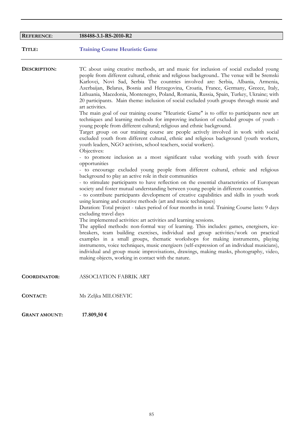| <b>REFERENCE:</b>    | 188488-3.1-RS-2010-R2                                                                                                                                                                                                                                                                                                                                                                                                                                                                                                                                                                                                                                                                                                                                                                                                                                                                                                                                                                                                                                                                                                                                                                                                                                                                                                                                                                                                                                                                                                                                                                                                                                                                                                                                                                                                                                                                                                                                                                                                                                                                                                                                                                                                                                                                                                                                                                                                                            |
|----------------------|--------------------------------------------------------------------------------------------------------------------------------------------------------------------------------------------------------------------------------------------------------------------------------------------------------------------------------------------------------------------------------------------------------------------------------------------------------------------------------------------------------------------------------------------------------------------------------------------------------------------------------------------------------------------------------------------------------------------------------------------------------------------------------------------------------------------------------------------------------------------------------------------------------------------------------------------------------------------------------------------------------------------------------------------------------------------------------------------------------------------------------------------------------------------------------------------------------------------------------------------------------------------------------------------------------------------------------------------------------------------------------------------------------------------------------------------------------------------------------------------------------------------------------------------------------------------------------------------------------------------------------------------------------------------------------------------------------------------------------------------------------------------------------------------------------------------------------------------------------------------------------------------------------------------------------------------------------------------------------------------------------------------------------------------------------------------------------------------------------------------------------------------------------------------------------------------------------------------------------------------------------------------------------------------------------------------------------------------------------------------------------------------------------------------------------------------------|
| TITLE:               | <b>Training Course Heuristic Game</b>                                                                                                                                                                                                                                                                                                                                                                                                                                                                                                                                                                                                                                                                                                                                                                                                                                                                                                                                                                                                                                                                                                                                                                                                                                                                                                                                                                                                                                                                                                                                                                                                                                                                                                                                                                                                                                                                                                                                                                                                                                                                                                                                                                                                                                                                                                                                                                                                            |
| DESCRIPTION:         | TC about using creative methods, art and music for inclusion of social excluded young<br>people from different cultural, ethnic and religious background The venue will be Sremski<br>Karlovci, Novi Sad, Serbia The countries involved are: Serbia, Albania, Armenia,<br>Azerbaijan, Belarus, Bosnia and Herzegovina, Croatia, France, Germany, Greece, Italy,<br>Lithuania, Macedonia, Montenegro, Poland, Romania, Russia, Spain, Turkey, Ukraine; with<br>20 participants. Main theme: inclusion of social excluded youth groups through music and<br>art activities.<br>The main goal of our training course "Heuristic Game" is to offer to participants new art<br>techniques and learning methods for improving inclusion of excluded groups of youth -<br>young people from different cultural; religious and ethnic background.<br>Target group on our training course are people actively involved in work with social<br>excluded youth from different cultural, ethnic and religious background (youth workers,<br>youth leaders, NGO activists, school teachers, social workers).<br>Objectives:<br>- to promote inclusion as a most significant value working with youth with fewer<br>opportunities<br>- to encourage excluded young people from different cultural, ethnic and religious<br>background to play an active role in their communities<br>- to stimulate participants to have reflection on the essential characteristics of European<br>society and foster mutual understanding between young people in different countries.<br>- to contribute participants development of creative capabilities and skills in youth work<br>using learning and creative methods (art and music techniques)<br>Duration: Total project - takes period of four months in total. Training Course lasts: 9 days<br>excluding travel days<br>The implemented activities: art activities and learning sessions.<br>The applied methods: non-formal way of learning. This includes: games, energisers, ice-<br>breakers, team building exercises, individual and group activities/work on practical<br>examples in a small groups, thematic workshops for making instruments, playing<br>instruments, voice techniques, music energizers (self-expression of an individual musicians),<br>individual and group music improvisations, drawings, making masks, photography, video,<br>making objects, working in contact with the nature. |
| <b>COORDINATOR:</b>  | ASSOCIATION FABRIK ART                                                                                                                                                                                                                                                                                                                                                                                                                                                                                                                                                                                                                                                                                                                                                                                                                                                                                                                                                                                                                                                                                                                                                                                                                                                                                                                                                                                                                                                                                                                                                                                                                                                                                                                                                                                                                                                                                                                                                                                                                                                                                                                                                                                                                                                                                                                                                                                                                           |
| <b>CONTACT:</b>      | Ms Zeljka MILOSEVIC                                                                                                                                                                                                                                                                                                                                                                                                                                                                                                                                                                                                                                                                                                                                                                                                                                                                                                                                                                                                                                                                                                                                                                                                                                                                                                                                                                                                                                                                                                                                                                                                                                                                                                                                                                                                                                                                                                                                                                                                                                                                                                                                                                                                                                                                                                                                                                                                                              |
| <b>GRANT AMOUNT:</b> | 17.809,50€                                                                                                                                                                                                                                                                                                                                                                                                                                                                                                                                                                                                                                                                                                                                                                                                                                                                                                                                                                                                                                                                                                                                                                                                                                                                                                                                                                                                                                                                                                                                                                                                                                                                                                                                                                                                                                                                                                                                                                                                                                                                                                                                                                                                                                                                                                                                                                                                                                       |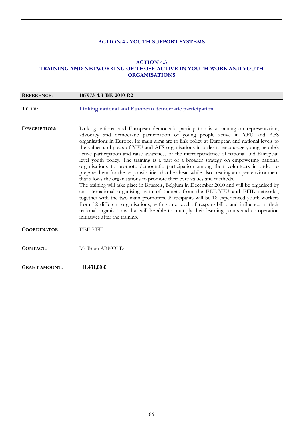### **ACTION 4 - YOUTH SUPPORT SYSTEMS**

#### **ACTION 4.3 TRAINING AND NETWORKING OF THOSE ACTIVE IN YOUTH WORK AND YOUTH ORGANISATIONS**

| <b>REFERENCE:</b>    | 187973-4.3-BE-2010-R2                                                                                                                                                                                                                                                                                                                                                                                                                                                                                                                                                                                                                                                                                                                                                                                                                                                                                                                                                                                                                                                                                                                                                                                                                                                                                                                   |
|----------------------|-----------------------------------------------------------------------------------------------------------------------------------------------------------------------------------------------------------------------------------------------------------------------------------------------------------------------------------------------------------------------------------------------------------------------------------------------------------------------------------------------------------------------------------------------------------------------------------------------------------------------------------------------------------------------------------------------------------------------------------------------------------------------------------------------------------------------------------------------------------------------------------------------------------------------------------------------------------------------------------------------------------------------------------------------------------------------------------------------------------------------------------------------------------------------------------------------------------------------------------------------------------------------------------------------------------------------------------------|
| TITLE:               | Linking national and European democratic participation                                                                                                                                                                                                                                                                                                                                                                                                                                                                                                                                                                                                                                                                                                                                                                                                                                                                                                                                                                                                                                                                                                                                                                                                                                                                                  |
| DESCRIPTION:         | Linking national and European democratic participation is a training on representation,<br>advocacy and democratic participation of young people active in YFU and AFS<br>organisations in Europe. Its main aims are to link policy at European and national levels to<br>the values and goals of YFU and AFS organisations in order to encourage young people's<br>active participation and raise awareness of the interdependence of national and European<br>level youth policy. The training is a part of a broader strategy on empowering national<br>organisations to promote democratic participation among their volunteers in order to<br>prepare them for the responsibilities that lie ahead while also creating an open environment<br>that allows the organisations to promote their core values and methods.<br>The training will take place in Brussels, Belgium in December 2010 and will be organised by<br>an international organising team of trainers from the EEE-YFU and EFIL networks,<br>together with the two main promoters. Participants will be 18 experienced youth workers<br>from 12 different organisations, with some level of responsibility and influence in their<br>national organisations that will be able to multiply their learning points and co-operation<br>initiatives after the training. |
| COORDINATOR:         | <b>EEE-YFU</b>                                                                                                                                                                                                                                                                                                                                                                                                                                                                                                                                                                                                                                                                                                                                                                                                                                                                                                                                                                                                                                                                                                                                                                                                                                                                                                                          |
| <b>CONTACT:</b>      | Mr Brian ARNOLD                                                                                                                                                                                                                                                                                                                                                                                                                                                                                                                                                                                                                                                                                                                                                                                                                                                                                                                                                                                                                                                                                                                                                                                                                                                                                                                         |
| <b>GRANT AMOUNT:</b> | 11.431,00 €                                                                                                                                                                                                                                                                                                                                                                                                                                                                                                                                                                                                                                                                                                                                                                                                                                                                                                                                                                                                                                                                                                                                                                                                                                                                                                                             |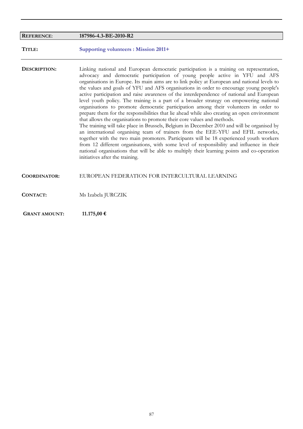| <b>REFERENCE:</b>    | 187986-4.3-BE-2010-R2                                                                                                                                                                                                                                                                                                                                                                                                                                                                                                                                                                                                                                                                                                                                                                                                                                                                                                                                                                                                                                                                                                                                                                                                                                                                                                                   |
|----------------------|-----------------------------------------------------------------------------------------------------------------------------------------------------------------------------------------------------------------------------------------------------------------------------------------------------------------------------------------------------------------------------------------------------------------------------------------------------------------------------------------------------------------------------------------------------------------------------------------------------------------------------------------------------------------------------------------------------------------------------------------------------------------------------------------------------------------------------------------------------------------------------------------------------------------------------------------------------------------------------------------------------------------------------------------------------------------------------------------------------------------------------------------------------------------------------------------------------------------------------------------------------------------------------------------------------------------------------------------|
| TITLE:               | <b>Supporting volunteers : Mission 2011+</b>                                                                                                                                                                                                                                                                                                                                                                                                                                                                                                                                                                                                                                                                                                                                                                                                                                                                                                                                                                                                                                                                                                                                                                                                                                                                                            |
| DESCRIPTION:         | Linking national and European democratic participation is a training on representation,<br>advocacy and democratic participation of young people active in YFU and AFS<br>organisations in Europe. Its main aims are to link policy at European and national levels to<br>the values and goals of YFU and AFS organisations in order to encourage young people's<br>active participation and raise awareness of the interdependence of national and European<br>level youth policy. The training is a part of a broader strategy on empowering national<br>organisations to promote democratic participation among their volunteers in order to<br>prepare them for the responsibilities that lie ahead while also creating an open environment<br>that allows the organisations to promote their core values and methods.<br>The training will take place in Brussels, Belgium in December 2010 and will be organised by<br>an international organising team of trainers from the EEE-YFU and EFIL networks,<br>together with the two main promoters. Participants will be 18 experienced youth workers<br>from 12 different organisations, with some level of responsibility and influence in their<br>national organisations that will be able to multiply their learning points and co-operation<br>initiatives after the training. |
| <b>COORDINATOR:</b>  | EUROPEAN FEDERATION FOR INTERCULTURAL LEARNING                                                                                                                                                                                                                                                                                                                                                                                                                                                                                                                                                                                                                                                                                                                                                                                                                                                                                                                                                                                                                                                                                                                                                                                                                                                                                          |
| <b>CONTACT:</b>      | Ms Izabela JURCZIK                                                                                                                                                                                                                                                                                                                                                                                                                                                                                                                                                                                                                                                                                                                                                                                                                                                                                                                                                                                                                                                                                                                                                                                                                                                                                                                      |
| <b>GRANT AMOUNT:</b> | 11.175,00 €                                                                                                                                                                                                                                                                                                                                                                                                                                                                                                                                                                                                                                                                                                                                                                                                                                                                                                                                                                                                                                                                                                                                                                                                                                                                                                                             |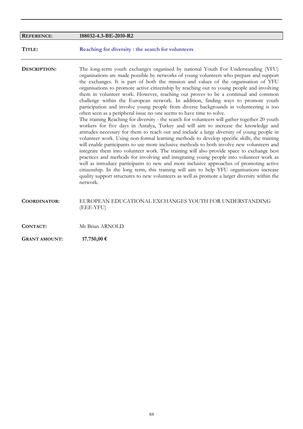| <b>REFERENCE:</b>    | 188032-4.3-BE-2010-R2                                                                                                                                                                                                                                                                                                                                                                                                                                                                                                                                                                                                                                                                                                                                                                                                                                                                                                                                                                                                                                                                                                                                                                                                                                                                                                                                                                                                                                                                                                                                                                                                                                                                     |
|----------------------|-------------------------------------------------------------------------------------------------------------------------------------------------------------------------------------------------------------------------------------------------------------------------------------------------------------------------------------------------------------------------------------------------------------------------------------------------------------------------------------------------------------------------------------------------------------------------------------------------------------------------------------------------------------------------------------------------------------------------------------------------------------------------------------------------------------------------------------------------------------------------------------------------------------------------------------------------------------------------------------------------------------------------------------------------------------------------------------------------------------------------------------------------------------------------------------------------------------------------------------------------------------------------------------------------------------------------------------------------------------------------------------------------------------------------------------------------------------------------------------------------------------------------------------------------------------------------------------------------------------------------------------------------------------------------------------------|
| TITLE:               | Reaching for diversity : the search for volunteers                                                                                                                                                                                                                                                                                                                                                                                                                                                                                                                                                                                                                                                                                                                                                                                                                                                                                                                                                                                                                                                                                                                                                                                                                                                                                                                                                                                                                                                                                                                                                                                                                                        |
| DESCRIPTION:         | The long-term youth exchanges organised by national Youth For Understanding (YFU)<br>organisations are made possible by networks of young volunteers who prepare and support<br>the exchanges. It is part of both the mission and values of the organisation of YFU<br>organisations to promote active citizenship by reaching out to young people and involving<br>them in volunteer work. However, reaching out proves to be a continual and common<br>challenge within the European network. In addition, finding ways to promote youth<br>participation and involve young people from diverse backgrounds in volunteering is too<br>often seen as a peripheral issue no one seems to have time to solve.<br>The training Reaching for diversity - the search for volunteers will gather together 20 youth<br>workers for five days in Antalya, Turkey and will aim to increase the knowledge and<br>attitudes necessary for them to reach out and include a large diversity of young people in<br>volunteer work. Using non-formal learning methods to develop specific skills, the training<br>will enable participants to use more inclusive methods to both involve new volunteers and<br>integrate them into volunteer work. The training will also provide space to exchange best<br>practices and methods for involving and integrating young people into volunteer work as<br>well as introduce participants to new and more inclusive approaches of promoting active<br>citizenship. In the long term, this training will aim to help YFU organisations increase<br>quality support structures to new volunteers as well as promote a larger diversity within the<br>network. |
| <b>COORDINATOR:</b>  | EUROPEAN EDUCATIONAL EXCHANGES YOUTH FOR UNDERSTANDING<br>(EEE-YFU)                                                                                                                                                                                                                                                                                                                                                                                                                                                                                                                                                                                                                                                                                                                                                                                                                                                                                                                                                                                                                                                                                                                                                                                                                                                                                                                                                                                                                                                                                                                                                                                                                       |
| CONTACT:             | Mr Brian ARNOLD                                                                                                                                                                                                                                                                                                                                                                                                                                                                                                                                                                                                                                                                                                                                                                                                                                                                                                                                                                                                                                                                                                                                                                                                                                                                                                                                                                                                                                                                                                                                                                                                                                                                           |
| <b>GRANT AMOUNT:</b> | 17.750,00 €                                                                                                                                                                                                                                                                                                                                                                                                                                                                                                                                                                                                                                                                                                                                                                                                                                                                                                                                                                                                                                                                                                                                                                                                                                                                                                                                                                                                                                                                                                                                                                                                                                                                               |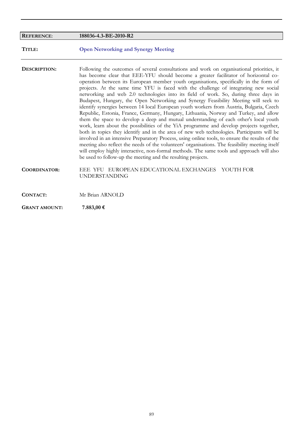| <b>REFERENCE:</b>    | 188036-4.3-BE-2010-R2                                                                                                                                                                                                                                                                                                                                                                                                                                                                                                                                                                                                                                                                                                                                                                                                                                                                                                                                                                                                                                                                                                                                                                                                                                                                                                                                                                     |
|----------------------|-------------------------------------------------------------------------------------------------------------------------------------------------------------------------------------------------------------------------------------------------------------------------------------------------------------------------------------------------------------------------------------------------------------------------------------------------------------------------------------------------------------------------------------------------------------------------------------------------------------------------------------------------------------------------------------------------------------------------------------------------------------------------------------------------------------------------------------------------------------------------------------------------------------------------------------------------------------------------------------------------------------------------------------------------------------------------------------------------------------------------------------------------------------------------------------------------------------------------------------------------------------------------------------------------------------------------------------------------------------------------------------------|
| TITLE:               | <b>Open Networking and Synergy Meeting</b>                                                                                                                                                                                                                                                                                                                                                                                                                                                                                                                                                                                                                                                                                                                                                                                                                                                                                                                                                                                                                                                                                                                                                                                                                                                                                                                                                |
| DESCRIPTION:         | Following the outcomes of several consultations and work on organisational priorities, it<br>has become clear that EEE-YFU should become a greater facilitator of horizontal co-<br>operation between its European member youth organisations, specifically in the form of<br>projects. At the same time YFU is faced with the challenge of integrating new social<br>networking and web 2.0 technologies into its field of work. So, during three days in<br>Budapest, Hungary, the Open Networking and Synergy Feasibility Meeting will seek to<br>identify synergies between 14 local European youth workers from Austria, Bulgaria, Czech<br>Republic, Estonia, France, Germany, Hungary, Lithuania, Norway and Turkey, and allow<br>them the space to develop a deep and mutual understanding of each other's local youth<br>work, learn about the possibilities of the YiA programme and develop projects together,<br>both in topics they identify and in the area of new web technologies. Participants will be<br>involved in an intensive Preparatory Process, using online tools, to ensure the results of the<br>meeting also reflect the needs of the volunteers' organisations. The feasibility meeting itself<br>will employ highly interactive, non-formal methods. The same tools and approach will also<br>be used to follow-up the meeting and the resulting projects. |
| <b>COORDINATOR:</b>  | EEE YFU EUROPEAN EDUCATIONAL EXCHANGES YOUTH FOR<br><b>UNDERSTANDING</b>                                                                                                                                                                                                                                                                                                                                                                                                                                                                                                                                                                                                                                                                                                                                                                                                                                                                                                                                                                                                                                                                                                                                                                                                                                                                                                                  |
| CONTACT:             | Mr Brian ARNOLD                                                                                                                                                                                                                                                                                                                                                                                                                                                                                                                                                                                                                                                                                                                                                                                                                                                                                                                                                                                                                                                                                                                                                                                                                                                                                                                                                                           |
| <b>GRANT AMOUNT:</b> | 7.883,00 €                                                                                                                                                                                                                                                                                                                                                                                                                                                                                                                                                                                                                                                                                                                                                                                                                                                                                                                                                                                                                                                                                                                                                                                                                                                                                                                                                                                |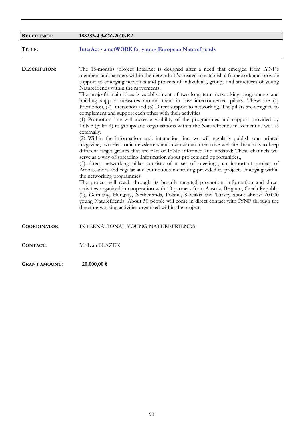| <b>REFERENCE:</b>    | 188283-4.3-CZ-2010-R2                                                                                                                                                                                                                                                                                                                                                                                                                                                                                                                                                                                                                                                                                                                                                                                                                                                                                                                                                                                                                                                                                                                                                                                                                                                                                                                                                                                                                                                                                                                                                                                                                                                                                                                                                                                                                                                                  |
|----------------------|----------------------------------------------------------------------------------------------------------------------------------------------------------------------------------------------------------------------------------------------------------------------------------------------------------------------------------------------------------------------------------------------------------------------------------------------------------------------------------------------------------------------------------------------------------------------------------------------------------------------------------------------------------------------------------------------------------------------------------------------------------------------------------------------------------------------------------------------------------------------------------------------------------------------------------------------------------------------------------------------------------------------------------------------------------------------------------------------------------------------------------------------------------------------------------------------------------------------------------------------------------------------------------------------------------------------------------------------------------------------------------------------------------------------------------------------------------------------------------------------------------------------------------------------------------------------------------------------------------------------------------------------------------------------------------------------------------------------------------------------------------------------------------------------------------------------------------------------------------------------------------------|
| TITLE:               | <b>InterAct - a netWORK for young European Naturefriends</b>                                                                                                                                                                                                                                                                                                                                                                                                                                                                                                                                                                                                                                                                                                                                                                                                                                                                                                                                                                                                                                                                                                                                                                                                                                                                                                                                                                                                                                                                                                                                                                                                                                                                                                                                                                                                                           |
| DESCRIPTION:         | The 15-months project InterAct is designed after a need that emerged from lYNF's<br>members and partners within the network: It's created to establish a framework and provide<br>support to emerging networks and projects of individuals, groups and structures of young<br>Naturefriends within the movements.<br>The project's main ideas is establishment of two long term networking programmes and<br>building support measures around them in tree interconnected pillars. These are (1)<br>Promotion, (2) Interaction and (3) Direct support to networking. The pillars are designed to<br>complement and support each other with their activities<br>(1) Promotion line will increase visibility of the programmes and support provided by<br>1YNF (pillar 4) to groups and organisations within the Naturefriends movement as well as<br>externally.<br>(2) Within the information and interaction line, we will regularly publish one printed<br>magazine, two electronic newsletters and maintain an interactive website. Its aim is to keep<br>different target groups that are part of IYNF informed and updated: These channels will<br>serve as a-way of spreading information about projects and opportunities.,<br>(3) direct networking pillar consists of a set of meetings, an important project of<br>Ambassadors and regular and continuous mentoring provided to projects emerging within<br>the networking programmes.<br>The project will reach through its broadly targeted promotion, information and direct<br>activities organised in cooperation with 10 partners from Austria, Belgium, Czech Republic<br>(2), Germany, Hungary, Netherlands, Poland, Slovakia and Turkey about almost 20.000<br>young Naturefriends. About 50 people will come in direct contact with IYNF through the<br>direct networking activities organised within the project. |
| <b>COORDINATOR:</b>  | INTERNATIONAL YOUNG NATUREFRIENDS                                                                                                                                                                                                                                                                                                                                                                                                                                                                                                                                                                                                                                                                                                                                                                                                                                                                                                                                                                                                                                                                                                                                                                                                                                                                                                                                                                                                                                                                                                                                                                                                                                                                                                                                                                                                                                                      |
| <b>CONTACT:</b>      | Mr Ivan BLAZEK                                                                                                                                                                                                                                                                                                                                                                                                                                                                                                                                                                                                                                                                                                                                                                                                                                                                                                                                                                                                                                                                                                                                                                                                                                                                                                                                                                                                                                                                                                                                                                                                                                                                                                                                                                                                                                                                         |
| <b>GRANT AMOUNT:</b> | 20.000,00 €                                                                                                                                                                                                                                                                                                                                                                                                                                                                                                                                                                                                                                                                                                                                                                                                                                                                                                                                                                                                                                                                                                                                                                                                                                                                                                                                                                                                                                                                                                                                                                                                                                                                                                                                                                                                                                                                            |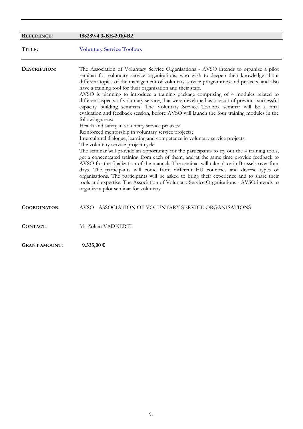| <b>REFERENCE:</b>    | 188289-4.3-BE-2010-R2                                                                                                                                                                                                                                                                                                                                                                                                                                                                                                                                                                                                                                                                                                                                                                                                                                                                                                                                                                                                                                                                                                                                                                                                                                                                                                                                                                                                                                                                                                                                                                                |
|----------------------|------------------------------------------------------------------------------------------------------------------------------------------------------------------------------------------------------------------------------------------------------------------------------------------------------------------------------------------------------------------------------------------------------------------------------------------------------------------------------------------------------------------------------------------------------------------------------------------------------------------------------------------------------------------------------------------------------------------------------------------------------------------------------------------------------------------------------------------------------------------------------------------------------------------------------------------------------------------------------------------------------------------------------------------------------------------------------------------------------------------------------------------------------------------------------------------------------------------------------------------------------------------------------------------------------------------------------------------------------------------------------------------------------------------------------------------------------------------------------------------------------------------------------------------------------------------------------------------------------|
| TITLE:               | <b>Voluntary Service Toolbox</b>                                                                                                                                                                                                                                                                                                                                                                                                                                                                                                                                                                                                                                                                                                                                                                                                                                                                                                                                                                                                                                                                                                                                                                                                                                                                                                                                                                                                                                                                                                                                                                     |
| DESCRIPTION:         | The Association of Voluntary Service Organisations - AVSO intends to organize a pilot<br>seminar for voluntary service organisations, who wish to deepen their knowledge about<br>different topics of the management of voluntary service programmes and projects, and also<br>have a training tool for their organisation and their staff.<br>AVSO is planning to introduce a training package comprising of 4 modules related to<br>different aspects of voluntary service, that were developed as a result of previous successful<br>capacity building seminars. The Voluntary Service Toolbox seminar will be a final<br>evaluation and feedback session, before AVSO will launch the four training modules in the<br>following areas:<br>Health and safety in voluntary service projects;<br>Reinforced mentorship in voluntary service projects;<br>Intercultural dialogue, learning and competence in voluntary service projects;<br>The voluntary service project cycle.<br>The seminar will provide an opportunity for the participants to try out the 4 training tools,<br>get a concentrated training from each of them, and at the same time provide feedback to<br>AVSO for the finalization of the manuals-The seminar will take place in Brussels over four<br>days. The participants will come from different EU countries and diverse types of<br>organisations. The participants will be asked to bring their experience and to share their<br>tools and expertise. The Association of Voluntary Service Organisations - AVSO intends to<br>organize a pilot seminar for voluntary |
| <b>COORDINATOR:</b>  | AVSO - ASSOCIATION OF VOLUNTARY SERVICE ORGANISATIONS                                                                                                                                                                                                                                                                                                                                                                                                                                                                                                                                                                                                                                                                                                                                                                                                                                                                                                                                                                                                                                                                                                                                                                                                                                                                                                                                                                                                                                                                                                                                                |
| CONTACT:             | Mr Zoltan VADKERTI                                                                                                                                                                                                                                                                                                                                                                                                                                                                                                                                                                                                                                                                                                                                                                                                                                                                                                                                                                                                                                                                                                                                                                                                                                                                                                                                                                                                                                                                                                                                                                                   |
| <b>GRANT AMOUNT:</b> | $9.535,00$ €                                                                                                                                                                                                                                                                                                                                                                                                                                                                                                                                                                                                                                                                                                                                                                                                                                                                                                                                                                                                                                                                                                                                                                                                                                                                                                                                                                                                                                                                                                                                                                                         |